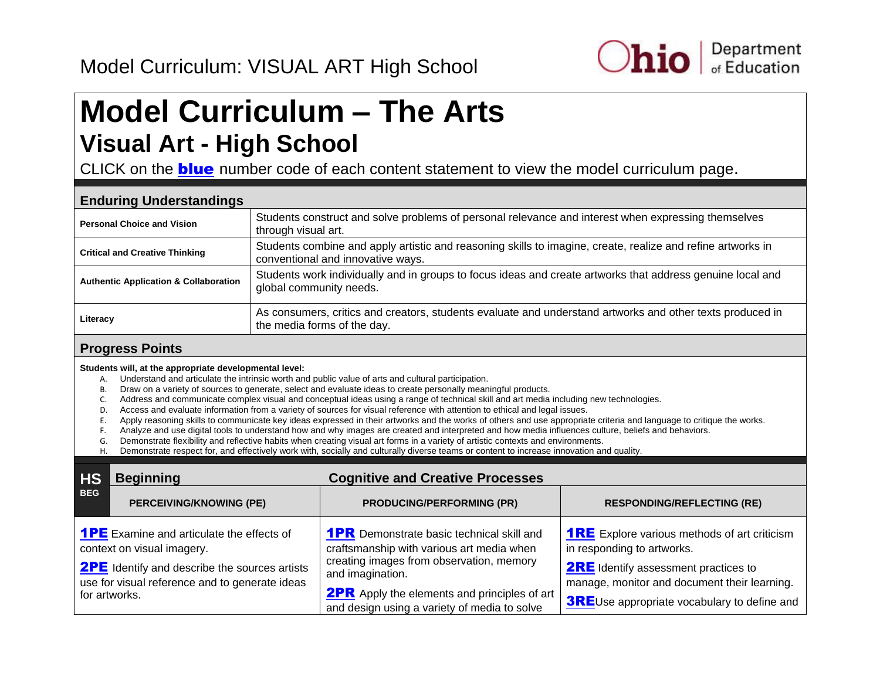

## <span id="page-0-0"></span>**Model Curriculum – The Arts Visual Art - High School**

CLICK on the **blue** number code of each content statement to view the model curriculum page.

| <b>Enduring Understandings</b>                   |                                                                                                                                                  |  |  |
|--------------------------------------------------|--------------------------------------------------------------------------------------------------------------------------------------------------|--|--|
| <b>Personal Choice and Vision</b>                | Students construct and solve problems of personal relevance and interest when expressing themselves<br>through visual art.                       |  |  |
| <b>Critical and Creative Thinking</b>            | Students combine and apply artistic and reasoning skills to imagine, create, realize and refine artworks in<br>conventional and innovative ways. |  |  |
| <b>Authentic Application &amp; Collaboration</b> | Students work individually and in groups to focus ideas and create artworks that address genuine local and<br>global community needs.            |  |  |
| Literacy                                         | As consumers, critics and creators, students evaluate and understand artworks and other texts produced in<br>the media forms of the day.         |  |  |

#### **Progress Points**

**Students will, at the appropriate developmental level:** 

- A. Understand and articulate the intrinsic worth and public value of arts and cultural participation.
- B. Draw on a variety of sources to generate, select and evaluate ideas to create personally meaningful products.
- C. Address and communicate complex visual and conceptual ideas using a range of technical skill and art media including new technologies.
- D. Access and evaluate information from a variety of sources for visual reference with attention to ethical and legal issues.
- E. Apply reasoning skills to communicate key ideas expressed in their artworks and the works of others and use appropriate criteria and language to critique the works.
- F. Analyze and use digital tools to understand how and why images are created and interpreted and how media influences culture, beliefs and behaviors.
- G. Demonstrate flexibility and reflective habits when creating visual art forms in a variety of artistic contexts and environments.
- H. Demonstrate respect for, and effectively work with, socially and culturally diverse teams or content to increase innovation and quality.

| <b>HS</b>  | <b>Cognitive and Creative Processes</b><br><b>Beginning</b>                                                                                                                                               |                                                                                                                                                                                                                                                                      |                                                                                                                                                                                                                                         |
|------------|-----------------------------------------------------------------------------------------------------------------------------------------------------------------------------------------------------------|----------------------------------------------------------------------------------------------------------------------------------------------------------------------------------------------------------------------------------------------------------------------|-----------------------------------------------------------------------------------------------------------------------------------------------------------------------------------------------------------------------------------------|
| <b>BEG</b> | <b>PERCEIVING/KNOWING (PE)</b>                                                                                                                                                                            | <b>PRODUCING/PERFORMING (PR)</b>                                                                                                                                                                                                                                     | <b>RESPONDING/REFLECTING (RE)</b>                                                                                                                                                                                                       |
|            | <b>1PE</b> Examine and articulate the effects of<br>context on visual imagery.<br><b>2PE</b> Identify and describe the sources artists<br>use for visual reference and to generate ideas<br>for artworks. | <b>1PR</b> Demonstrate basic technical skill and<br>craftsmanship with various art media when<br>creating images from observation, memory<br>and imagination.<br><b>2PR</b> Apply the elements and principles of art<br>and design using a variety of media to solve | <b>1RE</b> Explore various methods of art criticism<br>in responding to artworks.<br><b>2RE</b> Identify assessment practices to<br>manage, monitor and document their learning.<br><b>3RE</b> Use appropriate vocabulary to define and |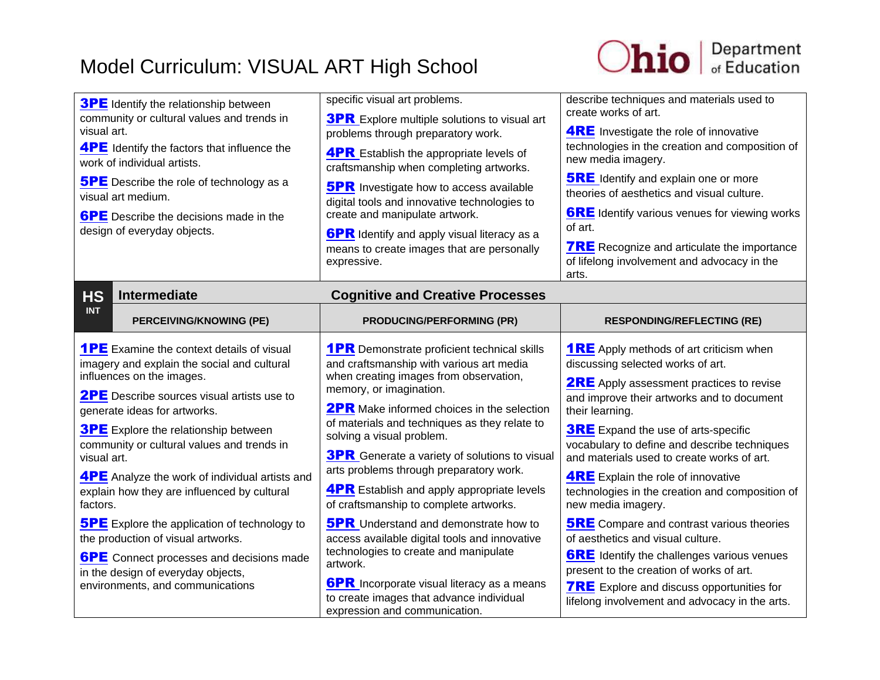

<span id="page-1-0"></span>

| <b>3PE</b> Identify the relationship between<br>community or cultural values and trends in<br>visual art.<br><b>4PE</b> Identify the factors that influence the<br>work of individual artists.<br><b>5PE</b> Describe the role of technology as a<br>visual art medium.<br><b>6PE</b> Describe the decisions made in the<br>design of everyday objects.                                                                                                                                                                                                                                                                                                                     | specific visual art problems.<br><b>3PR</b> Explore multiple solutions to visual art<br>problems through preparatory work.<br><b>4PR</b> Establish the appropriate levels of<br>craftsmanship when completing artworks.<br><b>5PR</b> Investigate how to access available<br>digital tools and innovative technologies to<br>create and manipulate artwork.<br><b>6PR</b> Identify and apply visual literacy as a<br>means to create images that are personally<br>expressive.                                                                                                                                                                                                                                                                                                                   | describe techniques and materials used to<br>create works of art.<br><b>4RE</b> Investigate the role of innovative<br>technologies in the creation and composition of<br>new media imagery.<br><b>5RE</b> Identify and explain one or more<br>theories of aesthetics and visual culture.<br><b>6RE</b> Identify various venues for viewing works<br>of art.<br><b>7RE</b> Recognize and articulate the importance<br>of lifelong involvement and advocacy in the<br>arts.                                                                                                                                                                                                                                                                                                 |
|-----------------------------------------------------------------------------------------------------------------------------------------------------------------------------------------------------------------------------------------------------------------------------------------------------------------------------------------------------------------------------------------------------------------------------------------------------------------------------------------------------------------------------------------------------------------------------------------------------------------------------------------------------------------------------|--------------------------------------------------------------------------------------------------------------------------------------------------------------------------------------------------------------------------------------------------------------------------------------------------------------------------------------------------------------------------------------------------------------------------------------------------------------------------------------------------------------------------------------------------------------------------------------------------------------------------------------------------------------------------------------------------------------------------------------------------------------------------------------------------|---------------------------------------------------------------------------------------------------------------------------------------------------------------------------------------------------------------------------------------------------------------------------------------------------------------------------------------------------------------------------------------------------------------------------------------------------------------------------------------------------------------------------------------------------------------------------------------------------------------------------------------------------------------------------------------------------------------------------------------------------------------------------|
| <b>HS</b><br><b>Intermediate</b>                                                                                                                                                                                                                                                                                                                                                                                                                                                                                                                                                                                                                                            | <b>Cognitive and Creative Processes</b>                                                                                                                                                                                                                                                                                                                                                                                                                                                                                                                                                                                                                                                                                                                                                          |                                                                                                                                                                                                                                                                                                                                                                                                                                                                                                                                                                                                                                                                                                                                                                           |
| <b>INT</b><br><b>PERCEIVING/KNOWING (PE)</b>                                                                                                                                                                                                                                                                                                                                                                                                                                                                                                                                                                                                                                | <b>PRODUCING/PERFORMING (PR)</b>                                                                                                                                                                                                                                                                                                                                                                                                                                                                                                                                                                                                                                                                                                                                                                 | <b>RESPONDING/REFLECTING (RE)</b>                                                                                                                                                                                                                                                                                                                                                                                                                                                                                                                                                                                                                                                                                                                                         |
| <b>1PE</b> Examine the context details of visual<br>imagery and explain the social and cultural<br>influences on the images.<br><b>2PE</b> Describe sources visual artists use to<br>generate ideas for artworks.<br><b>3PE</b> Explore the relationship between<br>community or cultural values and trends in<br>visual art.<br><b>4PE</b> Analyze the work of individual artists and<br>explain how they are influenced by cultural<br>factors.<br><b>5PE</b> Explore the application of technology to<br>the production of visual artworks.<br><b>6PE</b> Connect processes and decisions made<br>in the design of everyday objects,<br>environments, and communications | <b>1PR</b> Demonstrate proficient technical skills<br>and craftsmanship with various art media<br>when creating images from observation,<br>memory, or imagination.<br><b>2PR</b> Make informed choices in the selection<br>of materials and techniques as they relate to<br>solving a visual problem.<br><b>3PR</b> Generate a variety of solutions to visual<br>arts problems through preparatory work.<br><b>4PR</b> Establish and apply appropriate levels<br>of craftsmanship to complete artworks.<br><b>5PR</b> Understand and demonstrate how to<br>access available digital tools and innovative<br>technologies to create and manipulate<br>artwork.<br><b>6PR</b> Incorporate visual literacy as a means<br>to create images that advance individual<br>expression and communication. | <b>1RE</b> Apply methods of art criticism when<br>discussing selected works of art.<br><b>2RE</b> Apply assessment practices to revise<br>and improve their artworks and to document<br>their learning.<br><b>3RE</b> Expand the use of arts-specific<br>vocabulary to define and describe techniques<br>and materials used to create works of art.<br><b>4RE</b> Explain the role of innovative<br>technologies in the creation and composition of<br>new media imagery.<br><b>5RE</b> Compare and contrast various theories<br>of aesthetics and visual culture.<br><b>6RE</b> Identify the challenges various venues<br>present to the creation of works of art.<br><b>7RE</b> Explore and discuss opportunities for<br>lifelong involvement and advocacy in the arts. |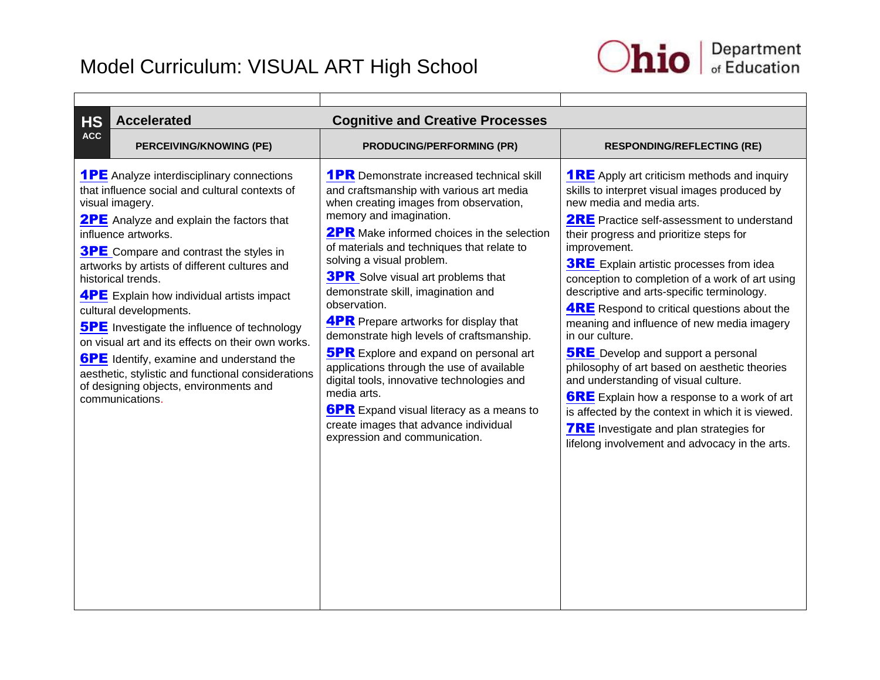

<span id="page-2-0"></span>

| <b>HS</b><br><b>Accelerated</b>                                                                                                                                                                                                                                                                                                                                                                                                                                                                                                                                                                                                                                                        | <b>Cognitive and Creative Processes</b>                                                                                                                                                                                                                                                                                                                                                                                                                                                                                                                                                                                                                                                                                                                                                   |                                                                                                                                                                                                                                                                                                                                                                                                                                                                                                                                                                                                                                                                                                                                                                                                                                                                                  |
|----------------------------------------------------------------------------------------------------------------------------------------------------------------------------------------------------------------------------------------------------------------------------------------------------------------------------------------------------------------------------------------------------------------------------------------------------------------------------------------------------------------------------------------------------------------------------------------------------------------------------------------------------------------------------------------|-------------------------------------------------------------------------------------------------------------------------------------------------------------------------------------------------------------------------------------------------------------------------------------------------------------------------------------------------------------------------------------------------------------------------------------------------------------------------------------------------------------------------------------------------------------------------------------------------------------------------------------------------------------------------------------------------------------------------------------------------------------------------------------------|----------------------------------------------------------------------------------------------------------------------------------------------------------------------------------------------------------------------------------------------------------------------------------------------------------------------------------------------------------------------------------------------------------------------------------------------------------------------------------------------------------------------------------------------------------------------------------------------------------------------------------------------------------------------------------------------------------------------------------------------------------------------------------------------------------------------------------------------------------------------------------|
| <b>ACC</b><br><b>PERCEIVING/KNOWING (PE)</b>                                                                                                                                                                                                                                                                                                                                                                                                                                                                                                                                                                                                                                           | <b>PRODUCING/PERFORMING (PR)</b>                                                                                                                                                                                                                                                                                                                                                                                                                                                                                                                                                                                                                                                                                                                                                          | <b>RESPONDING/REFLECTING (RE)</b>                                                                                                                                                                                                                                                                                                                                                                                                                                                                                                                                                                                                                                                                                                                                                                                                                                                |
| <b>1PE</b> Analyze interdisciplinary connections<br>that influence social and cultural contexts of<br>visual imagery.<br><b>2PE</b> Analyze and explain the factors that<br>influence artworks.<br><b>3PE</b> Compare and contrast the styles in<br>artworks by artists of different cultures and<br>historical trends.<br><b>4PE</b> Explain how individual artists impact<br>cultural developments.<br><b>5PE</b> Investigate the influence of technology<br>on visual art and its effects on their own works.<br><b>6PE</b> Identify, examine and understand the<br>aesthetic, stylistic and functional considerations<br>of designing objects, environments and<br>communications. | <b>1PR</b> Demonstrate increased technical skill<br>and craftsmanship with various art media<br>when creating images from observation,<br>memory and imagination.<br><b>2PR</b> Make informed choices in the selection<br>of materials and techniques that relate to<br>solving a visual problem.<br><b>3PR</b> Solve visual art problems that<br>demonstrate skill, imagination and<br>observation.<br><b>4PR</b> Prepare artworks for display that<br>demonstrate high levels of craftsmanship.<br><b>5PR</b> Explore and expand on personal art<br>applications through the use of available<br>digital tools, innovative technologies and<br>media arts.<br><b>6PR</b> Expand visual literacy as a means to<br>create images that advance individual<br>expression and communication. | <b>1RE</b> Apply art criticism methods and inquiry<br>skills to interpret visual images produced by<br>new media and media arts.<br><b>2RE</b> Practice self-assessment to understand<br>their progress and prioritize steps for<br>improvement.<br><b>3RE</b> Explain artistic processes from idea<br>conception to completion of a work of art using<br>descriptive and arts-specific terminology.<br><b>4RE</b> Respond to critical questions about the<br>meaning and influence of new media imagery<br>in our culture.<br><b>5RE</b> Develop and support a personal<br>philosophy of art based on aesthetic theories<br>and understanding of visual culture.<br><b>6RE</b> Explain how a response to a work of art<br>is affected by the context in which it is viewed.<br><b>7RE</b> Investigate and plan strategies for<br>lifelong involvement and advocacy in the arts. |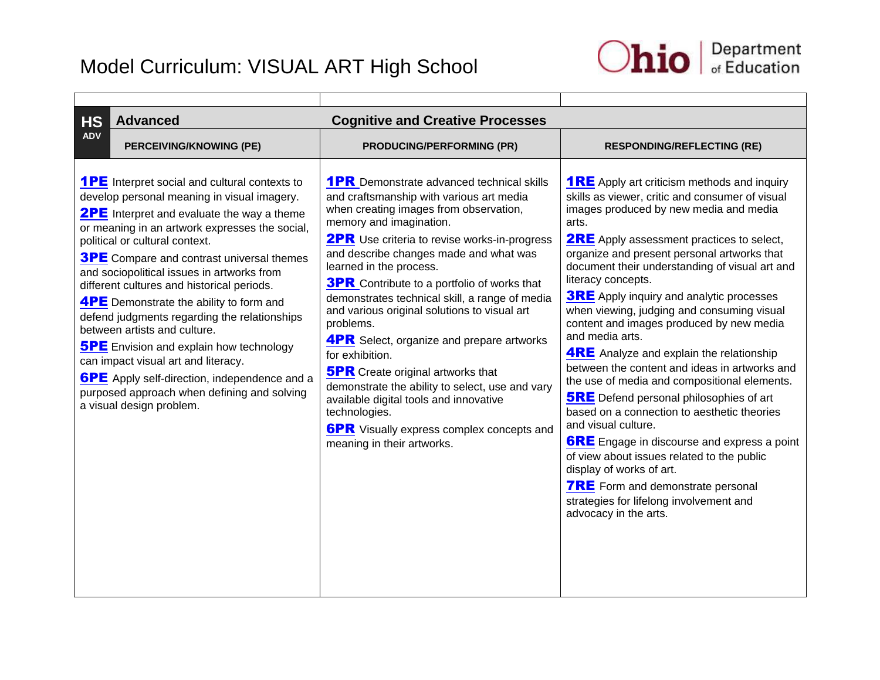

<span id="page-3-0"></span>

| <b>Advanced</b><br><b>HS</b><br><b>Cognitive and Creative Processes</b>                                                                                                                                                                                                                                                                                                                                                                                                                                                                                                                                                                                                                                                                                   |                                                                                                                                                                                                                                                                                                                                                                                                                                                                                                                                                                                                                                                                                                                                                                                       |                                                                                                                                                                                                                                                                                                                                                                                                                                                                                                                                                                                                                                                                                                                                                                                                                                                                                                                                                                                                                                 |  |
|-----------------------------------------------------------------------------------------------------------------------------------------------------------------------------------------------------------------------------------------------------------------------------------------------------------------------------------------------------------------------------------------------------------------------------------------------------------------------------------------------------------------------------------------------------------------------------------------------------------------------------------------------------------------------------------------------------------------------------------------------------------|---------------------------------------------------------------------------------------------------------------------------------------------------------------------------------------------------------------------------------------------------------------------------------------------------------------------------------------------------------------------------------------------------------------------------------------------------------------------------------------------------------------------------------------------------------------------------------------------------------------------------------------------------------------------------------------------------------------------------------------------------------------------------------------|---------------------------------------------------------------------------------------------------------------------------------------------------------------------------------------------------------------------------------------------------------------------------------------------------------------------------------------------------------------------------------------------------------------------------------------------------------------------------------------------------------------------------------------------------------------------------------------------------------------------------------------------------------------------------------------------------------------------------------------------------------------------------------------------------------------------------------------------------------------------------------------------------------------------------------------------------------------------------------------------------------------------------------|--|
| <b>ADV</b><br>PERCEIVING/KNOWING (PE)                                                                                                                                                                                                                                                                                                                                                                                                                                                                                                                                                                                                                                                                                                                     | <b>PRODUCING/PERFORMING (PR)</b>                                                                                                                                                                                                                                                                                                                                                                                                                                                                                                                                                                                                                                                                                                                                                      | <b>RESPONDING/REFLECTING (RE)</b>                                                                                                                                                                                                                                                                                                                                                                                                                                                                                                                                                                                                                                                                                                                                                                                                                                                                                                                                                                                               |  |
| <b>1PE</b> Interpret social and cultural contexts to<br>develop personal meaning in visual imagery.<br><b>2PE</b> Interpret and evaluate the way a theme<br>or meaning in an artwork expresses the social,<br>political or cultural context.<br><b>3PE</b> Compare and contrast universal themes<br>and sociopolitical issues in artworks from<br>different cultures and historical periods.<br><b>4PE</b> Demonstrate the ability to form and<br>defend judgments regarding the relationships<br>between artists and culture.<br><b>5PE</b> Envision and explain how technology<br>can impact visual art and literacy.<br><b>6PE</b> Apply self-direction, independence and a<br>purposed approach when defining and solving<br>a visual design problem. | <b>1PR</b> Demonstrate advanced technical skills<br>and craftsmanship with various art media<br>when creating images from observation,<br>memory and imagination.<br><b>2PR</b> Use criteria to revise works-in-progress<br>and describe changes made and what was<br>learned in the process.<br><b>3PR</b> Contribute to a portfolio of works that<br>demonstrates technical skill, a range of media<br>and various original solutions to visual art<br>problems.<br><b>4PR</b> Select, organize and prepare artworks<br>for exhibition.<br><b>5PR</b> Create original artworks that<br>demonstrate the ability to select, use and vary<br>available digital tools and innovative<br>technologies.<br><b>6PR</b> Visually express complex concepts and<br>meaning in their artworks. | <b>1RE</b> Apply art criticism methods and inquiry<br>skills as viewer, critic and consumer of visual<br>images produced by new media and media<br>arts.<br><b>2RE</b> Apply assessment practices to select,<br>organize and present personal artworks that<br>document their understanding of visual art and<br>literacy concepts.<br><b>3RE</b> Apply inquiry and analytic processes<br>when viewing, judging and consuming visual<br>content and images produced by new media<br>and media arts.<br><b>4RE</b> Analyze and explain the relationship<br>between the content and ideas in artworks and<br>the use of media and compositional elements.<br><b>5RE</b> Defend personal philosophies of art<br>based on a connection to aesthetic theories<br>and visual culture.<br><b>6RE</b> Engage in discourse and express a point<br>of view about issues related to the public<br>display of works of art.<br><b>7RE</b> Form and demonstrate personal<br>strategies for lifelong involvement and<br>advocacy in the arts. |  |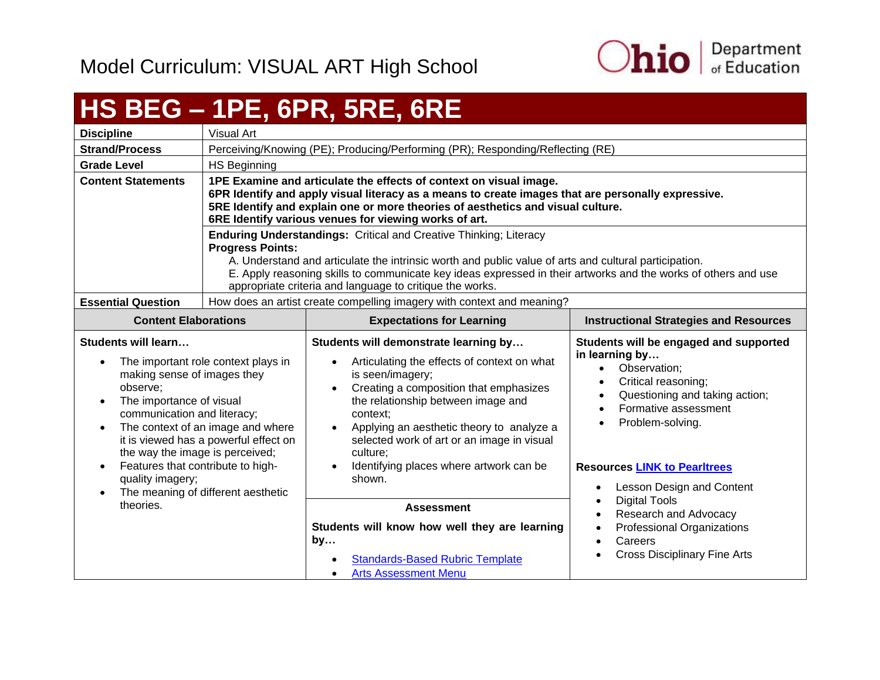

## <span id="page-4-0"></span>**HS BEG – 1PE, 6PR, 5RE, 6RE**

| <b>Discipline</b>         | Visual Art                                                                                                                                                                                                                                                                                                                                                                                 |
|---------------------------|--------------------------------------------------------------------------------------------------------------------------------------------------------------------------------------------------------------------------------------------------------------------------------------------------------------------------------------------------------------------------------------------|
| <b>Strand/Process</b>     | Perceiving/Knowing (PE); Producing/Performing (PR); Responding/Reflecting (RE)                                                                                                                                                                                                                                                                                                             |
| <b>Grade Level</b>        | HS Beginning                                                                                                                                                                                                                                                                                                                                                                               |
| <b>Content Statements</b> | 1PE Examine and articulate the effects of context on visual image.<br>6PR Identify and apply visual literacy as a means to create images that are personally expressive.<br>5RE Identify and explain one or more theories of aesthetics and visual culture.<br>6RE Identify various venues for viewing works of art.                                                                       |
|                           | <b>Enduring Understandings: Critical and Creative Thinking; Literacy</b><br><b>Progress Points:</b><br>A. Understand and articulate the intrinsic worth and public value of arts and cultural participation.<br>E. Apply reasoning skills to communicate key ideas expressed in their artworks and the works of others and use<br>appropriate criteria and language to critique the works. |
| <b>Essential Question</b> | How does an artist create compelling imagery with context and meaning?                                                                                                                                                                                                                                                                                                                     |

| <b>Content Elaborations</b>                                                                                                                                                                                                                                                                                                                                                       | <b>Expectations for Learning</b>                                                                                                                                                                                                                                                                                                                                                                                     | <b>Instructional Strategies and Resources</b>                                                                                                                                                                        |
|-----------------------------------------------------------------------------------------------------------------------------------------------------------------------------------------------------------------------------------------------------------------------------------------------------------------------------------------------------------------------------------|----------------------------------------------------------------------------------------------------------------------------------------------------------------------------------------------------------------------------------------------------------------------------------------------------------------------------------------------------------------------------------------------------------------------|----------------------------------------------------------------------------------------------------------------------------------------------------------------------------------------------------------------------|
| Students will learn<br>The important role context plays in<br>making sense of images they<br>observe:<br>The importance of visual<br>$\bullet$<br>communication and literacy;<br>The context of an image and where<br>$\bullet$<br>it is viewed has a powerful effect on<br>the way the image is perceived;<br>Features that contribute to high-<br>$\bullet$<br>quality imagery; | Students will demonstrate learning by<br>Articulating the effects of context on what<br>$\bullet$<br>is seen/imagery;<br>Creating a composition that emphasizes<br>$\bullet$<br>the relationship between image and<br>context:<br>Applying an aesthetic theory to analyze a<br>$\bullet$<br>selected work of art or an image in visual<br>culture:<br>Identifying places where artwork can be<br>$\bullet$<br>shown. | Students will be engaged and supported<br>in learning by<br>Observation:<br>Critical reasoning;<br>Questioning and taking action;<br>Formative assessment<br>Problem-solving.<br><b>Resources LINK to Pearltrees</b> |
| The meaning of different aesthetic<br>theories.                                                                                                                                                                                                                                                                                                                                   | <b>Assessment</b><br>Students will know how well they are learning<br>by<br><b>Standards-Based Rubric Template</b><br>$\bullet$<br><b>Arts Assessment Menu</b><br>$\bullet$                                                                                                                                                                                                                                          | Lesson Design and Content<br><b>Digital Tools</b><br>Research and Advocacy<br><b>Professional Organizations</b><br>Careers<br><b>Cross Disciplinary Fine Arts</b>                                                    |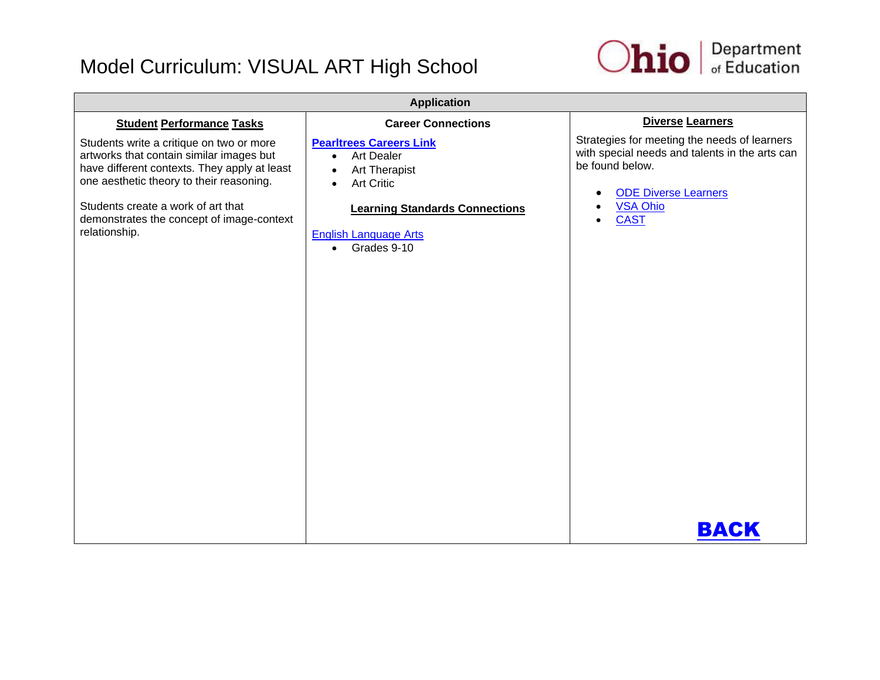

| <b>Application</b>                                                                                                                                                                                                                                                                   |                                                                                                                                                                                                                                              |                                                                                                                                                                                            |  |
|--------------------------------------------------------------------------------------------------------------------------------------------------------------------------------------------------------------------------------------------------------------------------------------|----------------------------------------------------------------------------------------------------------------------------------------------------------------------------------------------------------------------------------------------|--------------------------------------------------------------------------------------------------------------------------------------------------------------------------------------------|--|
| <b>Student Performance Tasks</b>                                                                                                                                                                                                                                                     | <b>Career Connections</b>                                                                                                                                                                                                                    | <b>Diverse Learners</b>                                                                                                                                                                    |  |
| Students write a critique on two or more<br>artworks that contain similar images but<br>have different contexts. They apply at least<br>one aesthetic theory to their reasoning.<br>Students create a work of art that<br>demonstrates the concept of image-context<br>relationship. | <b>Pearltrees Careers Link</b><br><b>Art Dealer</b><br>$\bullet$<br><b>Art Therapist</b><br>$\bullet$<br><b>Art Critic</b><br>$\bullet$<br><b>Learning Standards Connections</b><br><b>English Language Arts</b><br>Grades 9-10<br>$\bullet$ | Strategies for meeting the needs of learners<br>with special needs and talents in the arts can<br>be found below.<br><b>ODE Diverse Learners</b><br><b>VSA Ohio</b><br><b>CAST</b><br>ВАСК |  |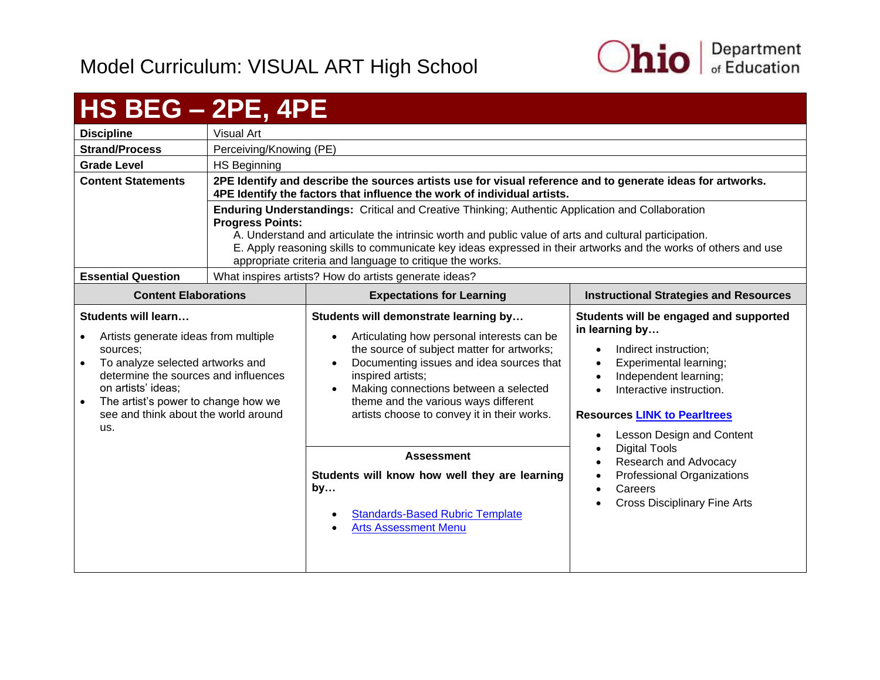

#### <span id="page-6-0"></span>**HS BEG – 2PE, 4PE Discipline** Visual Art **Strand/Process** | Perceiving/Knowing (PE) **Grade Level** HS Beginning **Content Statements 2PE Identify and describe the sources artists use for visual reference and to generate ideas for artworks. 4PE Identify the factors that influence the work of individual artists. Enduring Understandings:** Critical and Creative Thinking; Authentic Application and Collaboration **Progress Points:**  A. Understand and articulate the intrinsic worth and public value of arts and cultural participation. E. Apply reasoning skills to communicate key ideas expressed in their artworks and the works of others and use appropriate criteria and language to critique the works. **Essential Question** | What inspires artists? How do artists generate ideas? **Content Elaborations Expectations for Learning Instructional Strategies and Resources Students will learn…** Artists generate ideas from multiple sources; To analyze selected artworks and determine the sources and influences on artists' ideas; • The artist's power to change how we see and think about the world around us. **Students will demonstrate learning by…** • Articulating how personal interests can be the source of subject matter for artworks; Documenting issues and idea sources that inspired artists; • Making connections between a selected theme and the various ways different artists choose to convey it in their works. **Students will be engaged and supported in learning by…** Indirect instruction; Experimental learning; Independent learning; Interactive instruction. **Resources [LINK to Pearltrees](http://www.pearltrees.com/ohioartsed)** Lesson Design and Content Digital Tools Research and Advocacy Professional Organizations **Careers**  Cross Disciplinary Fine Arts **Assessment Students will know how well they are learning by…** [Standards-Based Rubric Template](https://education.ohio.gov/getattachment/Topics/Ohio-s-New-Learning-Standards/Fine-Arts/Standards_based_Rubric.pdf.aspx) [Arts Assessment Menu](https://education.ohio.gov/getattachment/Topics/Ohio-s-New-Learning-Standards/Fine-Arts/Arts-Assess-Chart.pdf.aspx)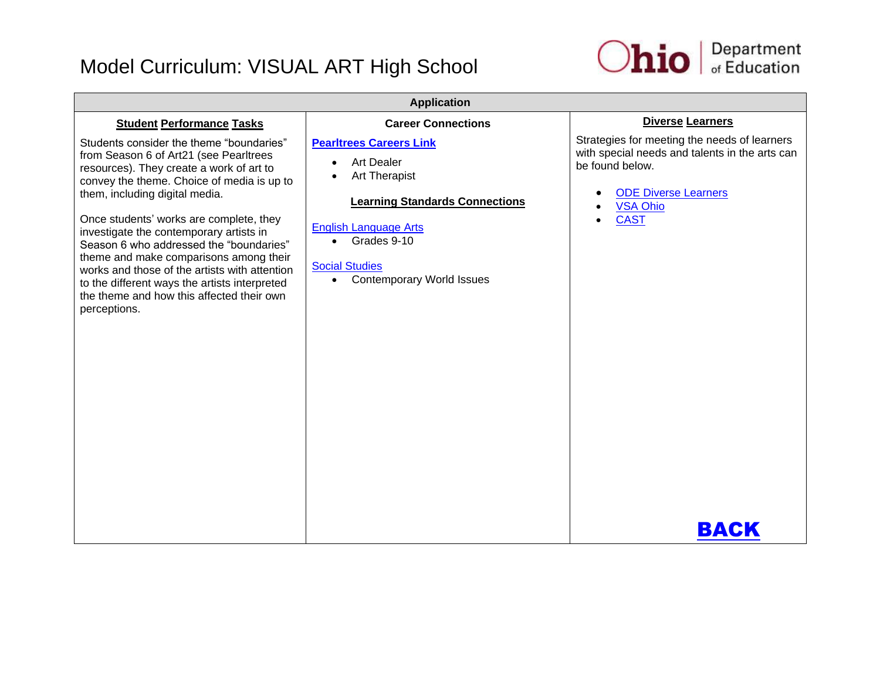

| <b>Application</b>                                                                                                                                                                                                                                                                                                                                                                                                                                                                                                                                       |                                                                                                                                                                                                                                                                                      |                                                                                                                                                                                            |  |
|----------------------------------------------------------------------------------------------------------------------------------------------------------------------------------------------------------------------------------------------------------------------------------------------------------------------------------------------------------------------------------------------------------------------------------------------------------------------------------------------------------------------------------------------------------|--------------------------------------------------------------------------------------------------------------------------------------------------------------------------------------------------------------------------------------------------------------------------------------|--------------------------------------------------------------------------------------------------------------------------------------------------------------------------------------------|--|
| <b>Student Performance Tasks</b>                                                                                                                                                                                                                                                                                                                                                                                                                                                                                                                         | <b>Career Connections</b>                                                                                                                                                                                                                                                            | <b>Diverse Learners</b>                                                                                                                                                                    |  |
| Students consider the theme "boundaries"<br>from Season 6 of Art21 (see Pearltrees<br>resources). They create a work of art to<br>convey the theme. Choice of media is up to<br>them, including digital media.<br>Once students' works are complete, they<br>investigate the contemporary artists in<br>Season 6 who addressed the "boundaries"<br>theme and make comparisons among their<br>works and those of the artists with attention<br>to the different ways the artists interpreted<br>the theme and how this affected their own<br>perceptions. | <b>Pearltrees Careers Link</b><br><b>Art Dealer</b><br>$\bullet$<br><b>Art Therapist</b><br>$\bullet$<br><b>Learning Standards Connections</b><br><b>English Language Arts</b><br>Grades 9-10<br>$\bullet$<br><b>Social Studies</b><br><b>Contemporary World Issues</b><br>$\bullet$ | Strategies for meeting the needs of learners<br>with special needs and talents in the arts can<br>be found below.<br><b>ODE Diverse Learners</b><br><b>VSA Ohio</b><br><b>CAST</b><br>ВАСК |  |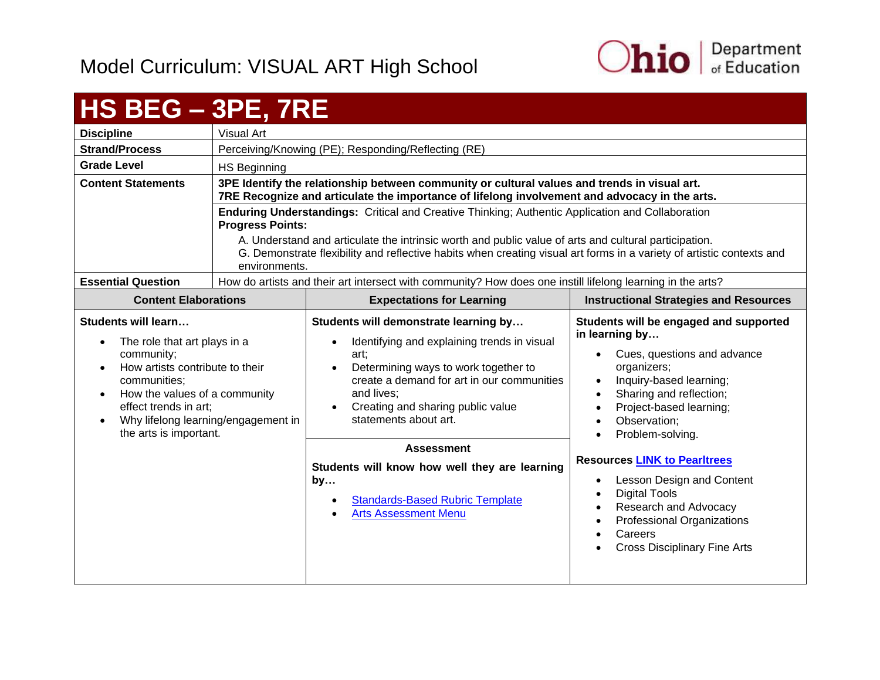

#### <span id="page-8-0"></span>**HS BEG – 3PE, 7RE Discipline** | Visual Art **Strand/Process** | Perceiving/Knowing (PE); Responding/Reflecting (RE) **Grade Level** HS Beginning **Content Statements 3PE Identify the relationship between community or cultural values and trends in visual art. 7RE Recognize and articulate the importance of lifelong involvement and advocacy in the arts. Enduring Understandings:** Critical and Creative Thinking; Authentic Application and Collaboration **Progress Points:** A. Understand and articulate the intrinsic worth and public value of arts and cultural participation. G. Demonstrate flexibility and reflective habits when creating visual art forms in a variety of artistic contexts and environments. **Essential Question** | How do artists and their art intersect with community? How does one instill lifelong learning in the arts? **Content Elaborations Expectations for Learning Instructional Strategies and Resources Students will learn…** • The role that art plays in a community; • How artists contribute to their communities; • How the values of a community effect trends in art; • Why lifelong learning/engagement in the arts is important. **Students will demonstrate learning by…** • Identifying and explaining trends in visual art; • Determining ways to work together to create a demand for art in our communities and lives; • Creating and sharing public value statements about art. **Students will be engaged and supported in learning by…** Cues, questions and advance organizers; Inquiry-based learning; Sharing and reflection; Project-based learning; Observation; Problem-solving. **Resources [LINK to Pearltrees](http://www.pearltrees.com/ohioartsed)** Lesson Design and Content Digital Tools Research and Advocacy Professional Organizations **Careers**  Cross Disciplinary Fine Arts **Assessment Students will know how well they are learning by…** [Standards-Based Rubric Template](https://education.ohio.gov/getattachment/Topics/Ohio-s-New-Learning-Standards/Fine-Arts/Standards_based_Rubric.pdf.aspx) [Arts Assessment Menu](https://education.ohio.gov/getattachment/Topics/Ohio-s-New-Learning-Standards/Fine-Arts/Arts-Assess-Chart.pdf.aspx)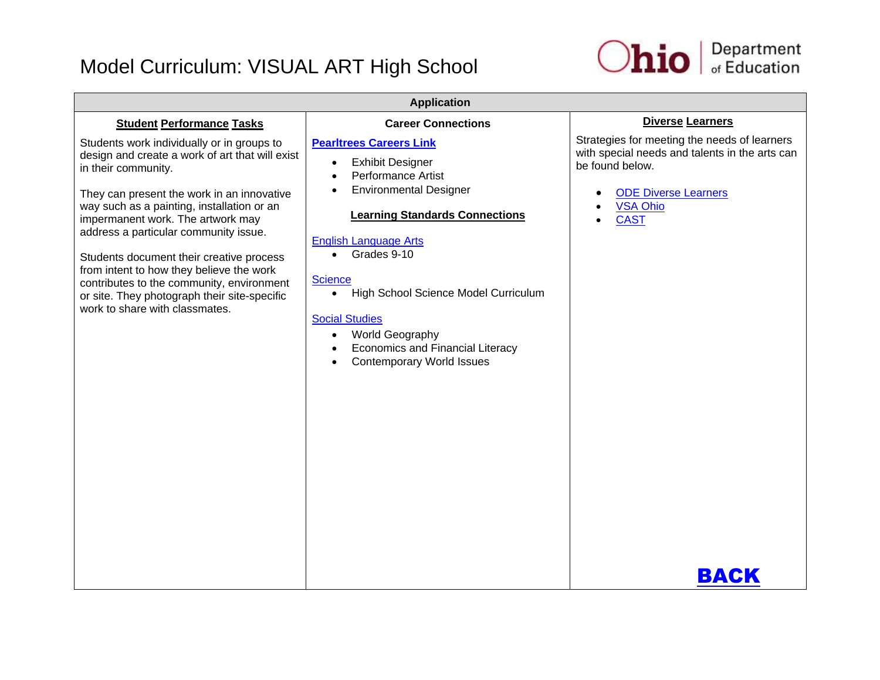

| <b>Application</b>                                                                                                                                                                                                                                                                                                                                                                                                                                                                                                    |                                                                                                                                                                                                                                                                                                                                                                                                                                      |                                                                                                                                                                                            |  |
|-----------------------------------------------------------------------------------------------------------------------------------------------------------------------------------------------------------------------------------------------------------------------------------------------------------------------------------------------------------------------------------------------------------------------------------------------------------------------------------------------------------------------|--------------------------------------------------------------------------------------------------------------------------------------------------------------------------------------------------------------------------------------------------------------------------------------------------------------------------------------------------------------------------------------------------------------------------------------|--------------------------------------------------------------------------------------------------------------------------------------------------------------------------------------------|--|
| <b>Student Performance Tasks</b>                                                                                                                                                                                                                                                                                                                                                                                                                                                                                      | <b>Career Connections</b>                                                                                                                                                                                                                                                                                                                                                                                                            | <b>Diverse Learners</b>                                                                                                                                                                    |  |
| Students work individually or in groups to<br>design and create a work of art that will exist<br>in their community.<br>They can present the work in an innovative<br>way such as a painting, installation or an<br>impermanent work. The artwork may<br>address a particular community issue.<br>Students document their creative process<br>from intent to how they believe the work<br>contributes to the community, environment<br>or site. They photograph their site-specific<br>work to share with classmates. | <b>Pearltrees Careers Link</b><br><b>Exhibit Designer</b><br>$\bullet$<br>Performance Artist<br><b>Environmental Designer</b><br><b>Learning Standards Connections</b><br><b>English Language Arts</b><br>Grades 9-10<br>$\bullet$<br><b>Science</b><br>High School Science Model Curriculum<br>$\bullet$<br><b>Social Studies</b><br>World Geography<br><b>Economics and Financial Literacy</b><br><b>Contemporary World Issues</b> | Strategies for meeting the needs of learners<br>with special needs and talents in the arts can<br>be found below.<br><b>ODE Diverse Learners</b><br><b>VSA Ohio</b><br><b>CAST</b><br>ВАСК |  |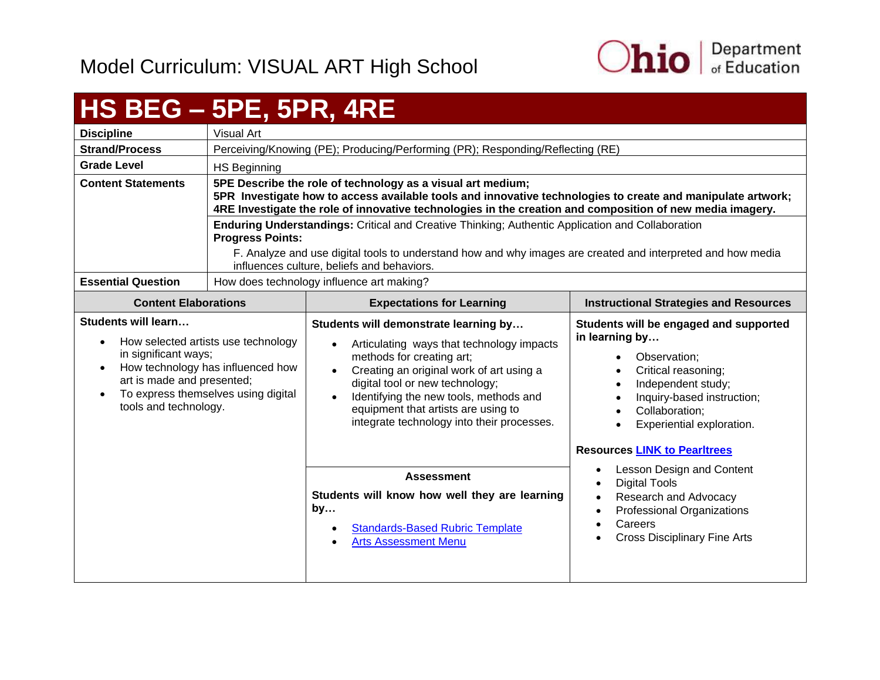

#### <span id="page-10-0"></span>**HS BEG – 5PE, 5PR, 4RE Discipline** | Visual Art **Strand/Process** Perceiving/Knowing (PE); Producing/Performing (PR); Responding/Reflecting (RE) Grade Level | HS Beginning **Content Statements 5PE Describe the role of technology as a visual art medium; 5PR Investigate how to access available tools and innovative technologies to create and manipulate artwork; 4RE Investigate the role of innovative technologies in the creation and composition of new media imagery. Enduring Understandings:** Critical and Creative Thinking; Authentic Application and Collaboration **Progress Points:** F. Analyze and use digital tools to understand how and why images are created and interpreted and how media influences culture, beliefs and behaviors. **Essential Question** | How does technology influence art making? **Content Elaborations Expectations for Learning Instructional Strategies and Resources Students will learn…** • How selected artists use technology in significant ways; • How technology has influenced how art is made and presented; • To express themselves using digital tools and technology. **Students will demonstrate learning by…** Articulating ways that technology impacts methods for creating art; Creating an original work of art using a digital tool or new technology; Identifying the new tools, methods and equipment that artists are using to integrate technology into their processes. **Students will be engaged and supported in learning by…** • Observation: Critical reasoning; • Independent study; • Inquiry-based instruction; • Collaboration: Experiential exploration. **Resources [LINK to Pearltrees](http://www.pearltrees.com/ohioartsed)** • Lesson Design and Content Digital Tools • Research and Advocacy Professional Organizations Careers Cross Disciplinary Fine Arts **Assessment Students will know how well they are learning by…** [Standards-Based Rubric Template](https://education.ohio.gov/getattachment/Topics/Ohio-s-New-Learning-Standards/Fine-Arts/Standards_based_Rubric.pdf.aspx) [Arts Assessment Menu](https://education.ohio.gov/getattachment/Topics/Ohio-s-New-Learning-Standards/Fine-Arts/Arts-Assess-Chart.pdf.aspx)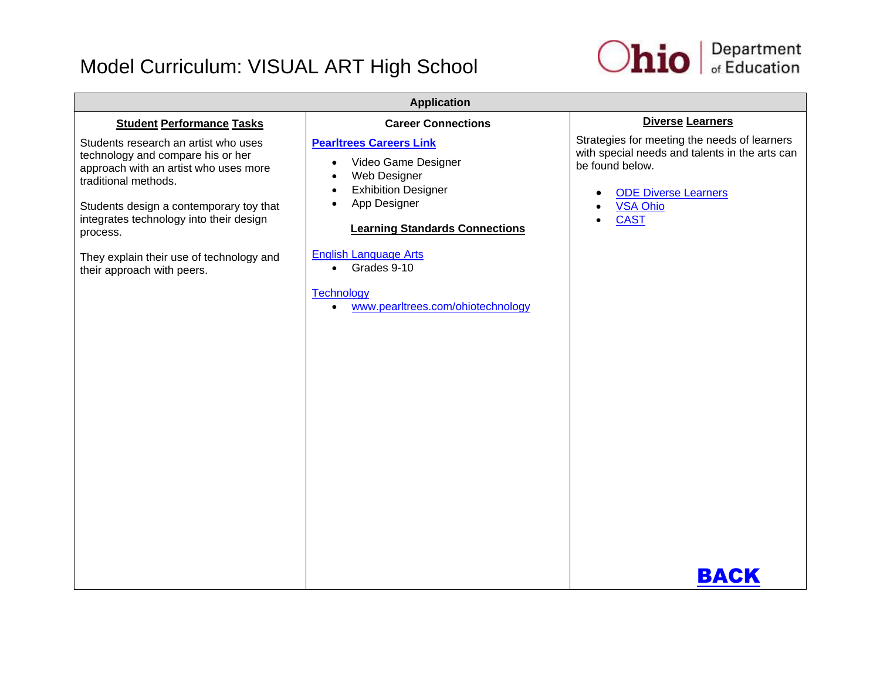

| <b>Application</b>                                                                                                                                                                                                                                                                                                     |                                                                                                                                                                                                                                                                                                                |                                                                                                                                                                                    |  |
|------------------------------------------------------------------------------------------------------------------------------------------------------------------------------------------------------------------------------------------------------------------------------------------------------------------------|----------------------------------------------------------------------------------------------------------------------------------------------------------------------------------------------------------------------------------------------------------------------------------------------------------------|------------------------------------------------------------------------------------------------------------------------------------------------------------------------------------|--|
| <b>Student Performance Tasks</b>                                                                                                                                                                                                                                                                                       | <b>Career Connections</b>                                                                                                                                                                                                                                                                                      | Diverse Learners                                                                                                                                                                   |  |
| Students research an artist who uses<br>technology and compare his or her<br>approach with an artist who uses more<br>traditional methods.<br>Students design a contemporary toy that<br>integrates technology into their design<br>process.<br>They explain their use of technology and<br>their approach with peers. | <b>Pearltrees Careers Link</b><br>Video Game Designer<br>$\bullet$<br>Web Designer<br><b>Exhibition Designer</b><br>$\bullet$<br>App Designer<br><b>Learning Standards Connections</b><br><b>English Language Arts</b><br>• Grades 9-10<br><b>Technology</b><br>www.pearltrees.com/ohiotechnology<br>$\bullet$ | Strategies for meeting the needs of learners<br>with special needs and talents in the arts can<br>be found below.<br><b>ODE Diverse Learners</b><br><b>VSA Ohio</b><br><b>CAST</b> |  |
|                                                                                                                                                                                                                                                                                                                        |                                                                                                                                                                                                                                                                                                                | BACK                                                                                                                                                                               |  |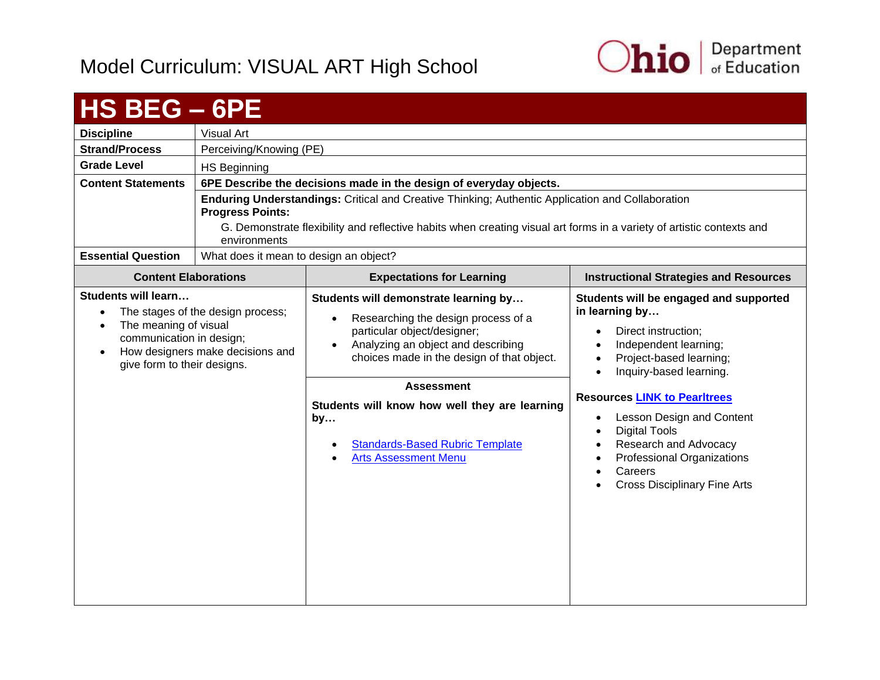

<span id="page-12-0"></span>

| HS BEG - 6PE                                                                                                                |                                                                       |                                                                                                                                                                                                                                                                                                                                                                                |                                                                                                                                                                                                                                                                                                                                                                                                                                                                |
|-----------------------------------------------------------------------------------------------------------------------------|-----------------------------------------------------------------------|--------------------------------------------------------------------------------------------------------------------------------------------------------------------------------------------------------------------------------------------------------------------------------------------------------------------------------------------------------------------------------|----------------------------------------------------------------------------------------------------------------------------------------------------------------------------------------------------------------------------------------------------------------------------------------------------------------------------------------------------------------------------------------------------------------------------------------------------------------|
| <b>Discipline</b>                                                                                                           | <b>Visual Art</b>                                                     |                                                                                                                                                                                                                                                                                                                                                                                |                                                                                                                                                                                                                                                                                                                                                                                                                                                                |
| <b>Strand/Process</b>                                                                                                       | Perceiving/Knowing (PE)                                               |                                                                                                                                                                                                                                                                                                                                                                                |                                                                                                                                                                                                                                                                                                                                                                                                                                                                |
| <b>Grade Level</b>                                                                                                          | <b>HS Beginning</b>                                                   |                                                                                                                                                                                                                                                                                                                                                                                |                                                                                                                                                                                                                                                                                                                                                                                                                                                                |
| <b>Content Statements</b>                                                                                                   |                                                                       | 6PE Describe the decisions made in the design of everyday objects.                                                                                                                                                                                                                                                                                                             |                                                                                                                                                                                                                                                                                                                                                                                                                                                                |
|                                                                                                                             | <b>Progress Points:</b><br>environments                               | Enduring Understandings: Critical and Creative Thinking; Authentic Application and Collaboration<br>G. Demonstrate flexibility and reflective habits when creating visual art forms in a variety of artistic contexts and                                                                                                                                                      |                                                                                                                                                                                                                                                                                                                                                                                                                                                                |
| <b>Essential Question</b>                                                                                                   | What does it mean to design an object?                                |                                                                                                                                                                                                                                                                                                                                                                                |                                                                                                                                                                                                                                                                                                                                                                                                                                                                |
| <b>Content Elaborations</b>                                                                                                 |                                                                       | <b>Expectations for Learning</b>                                                                                                                                                                                                                                                                                                                                               | <b>Instructional Strategies and Resources</b>                                                                                                                                                                                                                                                                                                                                                                                                                  |
| <b>Students will learn</b><br>The meaning of visual<br>$\bullet$<br>communication in design;<br>give form to their designs. | The stages of the design process;<br>How designers make decisions and | Students will demonstrate learning by<br>Researching the design process of a<br>$\bullet$<br>particular object/designer;<br>Analyzing an object and describing<br>$\bullet$<br>choices made in the design of that object.<br><b>Assessment</b><br>Students will know how well they are learning<br>by<br><b>Standards-Based Rubric Template</b><br><b>Arts Assessment Menu</b> | Students will be engaged and supported<br>in learning by<br>Direct instruction;<br>$\bullet$<br>Independent learning;<br>Project-based learning;<br>$\bullet$<br>Inquiry-based learning.<br>$\bullet$<br><b>Resources LINK to Pearltrees</b><br>Lesson Design and Content<br>$\bullet$<br><b>Digital Tools</b><br>$\bullet$<br>Research and Advocacy<br>$\bullet$<br>Professional Organizations<br>$\bullet$<br>Careers<br><b>Cross Disciplinary Fine Arts</b> |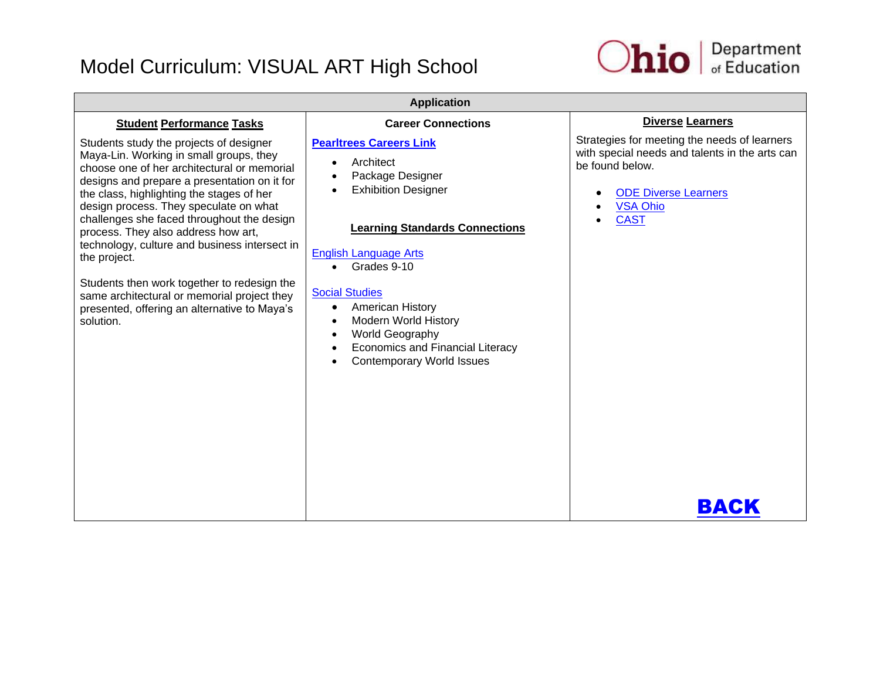

| <b>Application</b>                                                                                                                                                                                                                                                                                                                                                                                                                                                                                                                                                                        |                                                                                                                                                                                                                                                                                                                                                                                                                   |                                                                                                                                                                                            |  |
|-------------------------------------------------------------------------------------------------------------------------------------------------------------------------------------------------------------------------------------------------------------------------------------------------------------------------------------------------------------------------------------------------------------------------------------------------------------------------------------------------------------------------------------------------------------------------------------------|-------------------------------------------------------------------------------------------------------------------------------------------------------------------------------------------------------------------------------------------------------------------------------------------------------------------------------------------------------------------------------------------------------------------|--------------------------------------------------------------------------------------------------------------------------------------------------------------------------------------------|--|
| <b>Student Performance Tasks</b>                                                                                                                                                                                                                                                                                                                                                                                                                                                                                                                                                          | <b>Career Connections</b>                                                                                                                                                                                                                                                                                                                                                                                         | <b>Diverse Learners</b>                                                                                                                                                                    |  |
| Students study the projects of designer<br>Maya-Lin. Working in small groups, they<br>choose one of her architectural or memorial<br>designs and prepare a presentation on it for<br>the class, highlighting the stages of her<br>design process. They speculate on what<br>challenges she faced throughout the design<br>process. They also address how art,<br>technology, culture and business intersect in<br>the project.<br>Students then work together to redesign the<br>same architectural or memorial project they<br>presented, offering an alternative to Maya's<br>solution. | <b>Pearltrees Careers Link</b><br>Architect<br>Package Designer<br><b>Exhibition Designer</b><br><b>Learning Standards Connections</b><br><b>English Language Arts</b><br>Grades 9-10<br>$\bullet$<br><b>Social Studies</b><br><b>American History</b><br>$\bullet$<br><b>Modern World History</b><br>World Geography<br>$\bullet$<br><b>Economics and Financial Literacy</b><br><b>Contemporary World Issues</b> | Strategies for meeting the needs of learners<br>with special needs and talents in the arts can<br>be found below.<br><b>ODE Diverse Learners</b><br><b>VSA Ohio</b><br><b>CAST</b><br>BACK |  |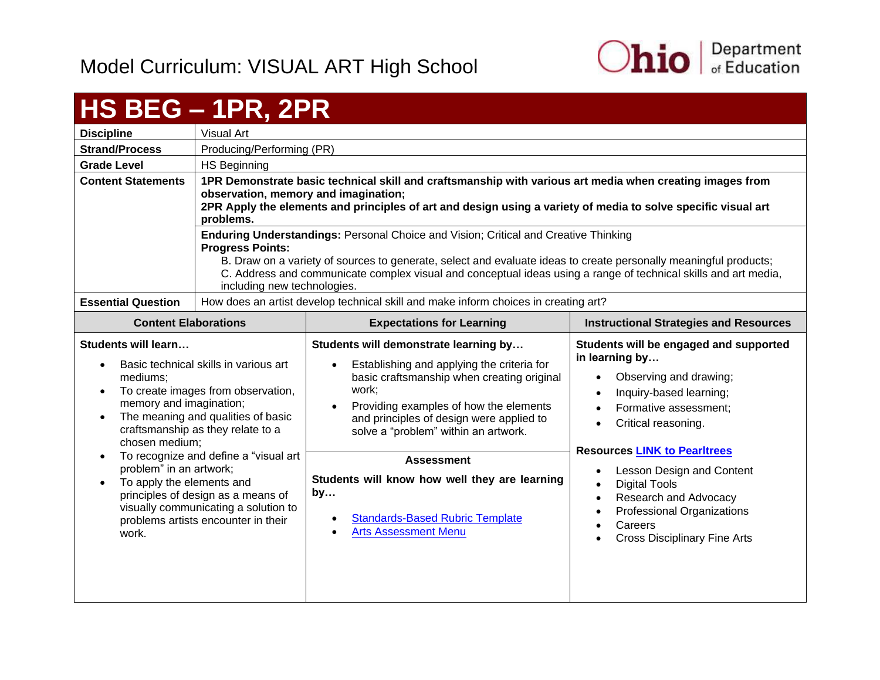

## <span id="page-14-0"></span>**HS BEG – 1PR, 2PR**

| <b>Discipline</b>               | Visual Art                                                                                                                                                                                                                                                                                                                                                                                  |                                                                                                                                                |                                                                                                 |
|---------------------------------|---------------------------------------------------------------------------------------------------------------------------------------------------------------------------------------------------------------------------------------------------------------------------------------------------------------------------------------------------------------------------------------------|------------------------------------------------------------------------------------------------------------------------------------------------|-------------------------------------------------------------------------------------------------|
| <b>Strand/Process</b>           | Producing/Performing (PR)                                                                                                                                                                                                                                                                                                                                                                   |                                                                                                                                                |                                                                                                 |
| <b>Grade Level</b>              | HS Beginning                                                                                                                                                                                                                                                                                                                                                                                |                                                                                                                                                |                                                                                                 |
| <b>Content Statements</b>       | 1PR Demonstrate basic technical skill and craftsmanship with various art media when creating images from<br>observation, memory and imagination;<br>2PR Apply the elements and principles of art and design using a variety of media to solve specific visual art<br>problems.                                                                                                              |                                                                                                                                                |                                                                                                 |
|                                 | <b>Enduring Understandings: Personal Choice and Vision; Critical and Creative Thinking</b><br><b>Progress Points:</b><br>B. Draw on a variety of sources to generate, select and evaluate ideas to create personally meaningful products;<br>C. Address and communicate complex visual and conceptual ideas using a range of technical skills and art media,<br>including new technologies. |                                                                                                                                                |                                                                                                 |
| <b>Essential Question</b>       | How does an artist develop technical skill and make inform choices in creating art?                                                                                                                                                                                                                                                                                                         |                                                                                                                                                |                                                                                                 |
|                                 | <b>Expectations for Learning</b><br><b>Content Elaborations</b>                                                                                                                                                                                                                                                                                                                             |                                                                                                                                                | <b>Instructional Strategies and Resources</b>                                                   |
| Students will learn<br>mediums; | Basic technical skills in various art                                                                                                                                                                                                                                                                                                                                                       | Students will demonstrate learning by<br>Establishing and applying the criteria for<br>$\bullet$<br>basic craftsmanship when creating original | Students will be engaged and supported<br>in learning by<br>Observing and drawing;<br>$\bullet$ |

- To create images from observation, memory and imagination;
- The meaning and qualities of basic craftsmanship as they relate to a chosen medium;
- To recognize and define a "visual art problem" in an artwork;
- To apply the elements and principles of design as a means of visually communicating a solution to problems artists encounter in their work.
- Providing examples of how the elements and principles of design were applied to solve a "problem" within an artwork.
- **Assessment Students will know how well they are learning by…**
	- [Standards-Based Rubric Template](https://education.ohio.gov/getattachment/Topics/Ohio-s-New-Learning-Standards/Fine-Arts/Standards_based_Rubric.pdf.aspx)
	- [Arts Assessment Menu](https://education.ohio.gov/getattachment/Topics/Ohio-s-New-Learning-Standards/Fine-Arts/Arts-Assess-Chart.pdf.aspx)

work;

• Lesson Design and Content

**Resources [LINK to Pearltrees](http://www.pearltrees.com/ohioartsed)**

 Inquiry-based learning; Formative assessment; Critical reasoning.

- Digital Tools
- Research and Advocacy
- Professional Organizations
- **Careers**
- Cross Disciplinary Fine Arts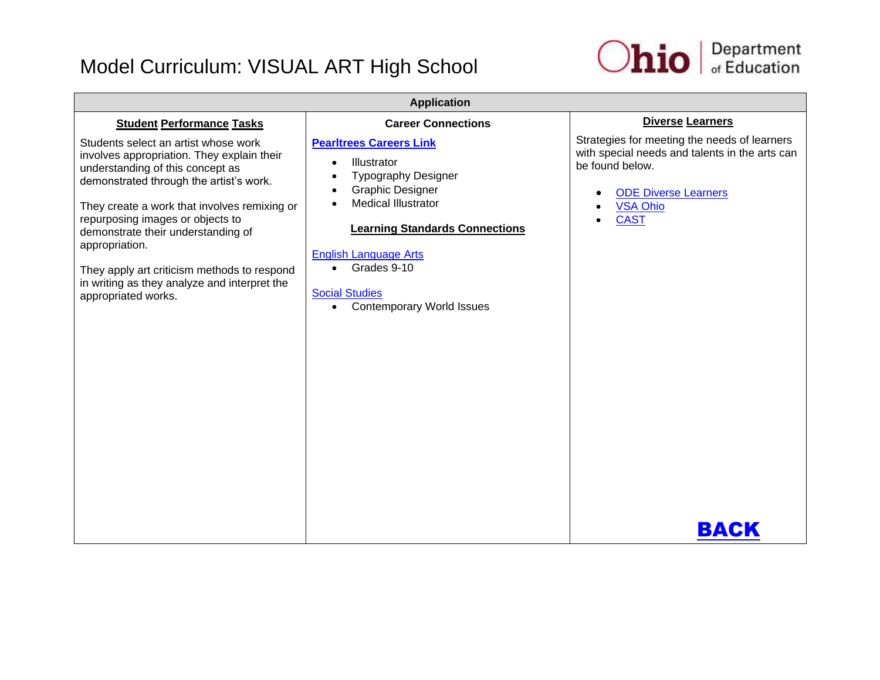

| <b>Application</b>                                                                                                                                                                                                                                                                                                                                                                                                                  |                                                                                                                                                                                                                                                                                                                                                            |                                                                                                                                                                                            |  |
|-------------------------------------------------------------------------------------------------------------------------------------------------------------------------------------------------------------------------------------------------------------------------------------------------------------------------------------------------------------------------------------------------------------------------------------|------------------------------------------------------------------------------------------------------------------------------------------------------------------------------------------------------------------------------------------------------------------------------------------------------------------------------------------------------------|--------------------------------------------------------------------------------------------------------------------------------------------------------------------------------------------|--|
| <b>Student Performance Tasks</b>                                                                                                                                                                                                                                                                                                                                                                                                    | <b>Career Connections</b>                                                                                                                                                                                                                                                                                                                                  | <b>Diverse Learners</b>                                                                                                                                                                    |  |
| Students select an artist whose work<br>involves appropriation. They explain their<br>understanding of this concept as<br>demonstrated through the artist's work.<br>They create a work that involves remixing or<br>repurposing images or objects to<br>demonstrate their understanding of<br>appropriation.<br>They apply art criticism methods to respond<br>in writing as they analyze and interpret the<br>appropriated works. | <b>Pearltrees Careers Link</b><br>Illustrator<br>$\bullet$<br><b>Typography Designer</b><br>$\bullet$<br><b>Graphic Designer</b><br>$\bullet$<br><b>Medical Illustrator</b><br><b>Learning Standards Connections</b><br><b>English Language Arts</b><br>Grades 9-10<br>$\bullet$<br><b>Social Studies</b><br><b>Contemporary World Issues</b><br>$\bullet$ | Strategies for meeting the needs of learners<br>with special needs and talents in the arts can<br>be found below.<br><b>ODE Diverse Learners</b><br><b>VSA Ohio</b><br><b>CAST</b><br>ВАСК |  |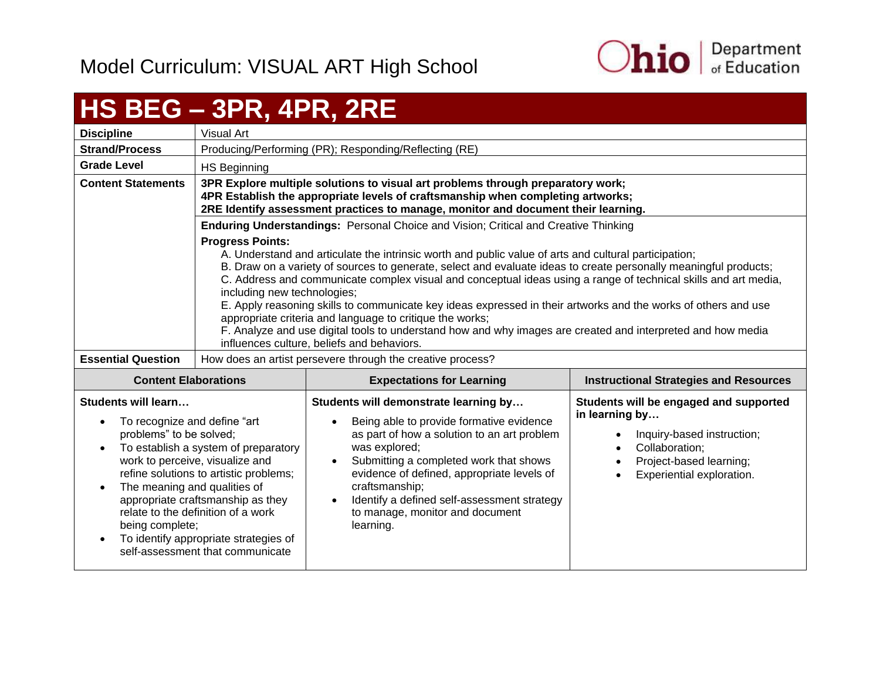

## <span id="page-16-0"></span>**HS BEG – 3PR, 4PR, 2RE**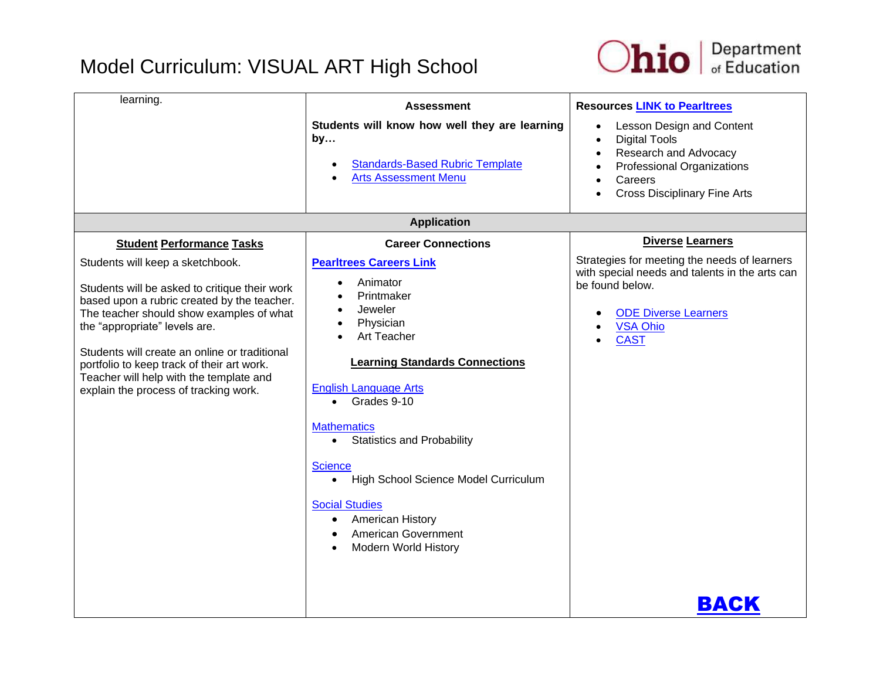

| learning.                                                                                                                                                                                                                                                                                                                                                                                                                            | <b>Assessment</b><br>Students will know how well they are learning<br>by<br><b>Standards-Based Rubric Template</b><br><b>Arts Assessment Menu</b>                                                                                                                                                                                                                                                                                                                                         | <b>Resources LINK to Pearltrees</b><br>Lesson Design and Content<br><b>Digital Tools</b><br>$\bullet$<br>Research and Advocacy<br>$\bullet$<br>Professional Organizations<br>Careers<br><b>Cross Disciplinary Fine Arts</b> |
|--------------------------------------------------------------------------------------------------------------------------------------------------------------------------------------------------------------------------------------------------------------------------------------------------------------------------------------------------------------------------------------------------------------------------------------|-------------------------------------------------------------------------------------------------------------------------------------------------------------------------------------------------------------------------------------------------------------------------------------------------------------------------------------------------------------------------------------------------------------------------------------------------------------------------------------------|-----------------------------------------------------------------------------------------------------------------------------------------------------------------------------------------------------------------------------|
|                                                                                                                                                                                                                                                                                                                                                                                                                                      | <b>Application</b>                                                                                                                                                                                                                                                                                                                                                                                                                                                                        |                                                                                                                                                                                                                             |
| <b>Student Performance Tasks</b><br>Students will keep a sketchbook.<br>Students will be asked to critique their work<br>based upon a rubric created by the teacher.<br>The teacher should show examples of what<br>the "appropriate" levels are.<br>Students will create an online or traditional<br>portfolio to keep track of their art work.<br>Teacher will help with the template and<br>explain the process of tracking work. | <b>Career Connections</b><br><b>Pearltrees Careers Link</b><br>Animator<br>Printmaker<br>Jeweler<br>Physician<br>Art Teacher<br><b>Learning Standards Connections</b><br><b>English Language Arts</b><br>Grades 9-10<br>$\bullet$<br><b>Mathematics</b><br><b>Statistics and Probability</b><br>$\bullet$<br><b>Science</b><br>High School Science Model Curriculum<br>$\bullet$<br><b>Social Studies</b><br>American History<br>$\bullet$<br>American Government<br>Modern World History | <b>Diverse Learners</b><br>Strategies for meeting the needs of learners<br>with special needs and talents in the arts can<br>be found below.<br><b>ODE Diverse Learners</b><br><b>VSA Ohio</b><br><b>CAST</b>               |
|                                                                                                                                                                                                                                                                                                                                                                                                                                      |                                                                                                                                                                                                                                                                                                                                                                                                                                                                                           | BACK                                                                                                                                                                                                                        |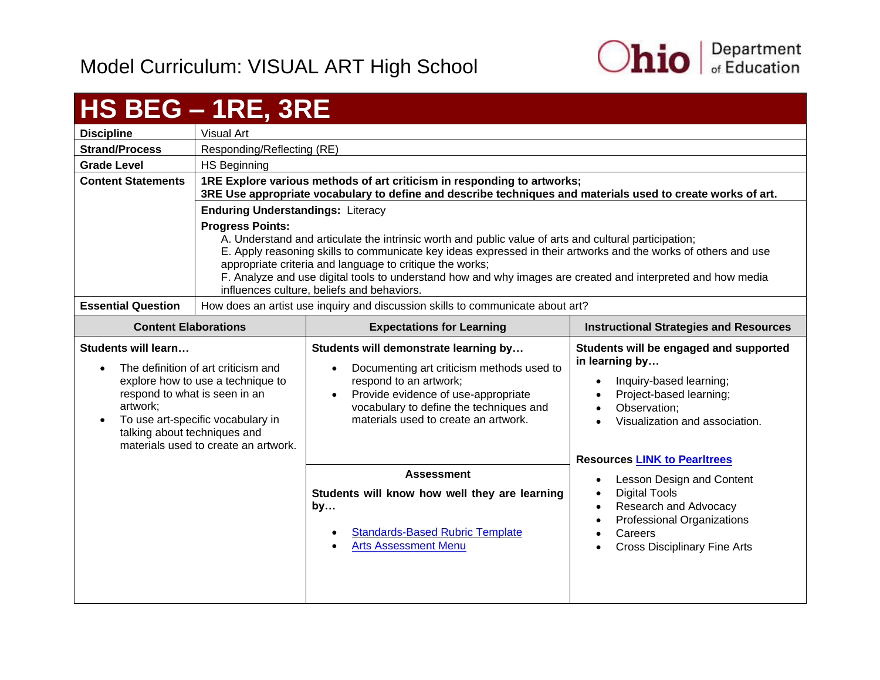

# <span id="page-18-0"></span>**HS BEG – 1RE, 3RE**

| <b>Discipline</b>         | Visual Art                                                                                                                                                                                                                                                                                                                                                                                                                                                                  |
|---------------------------|-----------------------------------------------------------------------------------------------------------------------------------------------------------------------------------------------------------------------------------------------------------------------------------------------------------------------------------------------------------------------------------------------------------------------------------------------------------------------------|
| <b>Strand/Process</b>     | Responding/Reflecting (RE)                                                                                                                                                                                                                                                                                                                                                                                                                                                  |
| <b>Grade Level</b>        | HS Beginning                                                                                                                                                                                                                                                                                                                                                                                                                                                                |
| <b>Content Statements</b> | 1RE Explore various methods of art criticism in responding to artworks;<br>3RE Use appropriate vocabulary to define and describe techniques and materials used to create works of art.                                                                                                                                                                                                                                                                                      |
|                           | <b>Enduring Understandings: Literacy</b>                                                                                                                                                                                                                                                                                                                                                                                                                                    |
|                           | <b>Progress Points:</b><br>A. Understand and articulate the intrinsic worth and public value of arts and cultural participation;<br>E. Apply reasoning skills to communicate key ideas expressed in their artworks and the works of others and use<br>appropriate criteria and language to critique the works;<br>F. Analyze and use digital tools to understand how and why images are created and interpreted and how media<br>influences culture, beliefs and behaviors. |
| <b>Essential Question</b> | How does an artist use inquiry and discussion skills to communicate about art?                                                                                                                                                                                                                                                                                                                                                                                              |

| <b>Content Elaborations</b>                                                                                                                                                                                                                               | <b>Expectations for Learning</b>                                                                                                                                                                                                                                 | <b>Instructional Strategies and Resources</b>                                                                                                                    |
|-----------------------------------------------------------------------------------------------------------------------------------------------------------------------------------------------------------------------------------------------------------|------------------------------------------------------------------------------------------------------------------------------------------------------------------------------------------------------------------------------------------------------------------|------------------------------------------------------------------------------------------------------------------------------------------------------------------|
| Students will learn<br>The definition of art criticism and<br>explore how to use a technique to<br>respond to what is seen in an<br>artwork;<br>To use art-specific vocabulary in<br>talking about techniques and<br>materials used to create an artwork. | Students will demonstrate learning by<br>Documenting art criticism methods used to<br>$\bullet$<br>respond to an artwork;<br>Provide evidence of use-appropriate<br>$\bullet$<br>vocabulary to define the techniques and<br>materials used to create an artwork. | Students will be engaged and supported<br>in learning by<br>Inquiry-based learning;<br>Project-based learning;<br>Observation;<br>Visualization and association. |
|                                                                                                                                                                                                                                                           |                                                                                                                                                                                                                                                                  | <b>Resources LINK to Pearltrees</b>                                                                                                                              |
|                                                                                                                                                                                                                                                           | <b>Assessment</b><br>Students will know how well they are learning<br>by<br><b>Standards-Based Rubric Template</b><br>$\bullet$<br><b>Arts Assessment Menu</b><br>$\bullet$                                                                                      | Lesson Design and Content<br><b>Digital Tools</b><br>Research and Advocacy<br>Professional Organizations<br>Careers<br><b>Cross Disciplinary Fine Arts</b>       |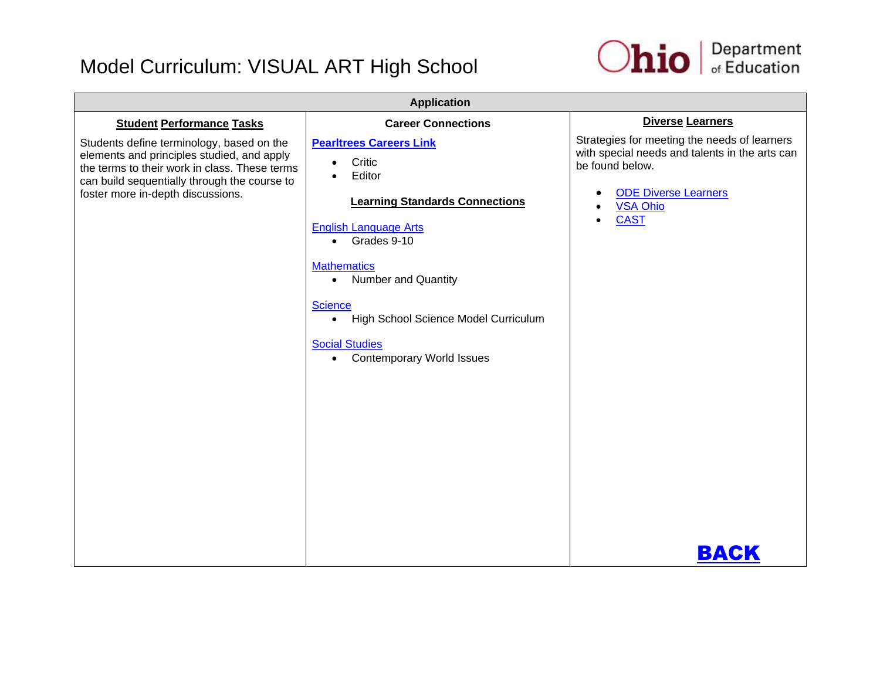

| <b>Application</b>                                                                                                                                                                                                            |                                                                                                                                                                                                                                                                                                                                                                             |                                                                                                                                                                                                                           |  |
|-------------------------------------------------------------------------------------------------------------------------------------------------------------------------------------------------------------------------------|-----------------------------------------------------------------------------------------------------------------------------------------------------------------------------------------------------------------------------------------------------------------------------------------------------------------------------------------------------------------------------|---------------------------------------------------------------------------------------------------------------------------------------------------------------------------------------------------------------------------|--|
| <b>Student Performance Tasks</b>                                                                                                                                                                                              | <b>Career Connections</b>                                                                                                                                                                                                                                                                                                                                                   | <b>Diverse Learners</b>                                                                                                                                                                                                   |  |
| Students define terminology, based on the<br>elements and principles studied, and apply<br>the terms to their work in class. These terms<br>can build sequentially through the course to<br>foster more in-depth discussions. | <b>Pearltrees Careers Link</b><br>Critic<br>$\bullet$<br>Editor<br><b>Learning Standards Connections</b><br><b>English Language Arts</b><br>• Grades 9-10<br><b>Mathematics</b><br><b>Number and Quantity</b><br>$\bullet$<br><b>Science</b><br>High School Science Model Curriculum<br>$\bullet$<br><b>Social Studies</b><br><b>Contemporary World Issues</b><br>$\bullet$ | Strategies for meeting the needs of learners<br>with special needs and talents in the arts can<br>be found below.<br><b>ODE Diverse Learners</b><br>$\bullet$<br><b>VSA Ohio</b><br>$\bullet$<br><b>CAST</b><br>$\bullet$ |  |
|                                                                                                                                                                                                                               |                                                                                                                                                                                                                                                                                                                                                                             | BACK                                                                                                                                                                                                                      |  |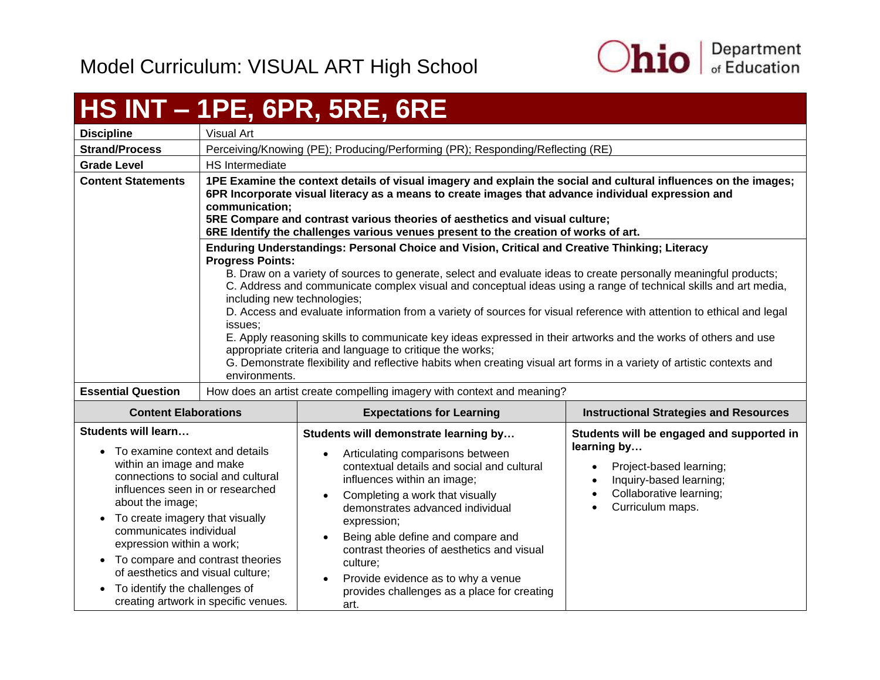

## <span id="page-20-0"></span>**HS INT – 1PE, 6PR, 5RE, 6RE**

| <b>Discipline</b>                                                                                                                                                                                                                                                                                                                                         | Visual Art                                                                                                                                                                                                                                                                                                                                                                                                                                                                                                                                                                                                                                                                                                                                                                                                                                                 |                                                                                                                                                                                                                                                                                                                                              |                                                                                                                                                               |
|-----------------------------------------------------------------------------------------------------------------------------------------------------------------------------------------------------------------------------------------------------------------------------------------------------------------------------------------------------------|------------------------------------------------------------------------------------------------------------------------------------------------------------------------------------------------------------------------------------------------------------------------------------------------------------------------------------------------------------------------------------------------------------------------------------------------------------------------------------------------------------------------------------------------------------------------------------------------------------------------------------------------------------------------------------------------------------------------------------------------------------------------------------------------------------------------------------------------------------|----------------------------------------------------------------------------------------------------------------------------------------------------------------------------------------------------------------------------------------------------------------------------------------------------------------------------------------------|---------------------------------------------------------------------------------------------------------------------------------------------------------------|
| <b>Strand/Process</b>                                                                                                                                                                                                                                                                                                                                     | Perceiving/Knowing (PE); Producing/Performing (PR); Responding/Reflecting (RE)                                                                                                                                                                                                                                                                                                                                                                                                                                                                                                                                                                                                                                                                                                                                                                             |                                                                                                                                                                                                                                                                                                                                              |                                                                                                                                                               |
| <b>Grade Level</b>                                                                                                                                                                                                                                                                                                                                        | HS Intermediate                                                                                                                                                                                                                                                                                                                                                                                                                                                                                                                                                                                                                                                                                                                                                                                                                                            |                                                                                                                                                                                                                                                                                                                                              |                                                                                                                                                               |
| <b>Content Statements</b>                                                                                                                                                                                                                                                                                                                                 | 1PE Examine the context details of visual imagery and explain the social and cultural influences on the images;<br>6PR Incorporate visual literacy as a means to create images that advance individual expression and<br>communication;<br>5RE Compare and contrast various theories of aesthetics and visual culture;<br>6RE Identify the challenges various venues present to the creation of works of art.                                                                                                                                                                                                                                                                                                                                                                                                                                              |                                                                                                                                                                                                                                                                                                                                              |                                                                                                                                                               |
|                                                                                                                                                                                                                                                                                                                                                           | Enduring Understandings: Personal Choice and Vision, Critical and Creative Thinking; Literacy<br><b>Progress Points:</b><br>B. Draw on a variety of sources to generate, select and evaluate ideas to create personally meaningful products;<br>C. Address and communicate complex visual and conceptual ideas using a range of technical skills and art media,<br>including new technologies;<br>D. Access and evaluate information from a variety of sources for visual reference with attention to ethical and legal<br>issues:<br>E. Apply reasoning skills to communicate key ideas expressed in their artworks and the works of others and use<br>appropriate criteria and language to critique the works;<br>G. Demonstrate flexibility and reflective habits when creating visual art forms in a variety of artistic contexts and<br>environments. |                                                                                                                                                                                                                                                                                                                                              |                                                                                                                                                               |
| <b>Essential Question</b>                                                                                                                                                                                                                                                                                                                                 |                                                                                                                                                                                                                                                                                                                                                                                                                                                                                                                                                                                                                                                                                                                                                                                                                                                            | How does an artist create compelling imagery with context and meaning?                                                                                                                                                                                                                                                                       |                                                                                                                                                               |
| <b>Content Elaborations</b>                                                                                                                                                                                                                                                                                                                               | <b>Instructional Strategies and Resources</b><br><b>Expectations for Learning</b>                                                                                                                                                                                                                                                                                                                                                                                                                                                                                                                                                                                                                                                                                                                                                                          |                                                                                                                                                                                                                                                                                                                                              |                                                                                                                                                               |
| Students will learn<br>• To examine context and details<br>within an image and make<br>connections to social and cultural<br>influences seen in or researched<br>about the image;<br>• To create imagery that visually<br>communicates individual<br>expression within a work;<br>• To compare and contrast theories<br>of aesthetics and visual culture; |                                                                                                                                                                                                                                                                                                                                                                                                                                                                                                                                                                                                                                                                                                                                                                                                                                                            | Students will demonstrate learning by<br>Articulating comparisons between<br>contextual details and social and cultural<br>influences within an image;<br>Completing a work that visually<br>demonstrates advanced individual<br>expression;<br>Being able define and compare and<br>$\bullet$<br>contrast theories of aesthetics and visual | Students will be engaged and supported in<br>learning by<br>Project-based learning;<br>Inquiry-based learning;<br>Collaborative learning;<br>Curriculum maps. |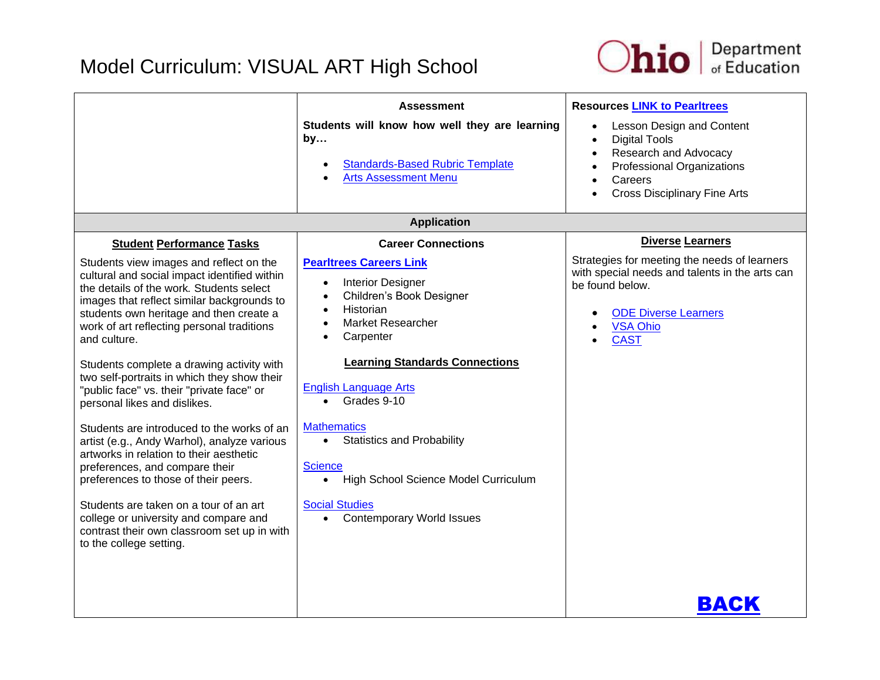

|                                                                                                                                                                                                                                                                                                                                                                                                                                                                                                                                                                                                                                                                                                                                                                                                                                                                                        | <b>Assessment</b><br>Students will know how well they are learning<br>by<br><b>Standards-Based Rubric Template</b><br><b>Arts Assessment Menu</b>                                                                                                                                                                                                                                                                                                                                                       | <b>Resources LINK to Pearltrees</b><br>Lesson Design and Content<br>$\bullet$<br><b>Digital Tools</b><br>$\bullet$<br>Research and Advocacy<br><b>Professional Organizations</b><br>Careers<br><b>Cross Disciplinary Fine Arts</b> |
|----------------------------------------------------------------------------------------------------------------------------------------------------------------------------------------------------------------------------------------------------------------------------------------------------------------------------------------------------------------------------------------------------------------------------------------------------------------------------------------------------------------------------------------------------------------------------------------------------------------------------------------------------------------------------------------------------------------------------------------------------------------------------------------------------------------------------------------------------------------------------------------|---------------------------------------------------------------------------------------------------------------------------------------------------------------------------------------------------------------------------------------------------------------------------------------------------------------------------------------------------------------------------------------------------------------------------------------------------------------------------------------------------------|------------------------------------------------------------------------------------------------------------------------------------------------------------------------------------------------------------------------------------|
|                                                                                                                                                                                                                                                                                                                                                                                                                                                                                                                                                                                                                                                                                                                                                                                                                                                                                        | <b>Application</b>                                                                                                                                                                                                                                                                                                                                                                                                                                                                                      |                                                                                                                                                                                                                                    |
| <b>Student Performance Tasks</b><br>Students view images and reflect on the<br>cultural and social impact identified within<br>the details of the work. Students select<br>images that reflect similar backgrounds to<br>students own heritage and then create a<br>work of art reflecting personal traditions<br>and culture.<br>Students complete a drawing activity with<br>two self-portraits in which they show their<br>"public face" vs. their "private face" or<br>personal likes and dislikes.<br>Students are introduced to the works of an<br>artist (e.g., Andy Warhol), analyze various<br>artworks in relation to their aesthetic<br>preferences, and compare their<br>preferences to those of their peers.<br>Students are taken on a tour of an art<br>college or university and compare and<br>contrast their own classroom set up in with<br>to the college setting. | <b>Career Connections</b><br><b>Pearltrees Careers Link</b><br><b>Interior Designer</b><br>$\bullet$<br>Children's Book Designer<br>Historian<br><b>Market Researcher</b><br>Carpenter<br><b>Learning Standards Connections</b><br><b>English Language Arts</b><br>Grades 9-10<br>$\bullet$<br><b>Mathematics</b><br><b>Statistics and Probability</b><br>$\bullet$<br><b>Science</b><br>High School Science Model Curriculum<br>$\bullet$<br><b>Social Studies</b><br><b>Contemporary World Issues</b> | <b>Diverse Learners</b><br>Strategies for meeting the needs of learners<br>with special needs and talents in the arts can<br>be found below.<br><b>ODE Diverse Learners</b><br><b>VSA Ohio</b><br><b>CAST</b>                      |
|                                                                                                                                                                                                                                                                                                                                                                                                                                                                                                                                                                                                                                                                                                                                                                                                                                                                                        |                                                                                                                                                                                                                                                                                                                                                                                                                                                                                                         | BACK                                                                                                                                                                                                                               |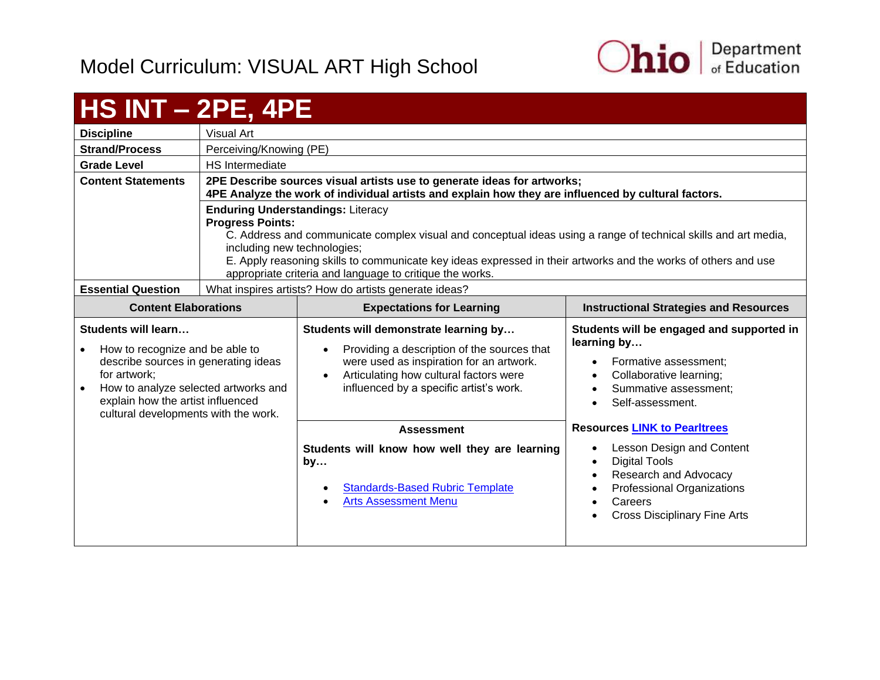

<span id="page-22-0"></span>

| $HS INT - 2PE, 4PE$                                                                                                                                                                                                                              |                                                                                                                                                                                                                                                                                                                                                                                                     |                                                                                                                                                                                                                       |                                                                                                                                                                        |
|--------------------------------------------------------------------------------------------------------------------------------------------------------------------------------------------------------------------------------------------------|-----------------------------------------------------------------------------------------------------------------------------------------------------------------------------------------------------------------------------------------------------------------------------------------------------------------------------------------------------------------------------------------------------|-----------------------------------------------------------------------------------------------------------------------------------------------------------------------------------------------------------------------|------------------------------------------------------------------------------------------------------------------------------------------------------------------------|
| <b>Discipline</b>                                                                                                                                                                                                                                | <b>Visual Art</b>                                                                                                                                                                                                                                                                                                                                                                                   |                                                                                                                                                                                                                       |                                                                                                                                                                        |
| <b>Strand/Process</b>                                                                                                                                                                                                                            | Perceiving/Knowing (PE)                                                                                                                                                                                                                                                                                                                                                                             |                                                                                                                                                                                                                       |                                                                                                                                                                        |
| <b>Grade Level</b>                                                                                                                                                                                                                               | <b>HS</b> Intermediate                                                                                                                                                                                                                                                                                                                                                                              |                                                                                                                                                                                                                       |                                                                                                                                                                        |
| <b>Content Statements</b>                                                                                                                                                                                                                        | 2PE Describe sources visual artists use to generate ideas for artworks;<br>4PE Analyze the work of individual artists and explain how they are influenced by cultural factors.                                                                                                                                                                                                                      |                                                                                                                                                                                                                       |                                                                                                                                                                        |
|                                                                                                                                                                                                                                                  | <b>Enduring Understandings: Literacy</b><br><b>Progress Points:</b><br>C. Address and communicate complex visual and conceptual ideas using a range of technical skills and art media,<br>including new technologies;<br>E. Apply reasoning skills to communicate key ideas expressed in their artworks and the works of others and use<br>appropriate criteria and language to critique the works. |                                                                                                                                                                                                                       |                                                                                                                                                                        |
| <b>Essential Question</b>                                                                                                                                                                                                                        | What inspires artists? How do artists generate ideas?                                                                                                                                                                                                                                                                                                                                               |                                                                                                                                                                                                                       |                                                                                                                                                                        |
| <b>Content Elaborations</b>                                                                                                                                                                                                                      |                                                                                                                                                                                                                                                                                                                                                                                                     | <b>Expectations for Learning</b>                                                                                                                                                                                      | <b>Instructional Strategies and Resources</b>                                                                                                                          |
|                                                                                                                                                                                                                                                  |                                                                                                                                                                                                                                                                                                                                                                                                     |                                                                                                                                                                                                                       |                                                                                                                                                                        |
| Students will learn<br>How to recognize and be able to<br>$\bullet$<br>describe sources in generating ideas<br>for artwork;<br>How to analyze selected artworks and<br>explain how the artist influenced<br>cultural developments with the work. |                                                                                                                                                                                                                                                                                                                                                                                                     | Students will demonstrate learning by<br>Providing a description of the sources that<br>were used as inspiration for an artwork.<br>Articulating how cultural factors were<br>influenced by a specific artist's work. | Students will be engaged and supported in<br>learning by<br>Formative assessment:<br>Collaborative learning;<br>$\bullet$<br>Summative assessment:<br>Self-assessment. |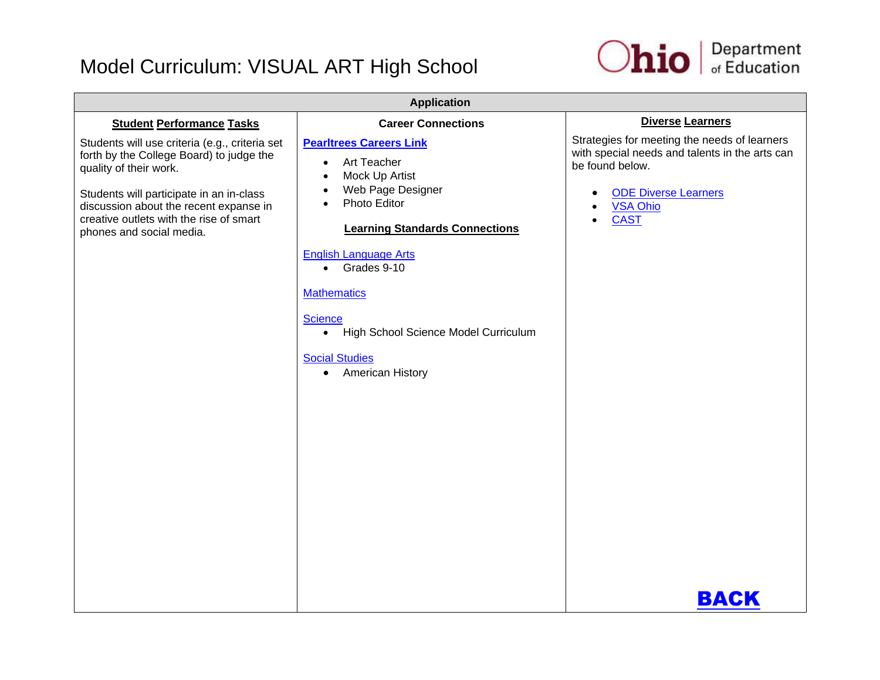

| <b>Application</b>                                                                                                                                                                                                                                                                |                                                                                                                                                                                                                                                                                                                                                                        |                                                                                                                                                                                                      |  |
|-----------------------------------------------------------------------------------------------------------------------------------------------------------------------------------------------------------------------------------------------------------------------------------|------------------------------------------------------------------------------------------------------------------------------------------------------------------------------------------------------------------------------------------------------------------------------------------------------------------------------------------------------------------------|------------------------------------------------------------------------------------------------------------------------------------------------------------------------------------------------------|--|
| <b>Student Performance Tasks</b>                                                                                                                                                                                                                                                  | <b>Career Connections</b>                                                                                                                                                                                                                                                                                                                                              | <b>Diverse Learners</b>                                                                                                                                                                              |  |
| Students will use criteria (e.g., criteria set<br>forth by the College Board) to judge the<br>quality of their work.<br>Students will participate in an in-class<br>discussion about the recent expanse in<br>creative outlets with the rise of smart<br>phones and social media. | <b>Pearltrees Careers Link</b><br>Art Teacher<br>$\bullet$<br>Mock Up Artist<br>$\bullet$<br>Web Page Designer<br>$\bullet$<br>Photo Editor<br><b>Learning Standards Connections</b><br><b>English Language Arts</b><br>• Grades 9-10<br><b>Mathematics</b><br><b>Science</b><br>• High School Science Model Curriculum<br><b>Social Studies</b><br>• American History | Strategies for meeting the needs of learners<br>with special needs and talents in the arts can<br>be found below.<br><b>ODE Diverse Learners</b><br>٠<br><b>VSA Ohio</b><br><b>CAST</b><br>$\bullet$ |  |
|                                                                                                                                                                                                                                                                                   |                                                                                                                                                                                                                                                                                                                                                                        | BACK                                                                                                                                                                                                 |  |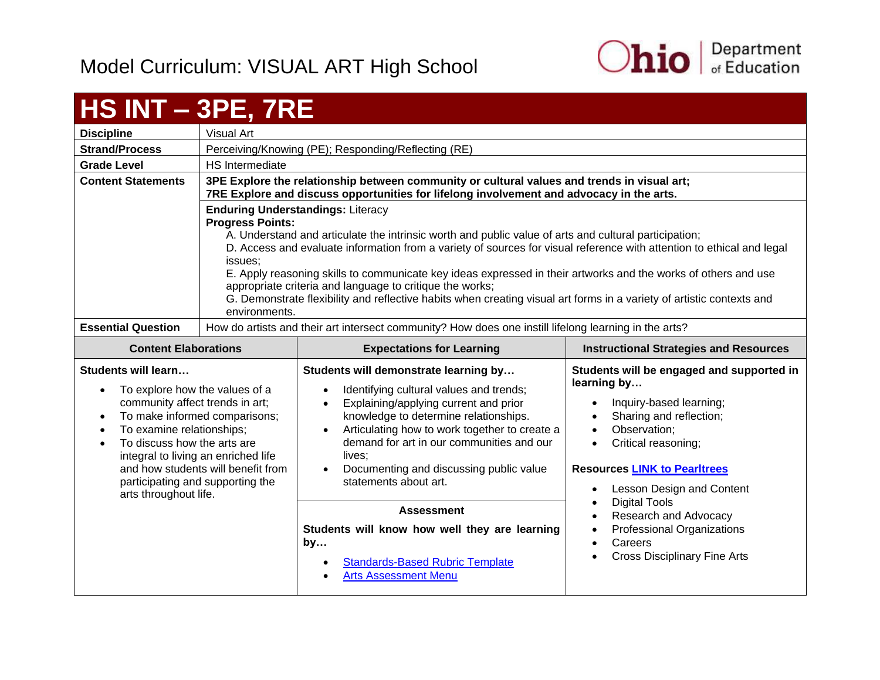arts throughout life.



#### <span id="page-24-0"></span>**HS INT – 3PE, 7RE Discipline** Visual Art **Strand/Process** | Perceiving/Knowing (PE); Responding/Reflecting (RE) **Grade Level HS** Intermediate **Content Statements 3PE Explore the relationship between community or cultural values and trends in visual art; 7RE Explore and discuss opportunities for lifelong involvement and advocacy in the arts. Enduring Understandings:** Literacy **Progress Points:** A. Understand and articulate the intrinsic worth and public value of arts and cultural participation; D. Access and evaluate information from a variety of sources for visual reference with attention to ethical and legal issues; E. Apply reasoning skills to communicate key ideas expressed in their artworks and the works of others and use appropriate criteria and language to critique the works; G. Demonstrate flexibility and reflective habits when creating visual art forms in a variety of artistic contexts and environments. **Essential Question** | How do artists and their art intersect community? How does one instill lifelong learning in the arts? **Content Elaborations Expectations for Learning Instructional Strategies and Resources Students will learn…** • To explore how the values of a community affect trends in art; • To make informed comparisons; • To examine relationships; To discuss how the arts are integral to living an enriched life and how students will benefit from participating and supporting the **Students will demonstrate learning by…** • Identifying cultural values and trends; • Explaining/applying current and prior knowledge to determine relationships. • Articulating how to work together to create a demand for art in our communities and our lives: Documenting and discussing public value statements about art. **Students will be engaged and supported in learning by…** • Inquiry-based learning; • Sharing and reflection; • Observation; • Critical reasoning: **Resources [LINK to Pearltrees](http://www.pearltrees.com/ohioartsed)**

**Assessment Students will know how well they are learning** 

• [Standards-Based Rubric Template](https://education.ohio.gov/getattachment/Topics/Ohio-s-New-Learning-Standards/Fine-Arts/Standards_based_Rubric.pdf.aspx)

[Arts Assessment Menu](https://education.ohio.gov/getattachment/Topics/Ohio-s-New-Learning-Standards/Fine-Arts/Arts-Assess-Chart.pdf.aspx)

**by…**

- Lesson Design and Content
- Digital Tools
- Research and Advocacy
- Professional Organizations
- Careers
- Cross Disciplinary Fine Arts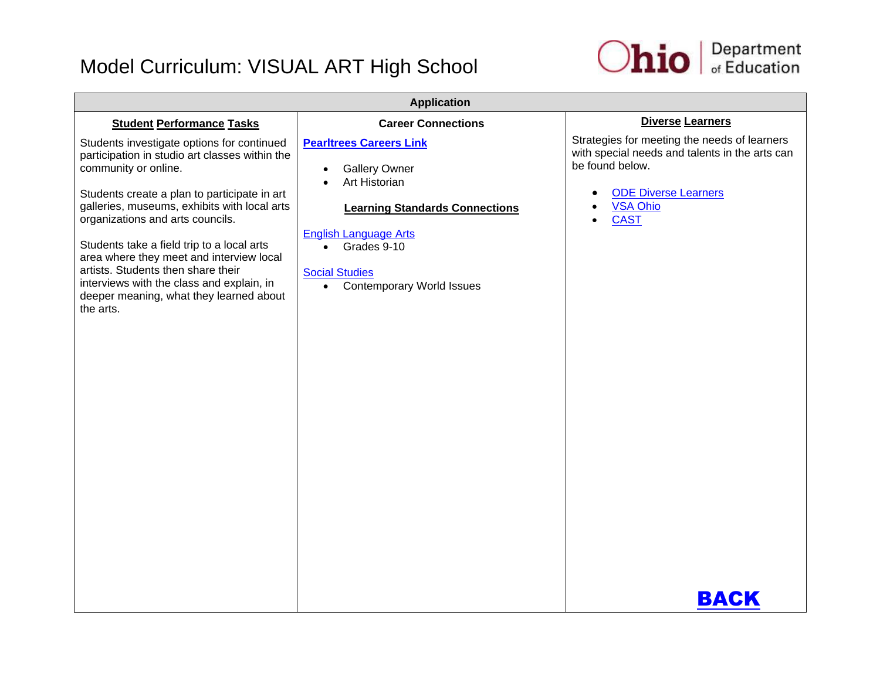

| <b>Application</b>                                                                                                                                                                                                                                                                                                                                                                                                                                                                            |                                                                                                                                                                                                                                                        |                                                                                                                                                                                                         |
|-----------------------------------------------------------------------------------------------------------------------------------------------------------------------------------------------------------------------------------------------------------------------------------------------------------------------------------------------------------------------------------------------------------------------------------------------------------------------------------------------|--------------------------------------------------------------------------------------------------------------------------------------------------------------------------------------------------------------------------------------------------------|---------------------------------------------------------------------------------------------------------------------------------------------------------------------------------------------------------|
| <b>Student Performance Tasks</b>                                                                                                                                                                                                                                                                                                                                                                                                                                                              | <b>Career Connections</b>                                                                                                                                                                                                                              | <b>Diverse Learners</b>                                                                                                                                                                                 |
| Students investigate options for continued<br>participation in studio art classes within the<br>community or online.<br>Students create a plan to participate in art<br>galleries, museums, exhibits with local arts<br>organizations and arts councils.<br>Students take a field trip to a local arts<br>area where they meet and interview local<br>artists. Students then share their<br>interviews with the class and explain, in<br>deeper meaning, what they learned about<br>the arts. | <b>Pearltrees Careers Link</b><br><b>Gallery Owner</b><br>Art Historian<br><b>Learning Standards Connections</b><br><b>English Language Arts</b><br>Grades 9-10<br>$\bullet$<br><b>Social Studies</b><br><b>Contemporary World Issues</b><br>$\bullet$ | Strategies for meeting the needs of learners<br>with special needs and talents in the arts can<br>be found below.<br><b>ODE Diverse Learners</b><br>$\bullet$<br><b>VSA Ohio</b><br><b>CAST</b><br>BACK |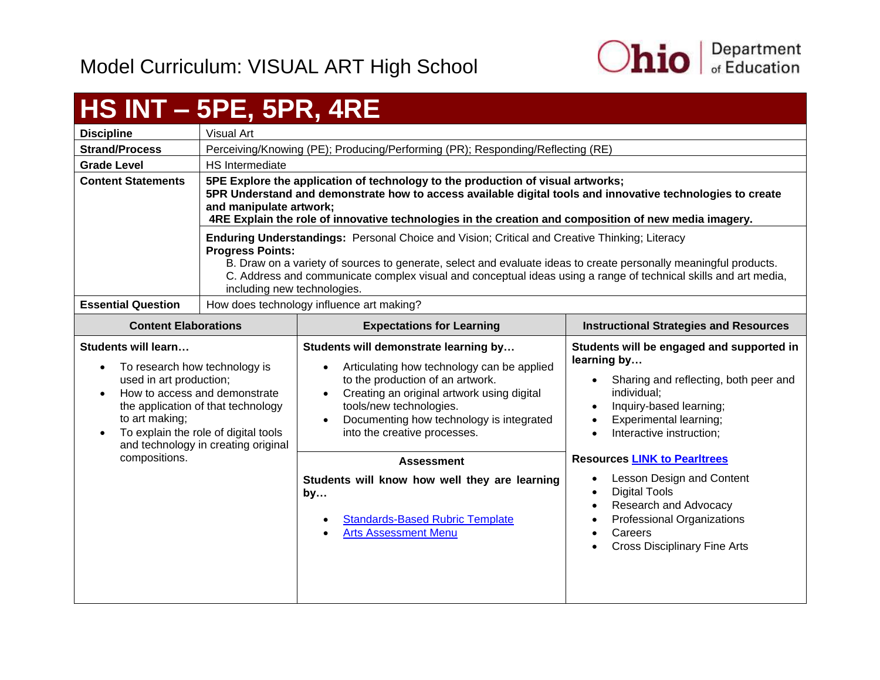

## <span id="page-26-0"></span>**HS INT – 5PE, 5PR, 4RE**

| <b>Discipline</b>         | Visual Art                                                                                                                                                                                                                                                                                                                                                                                            |
|---------------------------|-------------------------------------------------------------------------------------------------------------------------------------------------------------------------------------------------------------------------------------------------------------------------------------------------------------------------------------------------------------------------------------------------------|
| <b>Strand/Process</b>     | Perceiving/Knowing (PE); Producing/Performing (PR); Responding/Reflecting (RE)                                                                                                                                                                                                                                                                                                                        |
| <b>Grade Level</b>        | <b>HS</b> Intermediate                                                                                                                                                                                                                                                                                                                                                                                |
| <b>Content Statements</b> | 5PE Explore the application of technology to the production of visual artworks;<br>5PR Understand and demonstrate how to access available digital tools and innovative technologies to create<br>and manipulate artwork;<br>4RE Explain the role of innovative technologies in the creation and composition of new media imagery.                                                                     |
|                           | <b>Enduring Understandings: Personal Choice and Vision; Critical and Creative Thinking; Literacy</b><br><b>Progress Points:</b><br>B. Draw on a variety of sources to generate, select and evaluate ideas to create personally meaningful products.<br>C. Address and communicate complex visual and conceptual ideas using a range of technical skills and art media,<br>including new technologies. |
| <b>Essential Question</b> | How does technology influence art making?                                                                                                                                                                                                                                                                                                                                                             |

| <b>Content Elaborations</b>                                                                                                                                                                                                                                                                    | <b>Expectations for Learning</b>                                                                                                                                                                                                                                                                                    | <b>Instructional Strategies and Resources</b>                                                                                                                                                                                                      |
|------------------------------------------------------------------------------------------------------------------------------------------------------------------------------------------------------------------------------------------------------------------------------------------------|---------------------------------------------------------------------------------------------------------------------------------------------------------------------------------------------------------------------------------------------------------------------------------------------------------------------|----------------------------------------------------------------------------------------------------------------------------------------------------------------------------------------------------------------------------------------------------|
| Students will learn<br>To research how technology is<br>$\bullet$<br>used in art production;<br>How to access and demonstrate<br>$\bullet$<br>the application of that technology<br>to art making;<br>To explain the role of digital tools<br>$\bullet$<br>and technology in creating original | Students will demonstrate learning by<br>Articulating how technology can be applied<br>$\bullet$<br>to the production of an artwork.<br>Creating an original artwork using digital<br>$\bullet$<br>tools/new technologies.<br>Documenting how technology is integrated<br>$\bullet$<br>into the creative processes. | Students will be engaged and supported in<br>learning by<br>Sharing and reflecting, both peer and<br>individual;<br>Inquiry-based learning;<br>Experimental learning;<br>Interactive instruction;<br>$\bullet$                                     |
| compositions.                                                                                                                                                                                                                                                                                  | <b>Assessment</b><br>Students will know how well they are learning<br>by<br><b>Standards-Based Rubric Template</b><br>$\bullet$<br><b>Arts Assessment Menu</b><br>$\bullet$                                                                                                                                         | <b>Resources LINK to Pearltrees</b><br>Lesson Design and Content<br>٠<br><b>Digital Tools</b><br>$\bullet$<br>Research and Advocacy<br>Professional Organizations<br>$\bullet$<br>Careers<br>٠<br><b>Cross Disciplinary Fine Arts</b><br>$\bullet$ |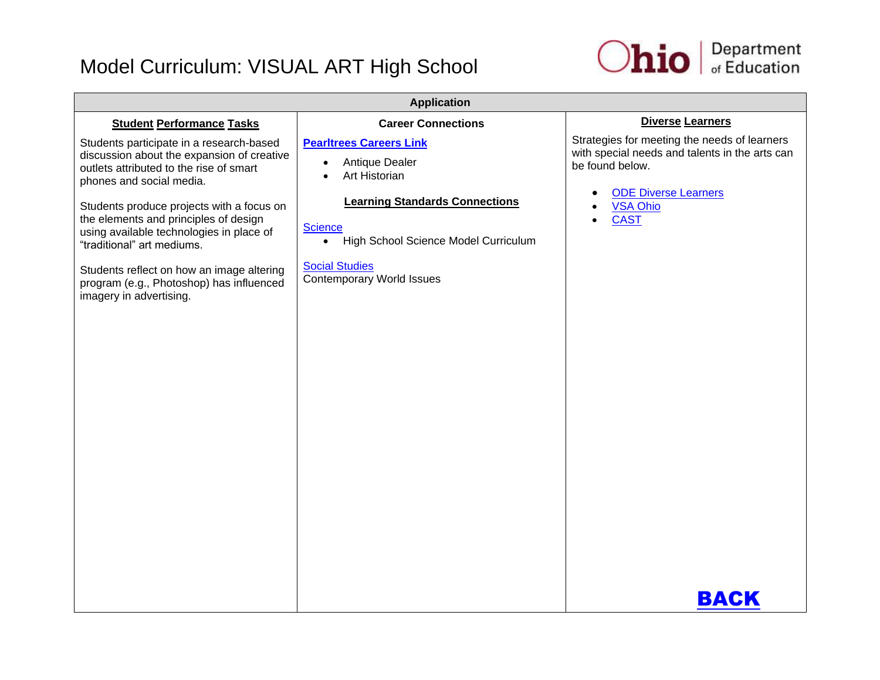

| <b>Application</b>                                                                                                                                                                                                                                                                                                                                                                                                                                |                                                                                                                                                                                                                                                             |                                                                                                                                                                                                              |
|---------------------------------------------------------------------------------------------------------------------------------------------------------------------------------------------------------------------------------------------------------------------------------------------------------------------------------------------------------------------------------------------------------------------------------------------------|-------------------------------------------------------------------------------------------------------------------------------------------------------------------------------------------------------------------------------------------------------------|--------------------------------------------------------------------------------------------------------------------------------------------------------------------------------------------------------------|
| <b>Student Performance Tasks</b>                                                                                                                                                                                                                                                                                                                                                                                                                  | <b>Career Connections</b>                                                                                                                                                                                                                                   | <b>Diverse Learners</b>                                                                                                                                                                                      |
| Students participate in a research-based<br>discussion about the expansion of creative<br>outlets attributed to the rise of smart<br>phones and social media.<br>Students produce projects with a focus on<br>the elements and principles of design<br>using available technologies in place of<br>"traditional" art mediums.<br>Students reflect on how an image altering<br>program (e.g., Photoshop) has influenced<br>imagery in advertising. | <b>Pearltrees Careers Link</b><br>Antique Dealer<br>$\bullet$<br>Art Historian<br><b>Learning Standards Connections</b><br><b>Science</b><br>High School Science Model Curriculum<br>$\bullet$<br><b>Social Studies</b><br><b>Contemporary World Issues</b> | Strategies for meeting the needs of learners<br>with special needs and talents in the arts can<br>be found below.<br><b>ODE Diverse Learners</b><br>٠<br><b>VSA Ohio</b><br><b>CAST</b><br>$\bullet$<br>BACK |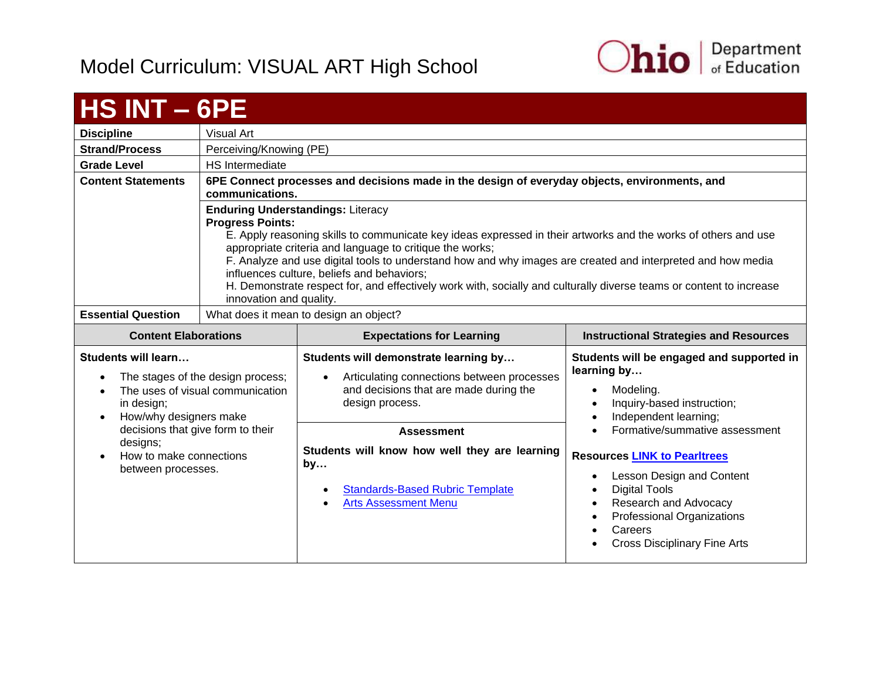

<span id="page-28-0"></span>

| HS INT - 6PE                                               |                                                                                                                                                                                                                                                                                                                                                                                                                                                                                                                                                                  |  |                                           |
|------------------------------------------------------------|------------------------------------------------------------------------------------------------------------------------------------------------------------------------------------------------------------------------------------------------------------------------------------------------------------------------------------------------------------------------------------------------------------------------------------------------------------------------------------------------------------------------------------------------------------------|--|-------------------------------------------|
| <b>Discipline</b>                                          | Visual Art                                                                                                                                                                                                                                                                                                                                                                                                                                                                                                                                                       |  |                                           |
| <b>Strand/Process</b>                                      | Perceiving/Knowing (PE)                                                                                                                                                                                                                                                                                                                                                                                                                                                                                                                                          |  |                                           |
| <b>Grade Level</b>                                         | HS Intermediate                                                                                                                                                                                                                                                                                                                                                                                                                                                                                                                                                  |  |                                           |
| <b>Content Statements</b>                                  | 6PE Connect processes and decisions made in the design of everyday objects, environments, and<br>communications.                                                                                                                                                                                                                                                                                                                                                                                                                                                 |  |                                           |
|                                                            | <b>Enduring Understandings: Literacy</b><br><b>Progress Points:</b><br>E. Apply reasoning skills to communicate key ideas expressed in their artworks and the works of others and use<br>appropriate criteria and language to critique the works;<br>F. Analyze and use digital tools to understand how and why images are created and interpreted and how media<br>influences culture, beliefs and behaviors;<br>H. Demonstrate respect for, and effectively work with, socially and culturally diverse teams or content to increase<br>innovation and quality. |  |                                           |
| <b>Essential Question</b>                                  | What does it mean to design an object?                                                                                                                                                                                                                                                                                                                                                                                                                                                                                                                           |  |                                           |
| <b>Content Elaborations</b>                                | <b>Expectations for Learning</b><br><b>Instructional Strategies and Resources</b>                                                                                                                                                                                                                                                                                                                                                                                                                                                                                |  |                                           |
| Students will learn<br>• The stages of the design process: | Students will demonstrate learning by<br>learning by<br>$\bullet$ Articulating connections between processes                                                                                                                                                                                                                                                                                                                                                                                                                                                     |  | Students will be engaged and supported in |

| The stages of the design process;                                                              | Articulating connections between processes                                                                                                                                  | rearming by                                                                                                                                                                                                                  |
|------------------------------------------------------------------------------------------------|-----------------------------------------------------------------------------------------------------------------------------------------------------------------------------|------------------------------------------------------------------------------------------------------------------------------------------------------------------------------------------------------------------------------|
| The uses of visual communication                                                               | $\bullet$                                                                                                                                                                   | Modeling.                                                                                                                                                                                                                    |
| in design;                                                                                     | and decisions that are made during the                                                                                                                                      | Inquiry-based instruction;                                                                                                                                                                                                   |
| How/why designers make                                                                         | design process.                                                                                                                                                             | Independent learning;                                                                                                                                                                                                        |
| decisions that give form to their<br>designs;<br>How to make connections<br>between processes. | <b>Assessment</b><br>Students will know how well they are learning<br>by<br><b>Standards-Based Rubric Template</b><br>$\bullet$<br><b>Arts Assessment Menu</b><br>$\bullet$ | Formative/summative assessment<br><b>Resources LINK to Pearltrees</b><br>Lesson Design and Content<br>Digital Tools<br>Research and Advocacy<br>Professional Organizations<br>Careers<br><b>Cross Disciplinary Fine Arts</b> |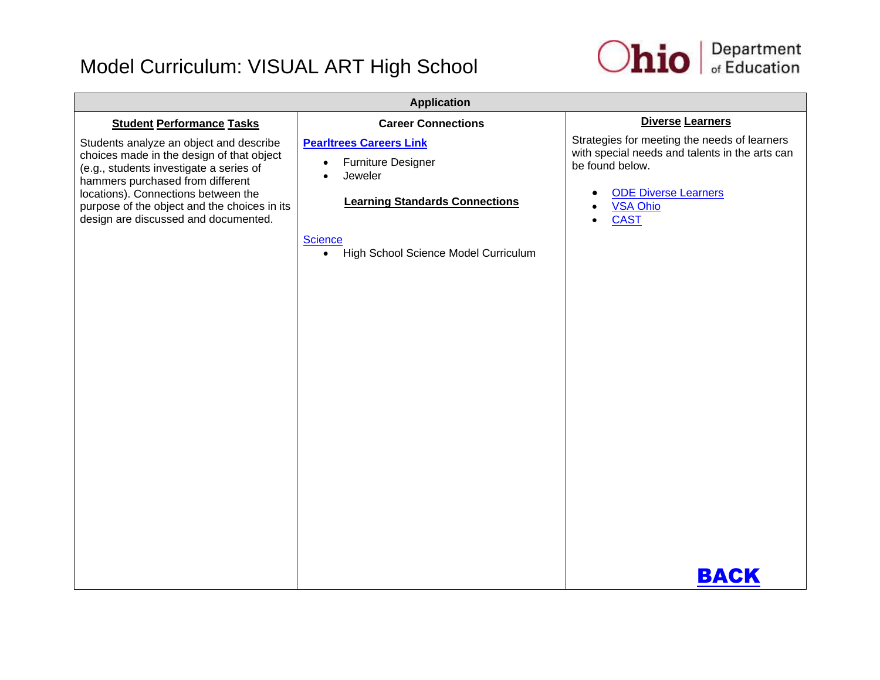

| <b>Application</b>                                                                                                                                                                                                                                                                                 |                                                                                                                                                                                                     |                                                                                                                                                                                    |
|----------------------------------------------------------------------------------------------------------------------------------------------------------------------------------------------------------------------------------------------------------------------------------------------------|-----------------------------------------------------------------------------------------------------------------------------------------------------------------------------------------------------|------------------------------------------------------------------------------------------------------------------------------------------------------------------------------------|
| <b>Student Performance Tasks</b>                                                                                                                                                                                                                                                                   | <b>Career Connections</b>                                                                                                                                                                           | <b>Diverse Learners</b>                                                                                                                                                            |
| Students analyze an object and describe<br>choices made in the design of that object<br>(e.g., students investigate a series of<br>hammers purchased from different<br>locations). Connections between the<br>purpose of the object and the choices in its<br>design are discussed and documented. | <b>Pearltrees Careers Link</b><br><b>Furniture Designer</b><br>$\bullet$<br>Jeweler<br><b>Learning Standards Connections</b><br><b>Science</b><br>High School Science Model Curriculum<br>$\bullet$ | Strategies for meeting the needs of learners<br>with special needs and talents in the arts can<br>be found below.<br><b>ODE Diverse Learners</b><br><b>VSA Ohio</b><br><b>CAST</b> |
|                                                                                                                                                                                                                                                                                                    |                                                                                                                                                                                                     | <b>BACK</b>                                                                                                                                                                        |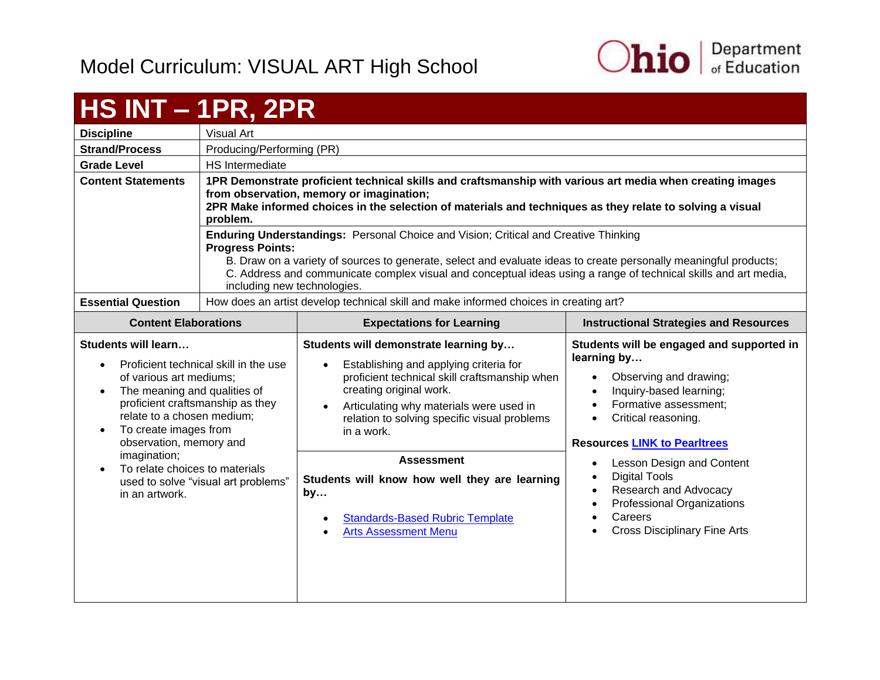

<span id="page-30-0"></span>

| <b>HS INT - 1PR, 2PR</b>                                                                                                                                                                                                                                                        |                                                                                                                                                                                                                                                                                                                                                                                      |                                                                                                                                                                                                                                                                                                                                                                                                                           |                                                                                                                                                                                                                                                                                                                                                                                                                                                         |
|---------------------------------------------------------------------------------------------------------------------------------------------------------------------------------------------------------------------------------------------------------------------------------|--------------------------------------------------------------------------------------------------------------------------------------------------------------------------------------------------------------------------------------------------------------------------------------------------------------------------------------------------------------------------------------|---------------------------------------------------------------------------------------------------------------------------------------------------------------------------------------------------------------------------------------------------------------------------------------------------------------------------------------------------------------------------------------------------------------------------|---------------------------------------------------------------------------------------------------------------------------------------------------------------------------------------------------------------------------------------------------------------------------------------------------------------------------------------------------------------------------------------------------------------------------------------------------------|
| <b>Discipline</b>                                                                                                                                                                                                                                                               | Visual Art                                                                                                                                                                                                                                                                                                                                                                           |                                                                                                                                                                                                                                                                                                                                                                                                                           |                                                                                                                                                                                                                                                                                                                                                                                                                                                         |
| <b>Strand/Process</b>                                                                                                                                                                                                                                                           | Producing/Performing (PR)                                                                                                                                                                                                                                                                                                                                                            |                                                                                                                                                                                                                                                                                                                                                                                                                           |                                                                                                                                                                                                                                                                                                                                                                                                                                                         |
| <b>Grade Level</b>                                                                                                                                                                                                                                                              | <b>HS</b> Intermediate                                                                                                                                                                                                                                                                                                                                                               |                                                                                                                                                                                                                                                                                                                                                                                                                           |                                                                                                                                                                                                                                                                                                                                                                                                                                                         |
| <b>Content Statements</b>                                                                                                                                                                                                                                                       | 1PR Demonstrate proficient technical skills and craftsmanship with various art media when creating images<br>from observation, memory or imagination;<br>2PR Make informed choices in the selection of materials and techniques as they relate to solving a visual<br>problem.                                                                                                       |                                                                                                                                                                                                                                                                                                                                                                                                                           |                                                                                                                                                                                                                                                                                                                                                                                                                                                         |
| <b>Essential Question</b>                                                                                                                                                                                                                                                       | Enduring Understandings: Personal Choice and Vision; Critical and Creative Thinking<br><b>Progress Points:</b><br>B. Draw on a variety of sources to generate, select and evaluate ideas to create personally meaningful products;<br>C. Address and communicate complex visual and conceptual ideas using a range of technical skills and art media,<br>including new technologies. |                                                                                                                                                                                                                                                                                                                                                                                                                           |                                                                                                                                                                                                                                                                                                                                                                                                                                                         |
|                                                                                                                                                                                                                                                                                 | How does an artist develop technical skill and make informed choices in creating art?                                                                                                                                                                                                                                                                                                |                                                                                                                                                                                                                                                                                                                                                                                                                           |                                                                                                                                                                                                                                                                                                                                                                                                                                                         |
| <b>Content Elaborations</b>                                                                                                                                                                                                                                                     |                                                                                                                                                                                                                                                                                                                                                                                      | <b>Expectations for Learning</b>                                                                                                                                                                                                                                                                                                                                                                                          | <b>Instructional Strategies and Resources</b>                                                                                                                                                                                                                                                                                                                                                                                                           |
| <b>Students will learn</b><br>of various art mediums;<br>The meaning and qualities of<br>proficient craftsmanship as they<br>relate to a chosen medium;<br>To create images from<br>observation, memory and<br>imagination;<br>To relate choices to materials<br>in an artwork. | Proficient technical skill in the use<br>used to solve "visual art problems"                                                                                                                                                                                                                                                                                                         | Students will demonstrate learning by<br>Establishing and applying criteria for<br>proficient technical skill craftsmanship when<br>creating original work.<br>Articulating why materials were used in<br>relation to solving specific visual problems<br>in a work.<br><b>Assessment</b><br>Students will know how well they are learning<br>by<br><b>Standards-Based Rubric Template</b><br><b>Arts Assessment Menu</b> | Students will be engaged and supported in<br>learning by<br>Observing and drawing;<br>Inquiry-based learning;<br>$\bullet$<br>Formative assessment;<br>Critical reasoning.<br><b>Resources LINK to Pearltrees</b><br>Lesson Design and Content<br>$\bullet$<br><b>Digital Tools</b><br>$\bullet$<br>Research and Advocacy<br>$\bullet$<br><b>Professional Organizations</b><br>$\bullet$<br>Careers<br>$\bullet$<br><b>Cross Disciplinary Fine Arts</b> |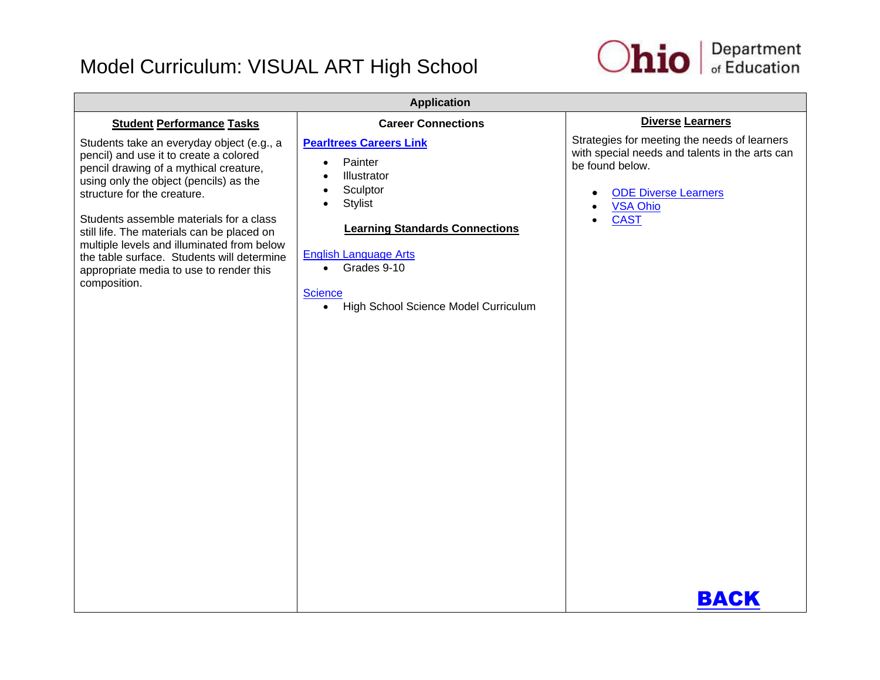

| <b>Application</b>                                                                                                                                                                                                                                                                                                                                                                                                                                     |                                                                                                                                                                                                                                                                                                                        |                                                                                                                                                                                                         |
|--------------------------------------------------------------------------------------------------------------------------------------------------------------------------------------------------------------------------------------------------------------------------------------------------------------------------------------------------------------------------------------------------------------------------------------------------------|------------------------------------------------------------------------------------------------------------------------------------------------------------------------------------------------------------------------------------------------------------------------------------------------------------------------|---------------------------------------------------------------------------------------------------------------------------------------------------------------------------------------------------------|
| <b>Student Performance Tasks</b>                                                                                                                                                                                                                                                                                                                                                                                                                       | <b>Career Connections</b>                                                                                                                                                                                                                                                                                              | <b>Diverse Learners</b>                                                                                                                                                                                 |
| Students take an everyday object (e.g., a<br>pencil) and use it to create a colored<br>pencil drawing of a mythical creature,<br>using only the object (pencils) as the<br>structure for the creature.<br>Students assemble materials for a class<br>still life. The materials can be placed on<br>multiple levels and illuminated from below<br>the table surface. Students will determine<br>appropriate media to use to render this<br>composition. | <b>Pearltrees Careers Link</b><br>Painter<br>$\bullet$<br>Illustrator<br>$\bullet$<br>Sculptor<br>$\bullet$<br><b>Stylist</b><br>$\bullet$<br><b>Learning Standards Connections</b><br><b>English Language Arts</b><br>Grades 9-10<br>$\bullet$<br><b>Science</b><br>High School Science Model Curriculum<br>$\bullet$ | Strategies for meeting the needs of learners<br>with special needs and talents in the arts can<br>be found below.<br><b>ODE Diverse Learners</b><br><b>VSA Ohio</b><br><b>CAST</b><br>$\bullet$<br>BACK |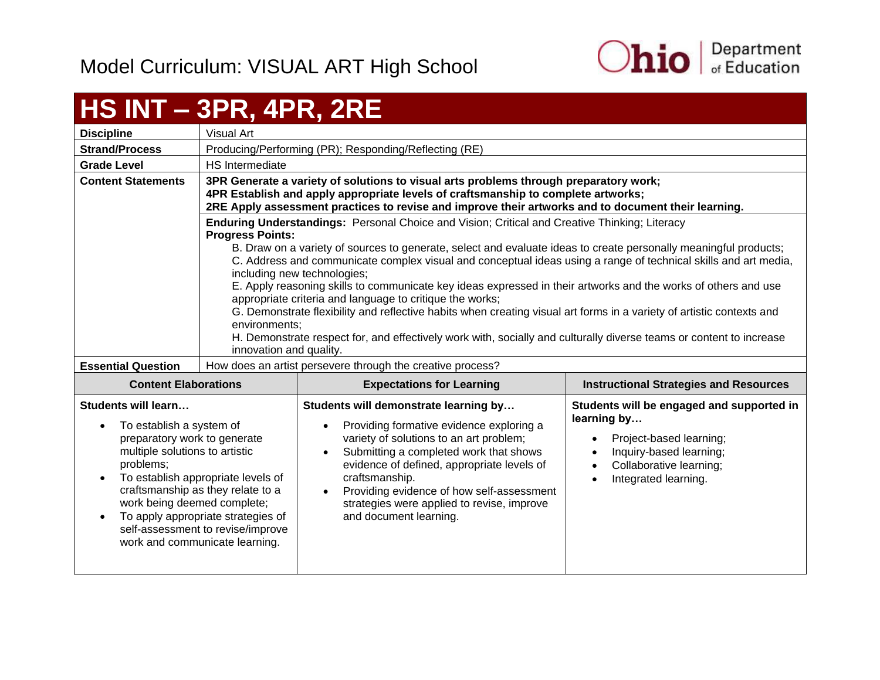

#### <span id="page-32-0"></span>**HS INT – 3PR, 4PR, 2RE Discipline** | Visual Art **Strand/Process** | Producing/Performing (PR); Responding/Reflecting (RE) **Grade Level HS** Intermediate **Content Statements 3PR Generate a variety of solutions to visual arts problems through preparatory work; 4PR Establish and apply appropriate levels of craftsmanship to complete artworks; 2RE Apply assessment practices to revise and improve their artworks and to document their learning. Enduring Understandings:** Personal Choice and Vision; Critical and Creative Thinking; Literacy **Progress Points:** B. Draw on a variety of sources to generate, select and evaluate ideas to create personally meaningful products; C. Address and communicate complex visual and conceptual ideas using a range of technical skills and art media, including new technologies; E. Apply reasoning skills to communicate key ideas expressed in their artworks and the works of others and use appropriate criteria and language to critique the works; G. Demonstrate flexibility and reflective habits when creating visual art forms in a variety of artistic contexts and environments; H. Demonstrate respect for, and effectively work with, socially and culturally diverse teams or content to increase innovation and quality. **Essential Question** | How does an artist persevere through the creative process? **Content Elaborations Expectations for Learning Instructional Strategies and Resources Students will learn…** To establish a system of preparatory work to generate multiple solutions to artistic problems; • To establish appropriate levels of craftsmanship as they relate to a work being deemed complete; • To apply appropriate strategies of self-assessment to revise/improve work and communicate learning. **Students will demonstrate learning by…** • Providing formative evidence exploring a variety of solutions to an art problem; • Submitting a completed work that shows evidence of defined, appropriate levels of craftsmanship. Providing evidence of how self-assessment strategies were applied to revise, improve and document learning. **Students will be engaged and supported in learning by…** • Project-based learning; • Inquiry-based learning; • Collaborative learning; • Integrated learning.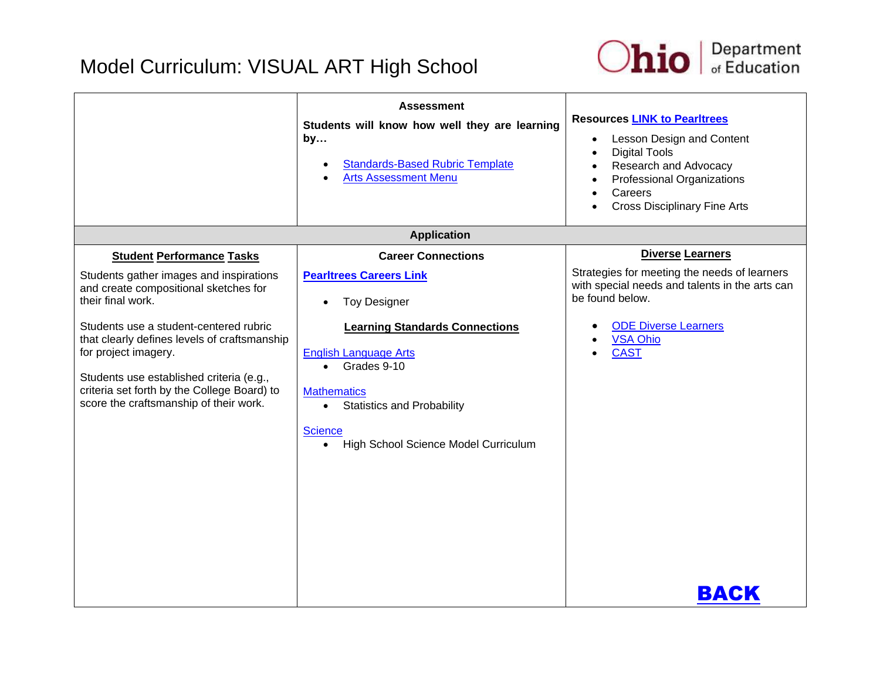

|                                                                                                                                                                                                                                                                                                                                                              | <b>Assessment</b><br>Students will know how well they are learning<br>by<br><b>Standards-Based Rubric Template</b><br>$\bullet$<br><b>Arts Assessment Menu</b><br>$\bullet$                                                                                                                                            | <b>Resources LINK to Pearltrees</b><br>Lesson Design and Content<br>$\bullet$<br><b>Digital Tools</b><br>Research and Advocacy<br><b>Professional Organizations</b><br>Careers<br><b>Cross Disciplinary Fine Arts</b> |
|--------------------------------------------------------------------------------------------------------------------------------------------------------------------------------------------------------------------------------------------------------------------------------------------------------------------------------------------------------------|------------------------------------------------------------------------------------------------------------------------------------------------------------------------------------------------------------------------------------------------------------------------------------------------------------------------|-----------------------------------------------------------------------------------------------------------------------------------------------------------------------------------------------------------------------|
|                                                                                                                                                                                                                                                                                                                                                              | <b>Application</b>                                                                                                                                                                                                                                                                                                     |                                                                                                                                                                                                                       |
| <b>Student Performance Tasks</b>                                                                                                                                                                                                                                                                                                                             | <b>Career Connections</b>                                                                                                                                                                                                                                                                                              | <b>Diverse Learners</b>                                                                                                                                                                                               |
| Students gather images and inspirations<br>and create compositional sketches for<br>their final work.<br>Students use a student-centered rubric<br>that clearly defines levels of craftsmanship<br>for project imagery.<br>Students use established criteria (e.g.,<br>criteria set forth by the College Board) to<br>score the craftsmanship of their work. | <b>Pearltrees Careers Link</b><br><b>Toy Designer</b><br>$\bullet$<br><b>Learning Standards Connections</b><br><b>English Language Arts</b><br>Grades 9-10<br>$\bullet$<br><b>Mathematics</b><br><b>Statistics and Probability</b><br>$\bullet$<br><b>Science</b><br>High School Science Model Curriculum<br>$\bullet$ | Strategies for meeting the needs of learners<br>with special needs and talents in the arts can<br>be found below.<br><b>ODE Diverse Learners</b><br><b>VSA Ohio</b><br><b>CAST</b>                                    |
|                                                                                                                                                                                                                                                                                                                                                              |                                                                                                                                                                                                                                                                                                                        | BACK                                                                                                                                                                                                                  |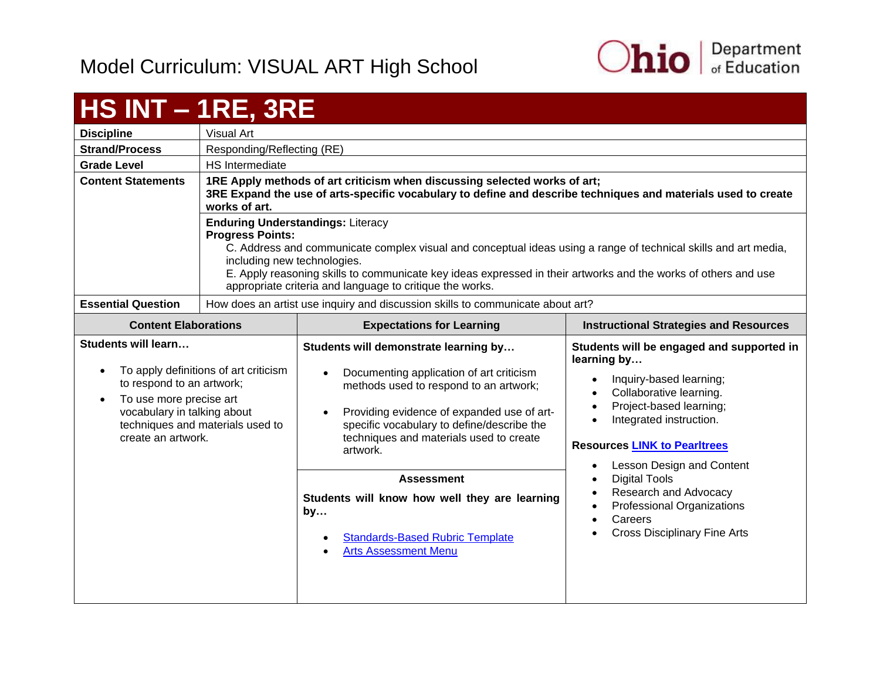

#### <span id="page-34-0"></span>**HS INT – 1RE, 3RE Discipline** Visual Art **Strand/Process** Responding/Reflecting (RE) **Grade Level HS** Intermediate **Content Statements 1RE Apply methods of art criticism when discussing selected works of art; 3RE Expand the use of arts-specific vocabulary to define and describe techniques and materials used to create works of art. Enduring Understandings:** Literacy **Progress Points:** C. Address and communicate complex visual and conceptual ideas using a range of technical skills and art media, including new technologies. E. Apply reasoning skills to communicate key ideas expressed in their artworks and the works of others and use appropriate criteria and language to critique the works. **Essential Question** | How does an artist use inquiry and discussion skills to communicate about art? **Content Elaborations Expectations for Learning Instructional Strategies and Resources Students will learn…** • To apply definitions of art criticism to respond to an artwork; • To use more precise art vocabulary in talking about techniques and materials used to create an artwork*.* **Students will demonstrate learning by…** Documenting application of art criticism methods used to respond to an artwork; • Providing evidence of expanded use of artspecific vocabulary to define/describe the techniques and materials used to create artwork. **Students will be engaged and supported in learning by…** • Inquiry-based learning; • Collaborative learning. • Project-based learning; • Integrated instruction. **Resources [LINK to Pearltrees](http://www.pearltrees.com/ohioartsed)** • Lesson Design and Content • Digital Tools • Research and Advocacy • Professional Organizations Careers Cross Disciplinary Fine Arts **Assessment Students will know how well they are learning by…** [Standards-Based Rubric Template](https://education.ohio.gov/getattachment/Topics/Ohio-s-New-Learning-Standards/Fine-Arts/Standards_based_Rubric.pdf.aspx) [Arts Assessment Menu](https://education.ohio.gov/getattachment/Topics/Ohio-s-New-Learning-Standards/Fine-Arts/Arts-Assess-Chart.pdf.aspx)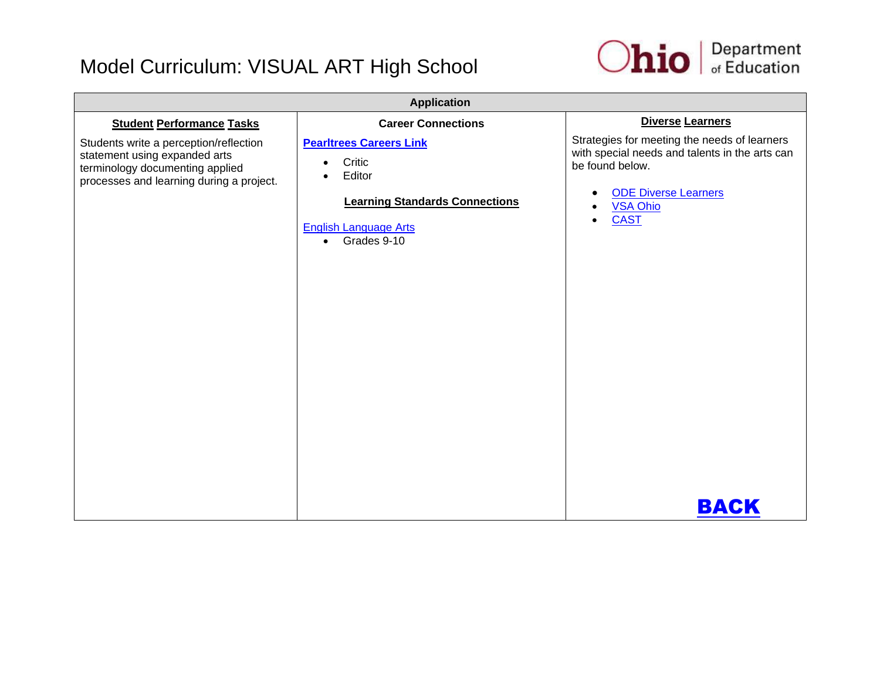

| <b>Application</b>                                                                                                                                     |                                                                                                                                                         |                                                                                                                                                                                                                             |
|--------------------------------------------------------------------------------------------------------------------------------------------------------|---------------------------------------------------------------------------------------------------------------------------------------------------------|-----------------------------------------------------------------------------------------------------------------------------------------------------------------------------------------------------------------------------|
| <b>Student Performance Tasks</b>                                                                                                                       | <b>Career Connections</b>                                                                                                                               | Diverse Learners                                                                                                                                                                                                            |
| Students write a perception/reflection<br>statement using expanded arts<br>terminology documenting applied<br>processes and learning during a project. | <b>Pearltrees Careers Link</b><br>Critic<br>Editor<br><b>Learning Standards Connections</b><br><b>English Language Arts</b><br>Grades 9-10<br>$\bullet$ | Strategies for meeting the needs of learners<br>with special needs and talents in the arts can<br>be found below.<br><b>ODE Diverse Learners</b><br>$\bullet$<br><b>VSA Ohio</b><br><b>CAST</b><br>$\bullet$<br><b>BACK</b> |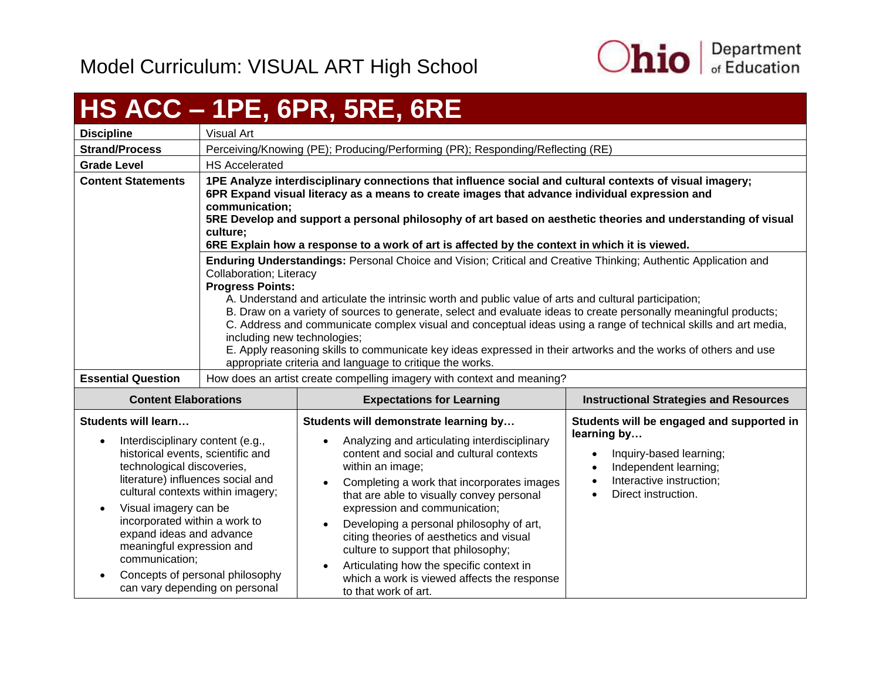

## <span id="page-36-0"></span>**HS ACC – 1PE, 6PR, 5RE, 6RE**

| <b>Discipline</b>                                                                                                                                                                                                                                                                                                  | Visual Art                                                                                                                                                                                                                                                                                                                                                                                                                                                                                                                                                                                                                                                                                                                        |                                                                                                                                                                                                                                                                                                                                                                                                                                                                                                                                   |                                                                                                                               |
|--------------------------------------------------------------------------------------------------------------------------------------------------------------------------------------------------------------------------------------------------------------------------------------------------------------------|-----------------------------------------------------------------------------------------------------------------------------------------------------------------------------------------------------------------------------------------------------------------------------------------------------------------------------------------------------------------------------------------------------------------------------------------------------------------------------------------------------------------------------------------------------------------------------------------------------------------------------------------------------------------------------------------------------------------------------------|-----------------------------------------------------------------------------------------------------------------------------------------------------------------------------------------------------------------------------------------------------------------------------------------------------------------------------------------------------------------------------------------------------------------------------------------------------------------------------------------------------------------------------------|-------------------------------------------------------------------------------------------------------------------------------|
| <b>Strand/Process</b>                                                                                                                                                                                                                                                                                              |                                                                                                                                                                                                                                                                                                                                                                                                                                                                                                                                                                                                                                                                                                                                   | Perceiving/Knowing (PE); Producing/Performing (PR); Responding/Reflecting (RE)                                                                                                                                                                                                                                                                                                                                                                                                                                                    |                                                                                                                               |
| <b>Grade Level</b>                                                                                                                                                                                                                                                                                                 | <b>HS Accelerated</b>                                                                                                                                                                                                                                                                                                                                                                                                                                                                                                                                                                                                                                                                                                             |                                                                                                                                                                                                                                                                                                                                                                                                                                                                                                                                   |                                                                                                                               |
| <b>Content Statements</b>                                                                                                                                                                                                                                                                                          | 1PE Analyze interdisciplinary connections that influence social and cultural contexts of visual imagery;<br>6PR Expand visual literacy as a means to create images that advance individual expression and<br>communication;<br>5RE Develop and support a personal philosophy of art based on aesthetic theories and understanding of visual<br>culture:<br>6RE Explain how a response to a work of art is affected by the context in which it is viewed.                                                                                                                                                                                                                                                                          |                                                                                                                                                                                                                                                                                                                                                                                                                                                                                                                                   |                                                                                                                               |
|                                                                                                                                                                                                                                                                                                                    | Enduring Understandings: Personal Choice and Vision; Critical and Creative Thinking; Authentic Application and<br>Collaboration; Literacy<br><b>Progress Points:</b><br>A. Understand and articulate the intrinsic worth and public value of arts and cultural participation;<br>B. Draw on a variety of sources to generate, select and evaluate ideas to create personally meaningful products;<br>C. Address and communicate complex visual and conceptual ideas using a range of technical skills and art media,<br>including new technologies;<br>E. Apply reasoning skills to communicate key ideas expressed in their artworks and the works of others and use<br>appropriate criteria and language to critique the works. |                                                                                                                                                                                                                                                                                                                                                                                                                                                                                                                                   |                                                                                                                               |
| <b>Essential Question</b>                                                                                                                                                                                                                                                                                          |                                                                                                                                                                                                                                                                                                                                                                                                                                                                                                                                                                                                                                                                                                                                   | How does an artist create compelling imagery with context and meaning?                                                                                                                                                                                                                                                                                                                                                                                                                                                            |                                                                                                                               |
| <b>Content Elaborations</b>                                                                                                                                                                                                                                                                                        |                                                                                                                                                                                                                                                                                                                                                                                                                                                                                                                                                                                                                                                                                                                                   | <b>Expectations for Learning</b>                                                                                                                                                                                                                                                                                                                                                                                                                                                                                                  | <b>Instructional Strategies and Resources</b>                                                                                 |
| Students will learn                                                                                                                                                                                                                                                                                                |                                                                                                                                                                                                                                                                                                                                                                                                                                                                                                                                                                                                                                                                                                                                   | Students will demonstrate learning by                                                                                                                                                                                                                                                                                                                                                                                                                                                                                             | Students will be engaged and supported in<br>learning by                                                                      |
| Interdisciplinary content (e.g.,<br>historical events, scientific and<br>technological discoveries,<br>literature) influences social and<br>cultural contexts within imagery;<br>Visual imagery can be<br>incorporated within a work to<br>expand ideas and advance<br>meaningful expression and<br>communication; | Concepts of personal philosophy<br>can vary depending on personal                                                                                                                                                                                                                                                                                                                                                                                                                                                                                                                                                                                                                                                                 | Analyzing and articulating interdisciplinary<br>content and social and cultural contexts<br>within an image;<br>Completing a work that incorporates images<br>$\bullet$<br>that are able to visually convey personal<br>expression and communication;<br>Developing a personal philosophy of art,<br>$\bullet$<br>citing theories of aesthetics and visual<br>culture to support that philosophy;<br>Articulating how the specific context in<br>$\bullet$<br>which a work is viewed affects the response<br>to that work of art. | Inquiry-based learning;<br>Independent learning;<br>Interactive instruction;<br>$\bullet$<br>Direct instruction.<br>$\bullet$ |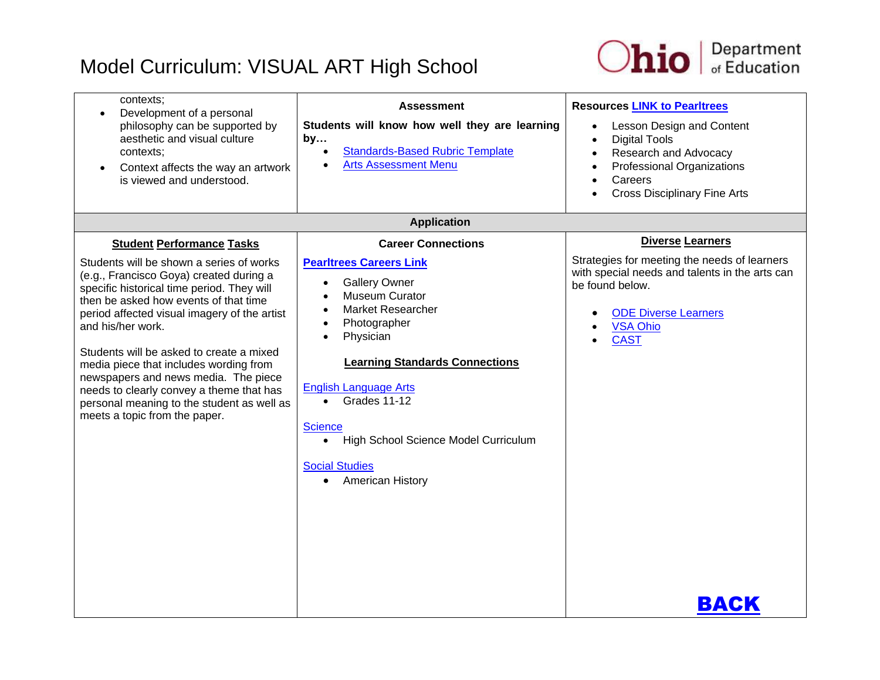

| contexts;<br>Development of a personal<br>philosophy can be supported by<br>aesthetic and visual culture<br>contexts;<br>Context affects the way an artwork<br>is viewed and understood.                                                                                                                                                                                                                                                                                                                                                     | <b>Assessment</b><br>Students will know how well they are learning<br>by<br><b>Standards-Based Rubric Template</b><br><b>Arts Assessment Menu</b>                                                                                                                                                                                                                                                                   | <b>Resources LINK to Pearltrees</b><br>Lesson Design and Content<br><b>Digital Tools</b><br>$\bullet$<br>Research and Advocacy<br>Professional Organizations<br>$\bullet$<br>Careers<br><b>Cross Disciplinary Fine Arts</b> |
|----------------------------------------------------------------------------------------------------------------------------------------------------------------------------------------------------------------------------------------------------------------------------------------------------------------------------------------------------------------------------------------------------------------------------------------------------------------------------------------------------------------------------------------------|---------------------------------------------------------------------------------------------------------------------------------------------------------------------------------------------------------------------------------------------------------------------------------------------------------------------------------------------------------------------------------------------------------------------|-----------------------------------------------------------------------------------------------------------------------------------------------------------------------------------------------------------------------------|
|                                                                                                                                                                                                                                                                                                                                                                                                                                                                                                                                              | <b>Application</b>                                                                                                                                                                                                                                                                                                                                                                                                  |                                                                                                                                                                                                                             |
| <b>Student Performance Tasks</b><br>Students will be shown a series of works<br>(e.g., Francisco Goya) created during a<br>specific historical time period. They will<br>then be asked how events of that time<br>period affected visual imagery of the artist<br>and his/her work.<br>Students will be asked to create a mixed<br>media piece that includes wording from<br>newspapers and news media. The piece<br>needs to clearly convey a theme that has<br>personal meaning to the student as well as<br>meets a topic from the paper. | <b>Career Connections</b><br><b>Pearltrees Careers Link</b><br><b>Gallery Owner</b><br>$\bullet$<br><b>Museum Curator</b><br><b>Market Researcher</b><br>Photographer<br>Physician<br><b>Learning Standards Connections</b><br><b>English Language Arts</b><br>Grades 11-12<br>$\bullet$<br><b>Science</b><br>High School Science Model Curriculum<br><b>Social Studies</b><br><b>American History</b><br>$\bullet$ | <b>Diverse Learners</b><br>Strategies for meeting the needs of learners<br>with special needs and talents in the arts can<br>be found below.<br><b>ODE Diverse Learners</b><br><b>VSA Ohio</b><br><b>CAST</b><br>BACK       |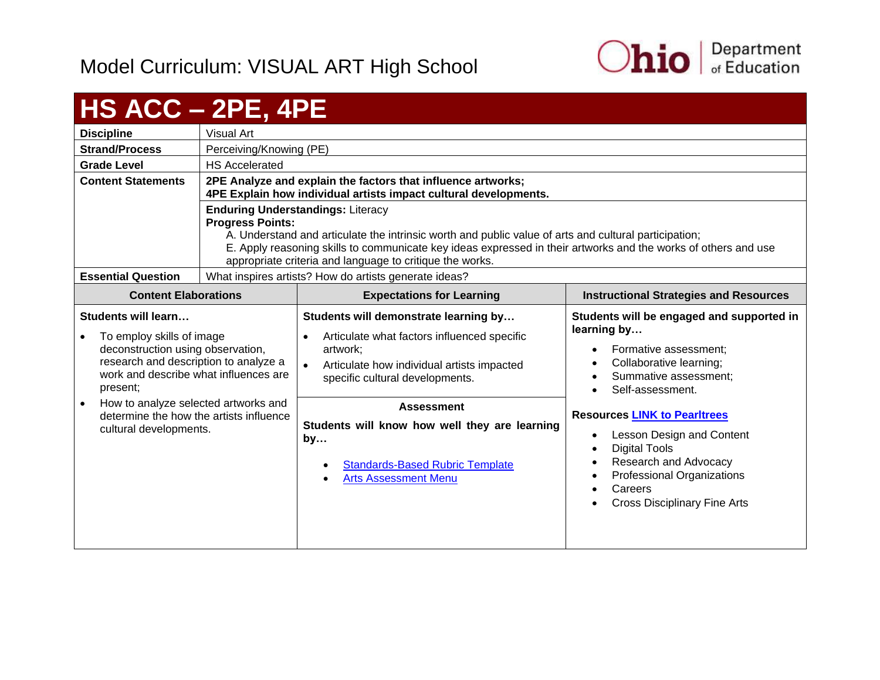

<span id="page-38-0"></span>

| <b>HS ACC - 2PE, 4PE</b>                                                                                                                                                                                                                                                                         |                                                                                                                                                                                                                                                                                                                                                            |                                                                                                                                                                                                                                                                                                                                        |                                                                                                                                                                                                                                                                                                                                                                             |
|--------------------------------------------------------------------------------------------------------------------------------------------------------------------------------------------------------------------------------------------------------------------------------------------------|------------------------------------------------------------------------------------------------------------------------------------------------------------------------------------------------------------------------------------------------------------------------------------------------------------------------------------------------------------|----------------------------------------------------------------------------------------------------------------------------------------------------------------------------------------------------------------------------------------------------------------------------------------------------------------------------------------|-----------------------------------------------------------------------------------------------------------------------------------------------------------------------------------------------------------------------------------------------------------------------------------------------------------------------------------------------------------------------------|
| <b>Discipline</b>                                                                                                                                                                                                                                                                                | <b>Visual Art</b>                                                                                                                                                                                                                                                                                                                                          |                                                                                                                                                                                                                                                                                                                                        |                                                                                                                                                                                                                                                                                                                                                                             |
| <b>Strand/Process</b>                                                                                                                                                                                                                                                                            | Perceiving/Knowing (PE)                                                                                                                                                                                                                                                                                                                                    |                                                                                                                                                                                                                                                                                                                                        |                                                                                                                                                                                                                                                                                                                                                                             |
| <b>Grade Level</b>                                                                                                                                                                                                                                                                               | <b>HS Accelerated</b>                                                                                                                                                                                                                                                                                                                                      |                                                                                                                                                                                                                                                                                                                                        |                                                                                                                                                                                                                                                                                                                                                                             |
| <b>Content Statements</b>                                                                                                                                                                                                                                                                        | 2PE Analyze and explain the factors that influence artworks;<br>4PE Explain how individual artists impact cultural developments.                                                                                                                                                                                                                           |                                                                                                                                                                                                                                                                                                                                        |                                                                                                                                                                                                                                                                                                                                                                             |
|                                                                                                                                                                                                                                                                                                  | <b>Enduring Understandings: Literacy</b><br><b>Progress Points:</b><br>A. Understand and articulate the intrinsic worth and public value of arts and cultural participation;<br>E. Apply reasoning skills to communicate key ideas expressed in their artworks and the works of others and use<br>appropriate criteria and language to critique the works. |                                                                                                                                                                                                                                                                                                                                        |                                                                                                                                                                                                                                                                                                                                                                             |
| <b>Essential Question</b>                                                                                                                                                                                                                                                                        |                                                                                                                                                                                                                                                                                                                                                            | What inspires artists? How do artists generate ideas?                                                                                                                                                                                                                                                                                  |                                                                                                                                                                                                                                                                                                                                                                             |
| <b>Content Elaborations</b>                                                                                                                                                                                                                                                                      |                                                                                                                                                                                                                                                                                                                                                            | <b>Expectations for Learning</b>                                                                                                                                                                                                                                                                                                       | <b>Instructional Strategies and Resources</b>                                                                                                                                                                                                                                                                                                                               |
| Students will learn<br>To employ skills of image<br>deconstruction using observation,<br>research and description to analyze a<br>work and describe what influences are<br>present;<br>How to analyze selected artworks and<br>determine the how the artists influence<br>cultural developments. |                                                                                                                                                                                                                                                                                                                                                            | Students will demonstrate learning by<br>Articulate what factors influenced specific<br>artwork:<br>Articulate how individual artists impacted<br>specific cultural developments.<br><b>Assessment</b><br>Students will know how well they are learning<br>by<br><b>Standards-Based Rubric Template</b><br><b>Arts Assessment Menu</b> | Students will be engaged and supported in<br>learning by<br>Formative assessment:<br>Collaborative learning;<br>Summative assessment;<br>Self-assessment.<br><b>Resources LINK to Pearltrees</b><br>Lesson Design and Content<br><b>Digital Tools</b><br>Research and Advocacy<br>Professional Organizations<br>Careers<br><b>Cross Disciplinary Fine Arts</b><br>$\bullet$ |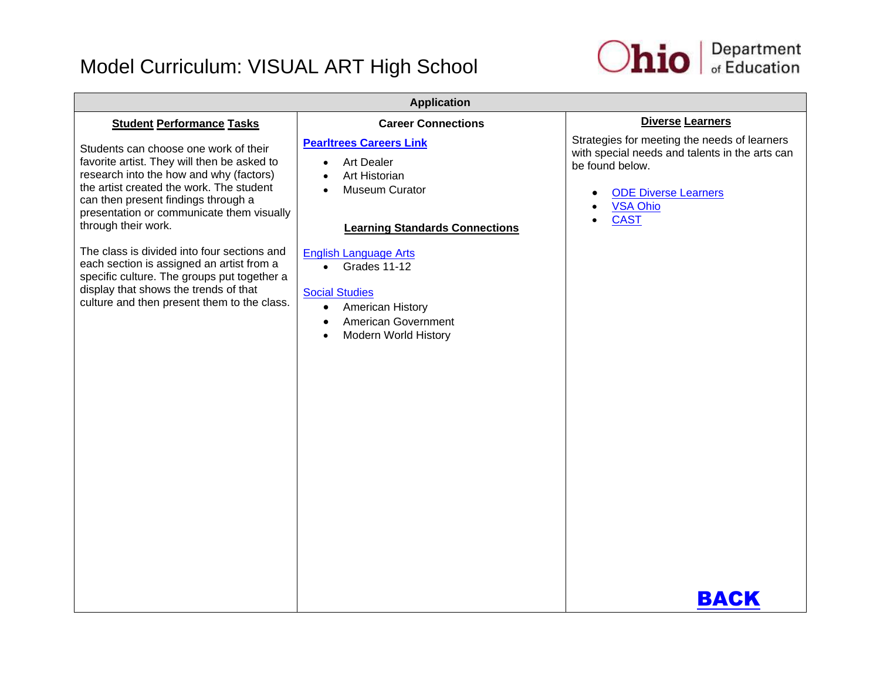

| <b>Application</b>                                                                                                                                                                                                                                                                     |                                                                                                                                                                                 |                                                                                                                                                                                                 |  |
|----------------------------------------------------------------------------------------------------------------------------------------------------------------------------------------------------------------------------------------------------------------------------------------|---------------------------------------------------------------------------------------------------------------------------------------------------------------------------------|-------------------------------------------------------------------------------------------------------------------------------------------------------------------------------------------------|--|
| <b>Student Performance Tasks</b>                                                                                                                                                                                                                                                       | <b>Career Connections</b>                                                                                                                                                       | <b>Diverse Learners</b>                                                                                                                                                                         |  |
| Students can choose one work of their<br>favorite artist. They will then be asked to<br>research into the how and why (factors)<br>the artist created the work. The student<br>can then present findings through a<br>presentation or communicate them visually<br>through their work. | <b>Pearltrees Careers Link</b><br><b>Art Dealer</b><br>$\bullet$<br>Art Historian<br>Museum Curator<br><b>Learning Standards Connections</b>                                    | Strategies for meeting the needs of learners<br>with special needs and talents in the arts can<br>be found below.<br><b>ODE Diverse Learners</b><br><b>VSA Ohio</b><br><b>CAST</b><br>$\bullet$ |  |
| The class is divided into four sections and<br>each section is assigned an artist from a<br>specific culture. The groups put together a<br>display that shows the trends of that<br>culture and then present them to the class.                                                        | <b>English Language Arts</b><br>Grades 11-12<br>$\bullet$<br><b>Social Studies</b><br>American History<br>$\bullet$<br>American Government<br>$\bullet$<br>Modern World History |                                                                                                                                                                                                 |  |
|                                                                                                                                                                                                                                                                                        |                                                                                                                                                                                 | BACK                                                                                                                                                                                            |  |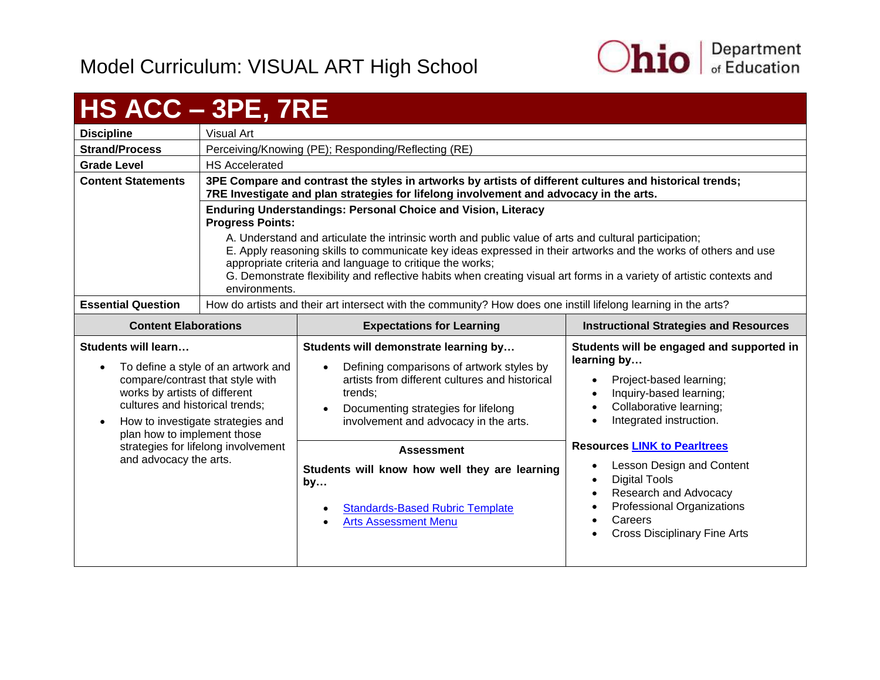

## <span id="page-40-0"></span>**HS ACC – 3PE, 7RE**

|                             | ____                                                                                                                                                                                                                                                                                                                                                                                                                          |                                                                                                                                                                                                                                      |                                                          |  |
|-----------------------------|-------------------------------------------------------------------------------------------------------------------------------------------------------------------------------------------------------------------------------------------------------------------------------------------------------------------------------------------------------------------------------------------------------------------------------|--------------------------------------------------------------------------------------------------------------------------------------------------------------------------------------------------------------------------------------|----------------------------------------------------------|--|
| <b>Discipline</b>           | Visual Art                                                                                                                                                                                                                                                                                                                                                                                                                    |                                                                                                                                                                                                                                      |                                                          |  |
| <b>Strand/Process</b>       | Perceiving/Knowing (PE); Responding/Reflecting (RE)                                                                                                                                                                                                                                                                                                                                                                           |                                                                                                                                                                                                                                      |                                                          |  |
| <b>Grade Level</b>          | <b>HS Accelerated</b>                                                                                                                                                                                                                                                                                                                                                                                                         |                                                                                                                                                                                                                                      |                                                          |  |
| <b>Content Statements</b>   | 3PE Compare and contrast the styles in artworks by artists of different cultures and historical trends;<br>7RE Investigate and plan strategies for lifelong involvement and advocacy in the arts.                                                                                                                                                                                                                             |                                                                                                                                                                                                                                      |                                                          |  |
|                             | <b>Progress Points:</b>                                                                                                                                                                                                                                                                                                                                                                                                       | <b>Enduring Understandings: Personal Choice and Vision, Literacy</b>                                                                                                                                                                 |                                                          |  |
|                             | A. Understand and articulate the intrinsic worth and public value of arts and cultural participation;<br>E. Apply reasoning skills to communicate key ideas expressed in their artworks and the works of others and use<br>appropriate criteria and language to critique the works;<br>G. Demonstrate flexibility and reflective habits when creating visual art forms in a variety of artistic contexts and<br>environments. |                                                                                                                                                                                                                                      |                                                          |  |
| <b>Essential Question</b>   | How do artists and their art intersect with the community? How does one instill lifelong learning in the arts?                                                                                                                                                                                                                                                                                                                |                                                                                                                                                                                                                                      |                                                          |  |
| <b>Content Elaborations</b> | <b>Expectations for Learning</b>                                                                                                                                                                                                                                                                                                                                                                                              |                                                                                                                                                                                                                                      | <b>Instructional Strategies and Resources</b>            |  |
| Students will learn         | Students will demonstrate learning by                                                                                                                                                                                                                                                                                                                                                                                         |                                                                                                                                                                                                                                      | Students will be engaged and supported in<br>learning by |  |
|                             | エンジオ・パンション しゅうしょう ちょうしゅん しょうせいしょうけい                                                                                                                                                                                                                                                                                                                                                                                           | <b>In a first construction of the contract of the contract of the contract of the contract of the contract of the contract of the contract of the contract of the contract of the contract of the contract of the contract of th</b> |                                                          |  |

- To define a style of an artwork and compare/contrast that style with works by artists of different cultures and historical trends; • How to investigate strategies and • Defining comparisons of artwork styles by artists from different cultures and historical trends; • Documenting strategies for lifelong involvement and advocacy in the arts.
- plan how to implement those strategies for lifelong involvement and advocacy the arts.
	- **Students will know how well they are learning by…**

**Assessment**

- [Standards-Based Rubric Template](https://education.ohio.gov/getattachment/Topics/Ohio-s-New-Learning-Standards/Fine-Arts/Standards_based_Rubric.pdf.aspx)
- [Arts Assessment Menu](https://education.ohio.gov/getattachment/Topics/Ohio-s-New-Learning-Standards/Fine-Arts/Arts-Assess-Chart.pdf.aspx)

• Digital Tools

**•** Lesson Design and Content

• Project-based learning; • Inquiry-based learning; • Collaborative learning; • Integrated instruction.

**Resources [LINK to Pearltrees](http://www.pearltrees.com/ohioartsed)**

- Research and Advocacy
- Professional Organizations
- Careers
	- Cross Disciplinary Fine Arts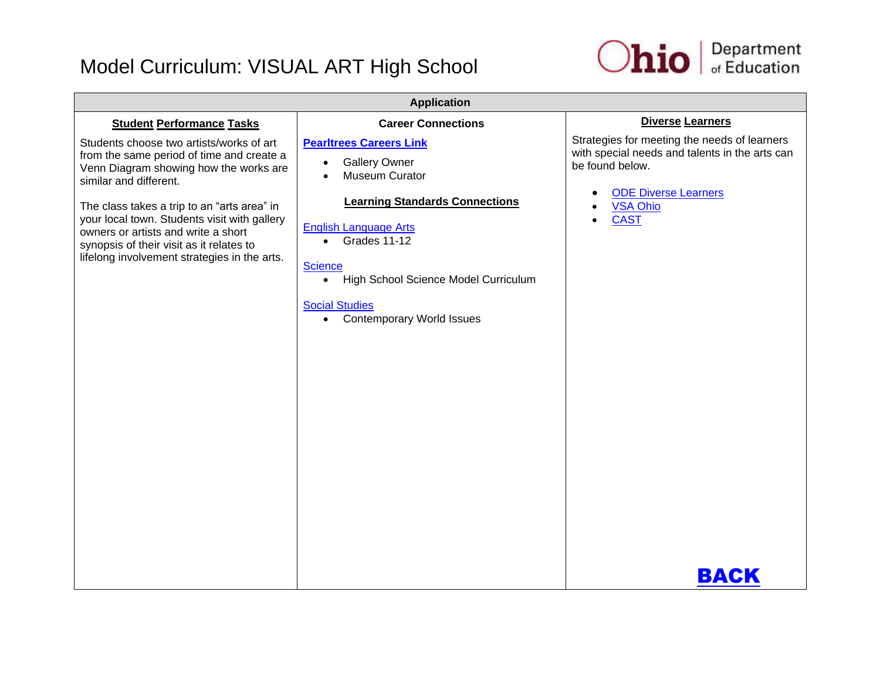

| <b>Application</b>                                                                                                                                                                                                                                                                                                                                                                          |                                                                                                                                                                                                                                                                                                                                              |                                                                                                                                                                                                         |  |
|---------------------------------------------------------------------------------------------------------------------------------------------------------------------------------------------------------------------------------------------------------------------------------------------------------------------------------------------------------------------------------------------|----------------------------------------------------------------------------------------------------------------------------------------------------------------------------------------------------------------------------------------------------------------------------------------------------------------------------------------------|---------------------------------------------------------------------------------------------------------------------------------------------------------------------------------------------------------|--|
| <b>Student Performance Tasks</b>                                                                                                                                                                                                                                                                                                                                                            | <b>Career Connections</b>                                                                                                                                                                                                                                                                                                                    | <b>Diverse Learners</b>                                                                                                                                                                                 |  |
| Students choose two artists/works of art<br>from the same period of time and create a<br>Venn Diagram showing how the works are<br>similar and different.<br>The class takes a trip to an "arts area" in<br>your local town. Students visit with gallery<br>owners or artists and write a short<br>synopsis of their visit as it relates to<br>lifelong involvement strategies in the arts. | <b>Pearltrees Careers Link</b><br><b>Gallery Owner</b><br>$\bullet$<br>Museum Curator<br><b>Learning Standards Connections</b><br><b>English Language Arts</b><br>Grades 11-12<br>$\bullet$<br><b>Science</b><br>High School Science Model Curriculum<br>$\bullet$<br><b>Social Studies</b><br><b>Contemporary World Issues</b><br>$\bullet$ | Strategies for meeting the needs of learners<br>with special needs and talents in the arts can<br>be found below.<br><b>ODE Diverse Learners</b><br>$\bullet$<br><b>VSA Ohio</b><br><b>CAST</b><br>BACK |  |
|                                                                                                                                                                                                                                                                                                                                                                                             |                                                                                                                                                                                                                                                                                                                                              |                                                                                                                                                                                                         |  |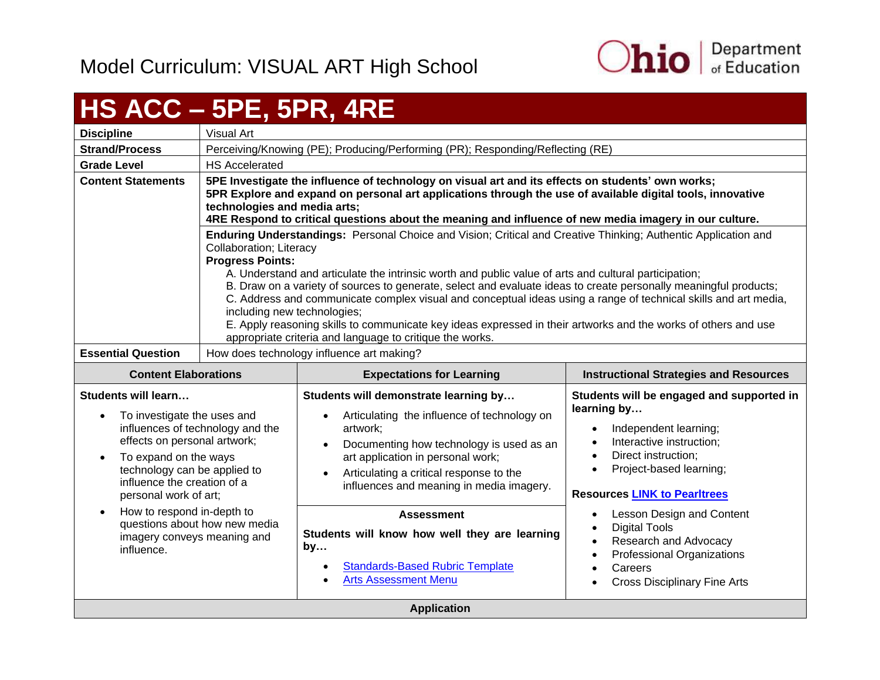

# <span id="page-42-0"></span>**HS ACC – 5PE, 5PR, 4RE**

| <b>Discipline</b>                                                                                                                                                                                                                     | Visual Art                                                                                                                                                                                                                                                                                                                                                                                                                                                                                                                                                                                                                                                                                                                        |                                                                                                                                                                                                                                                                                                                                                                                      |                                                                                                                                                                                                                                                                                                          |
|---------------------------------------------------------------------------------------------------------------------------------------------------------------------------------------------------------------------------------------|-----------------------------------------------------------------------------------------------------------------------------------------------------------------------------------------------------------------------------------------------------------------------------------------------------------------------------------------------------------------------------------------------------------------------------------------------------------------------------------------------------------------------------------------------------------------------------------------------------------------------------------------------------------------------------------------------------------------------------------|--------------------------------------------------------------------------------------------------------------------------------------------------------------------------------------------------------------------------------------------------------------------------------------------------------------------------------------------------------------------------------------|----------------------------------------------------------------------------------------------------------------------------------------------------------------------------------------------------------------------------------------------------------------------------------------------------------|
| <b>Strand/Process</b>                                                                                                                                                                                                                 | Perceiving/Knowing (PE); Producing/Performing (PR); Responding/Reflecting (RE)                                                                                                                                                                                                                                                                                                                                                                                                                                                                                                                                                                                                                                                    |                                                                                                                                                                                                                                                                                                                                                                                      |                                                                                                                                                                                                                                                                                                          |
| <b>Grade Level</b>                                                                                                                                                                                                                    | <b>HS Accelerated</b>                                                                                                                                                                                                                                                                                                                                                                                                                                                                                                                                                                                                                                                                                                             |                                                                                                                                                                                                                                                                                                                                                                                      |                                                                                                                                                                                                                                                                                                          |
| <b>Content Statements</b>                                                                                                                                                                                                             | 5PE Investigate the influence of technology on visual art and its effects on students' own works;<br>5PR Explore and expand on personal art applications through the use of available digital tools, innovative<br>technologies and media arts;<br>4RE Respond to critical questions about the meaning and influence of new media imagery in our culture.                                                                                                                                                                                                                                                                                                                                                                         |                                                                                                                                                                                                                                                                                                                                                                                      |                                                                                                                                                                                                                                                                                                          |
|                                                                                                                                                                                                                                       | Enduring Understandings: Personal Choice and Vision; Critical and Creative Thinking; Authentic Application and<br>Collaboration; Literacy<br><b>Progress Points:</b><br>A. Understand and articulate the intrinsic worth and public value of arts and cultural participation;<br>B. Draw on a variety of sources to generate, select and evaluate ideas to create personally meaningful products;<br>C. Address and communicate complex visual and conceptual ideas using a range of technical skills and art media,<br>including new technologies;<br>E. Apply reasoning skills to communicate key ideas expressed in their artworks and the works of others and use<br>appropriate criteria and language to critique the works. |                                                                                                                                                                                                                                                                                                                                                                                      |                                                                                                                                                                                                                                                                                                          |
| <b>Essential Question</b>                                                                                                                                                                                                             | How does technology influence art making?                                                                                                                                                                                                                                                                                                                                                                                                                                                                                                                                                                                                                                                                                         |                                                                                                                                                                                                                                                                                                                                                                                      |                                                                                                                                                                                                                                                                                                          |
| <b>Content Elaborations</b>                                                                                                                                                                                                           | <b>Expectations for Learning</b><br><b>Instructional Strategies and Resources</b>                                                                                                                                                                                                                                                                                                                                                                                                                                                                                                                                                                                                                                                 |                                                                                                                                                                                                                                                                                                                                                                                      |                                                                                                                                                                                                                                                                                                          |
| <b>Students will learn</b><br>To investigate the uses and<br>$\bullet$                                                                                                                                                                |                                                                                                                                                                                                                                                                                                                                                                                                                                                                                                                                                                                                                                                                                                                                   | Students will demonstrate learning by                                                                                                                                                                                                                                                                                                                                                | Students will be engaged and supported in<br>learning by                                                                                                                                                                                                                                                 |
| effects on personal artwork;<br>To expand on the ways<br>technology can be applied to<br>influence the creation of a<br>personal work of art;<br>How to respond in-depth to<br>$\bullet$<br>imagery conveys meaning and<br>influence. | influences of technology and the<br>questions about how new media                                                                                                                                                                                                                                                                                                                                                                                                                                                                                                                                                                                                                                                                 | Articulating the influence of technology on<br>artwork;<br>Documenting how technology is used as an<br>art application in personal work;<br>Articulating a critical response to the<br>influences and meaning in media imagery.<br><b>Assessment</b><br>Students will know how well they are learning<br>by<br><b>Standards-Based Rubric Template</b><br><b>Arts Assessment Menu</b> | Independent learning;<br>Interactive instruction;<br>Direct instruction;<br>Project-based learning;<br><b>Resources LINK to Pearltrees</b><br>Lesson Design and Content<br><b>Digital Tools</b><br>Research and Advocacy<br>Professional Organizations<br>Careers<br><b>Cross Disciplinary Fine Arts</b> |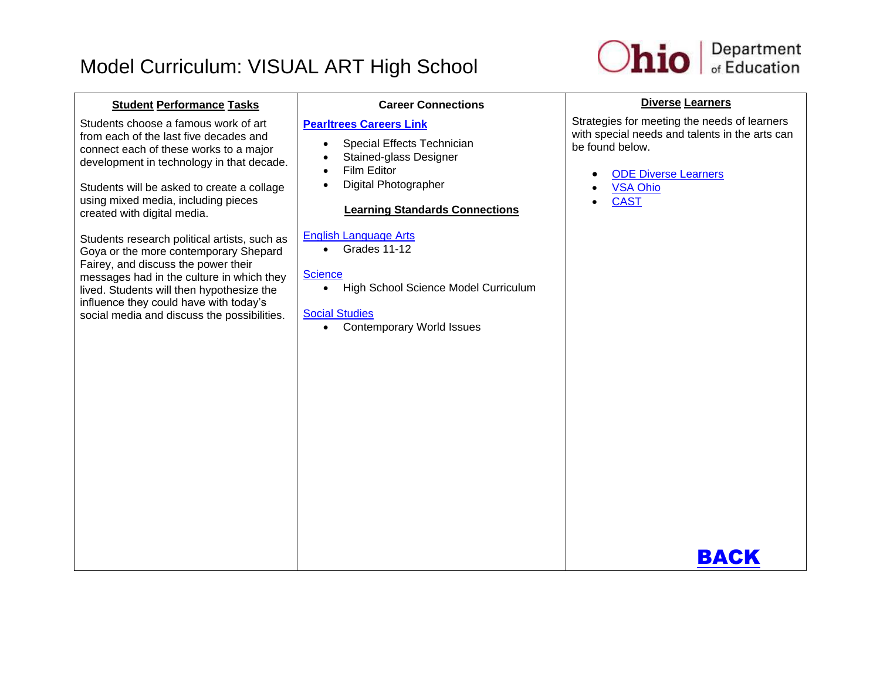

#### **Student Performance Tasks** Students choose a famous work of art from each of the last five decades and connect each of these works to a major development in technology in that decade. Students will be asked to create a collage using mixed media, including pieces created with digital media. Students research political artists, such as Goya or the more contemporary Shepard Fairey, and discuss the power their messages had in the culture in which they lived. Students will then hypothesize the influence they could have with today's social media and discuss the possibilities. **Career Connections [Pearltrees Careers Link](http://www.pearltrees.com/ohioartsed/career-connections/id9664560)** • Special Effects Technician • Stained-glass Designer • Film Editor Digital Photographer **Learning Standards Connections** [English Language Arts](http://education.ohio.gov/Topics/Ohio-s-New-Learning-Standards/English)  Grades 11-12 **[Science](http://education.ohio.gov/Topics/Ohio-s-New-Learning-Standards/Science)** • High School Science Model Curriculum [Social Studies](http://education.ohio.gov/Topics/Ohio-s-New-Learning-Standards/Social-Studies) Contemporary World Issues **Diverse Learners** Strategies for meeting the needs of learners with special needs and talents in the arts can be found below. [ODE Diverse Learners](http://education.ohio.gov/getattachment/Topics/Academic-Content-Standards/New-Learning-Standards/Strategies-and-Resources-for-Diverse-Learners-Focus-on-Students-with-Disabilities.pdf.aspx) [VSA Ohio](http://www.vsao.org/) **[CAST](http://www.cast.org/)** [BACK](#page-2-0)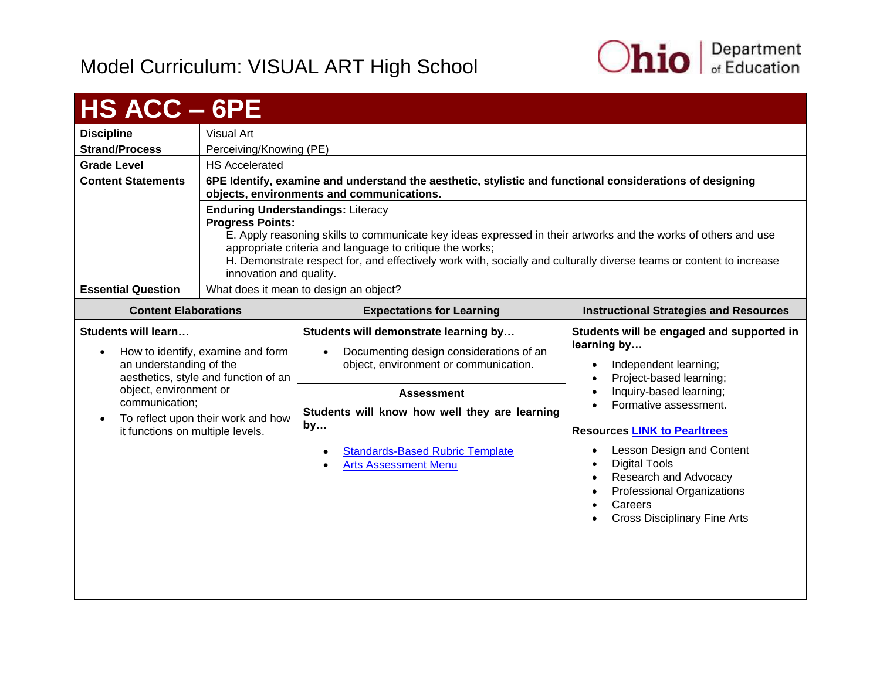

<span id="page-44-0"></span>

| <b>HS ACC - 6PE</b>                                                                                                                         |                                                                                                                                                                                                                                                                                                                                                                                                     |                                                                                                                                                                                                                                                                                             |                                                                                                                                                                                                                                                                                                                                                                                                                     |  |
|---------------------------------------------------------------------------------------------------------------------------------------------|-----------------------------------------------------------------------------------------------------------------------------------------------------------------------------------------------------------------------------------------------------------------------------------------------------------------------------------------------------------------------------------------------------|---------------------------------------------------------------------------------------------------------------------------------------------------------------------------------------------------------------------------------------------------------------------------------------------|---------------------------------------------------------------------------------------------------------------------------------------------------------------------------------------------------------------------------------------------------------------------------------------------------------------------------------------------------------------------------------------------------------------------|--|
| <b>Discipline</b>                                                                                                                           | <b>Visual Art</b>                                                                                                                                                                                                                                                                                                                                                                                   |                                                                                                                                                                                                                                                                                             |                                                                                                                                                                                                                                                                                                                                                                                                                     |  |
| <b>Strand/Process</b>                                                                                                                       | Perceiving/Knowing (PE)                                                                                                                                                                                                                                                                                                                                                                             |                                                                                                                                                                                                                                                                                             |                                                                                                                                                                                                                                                                                                                                                                                                                     |  |
| <b>Grade Level</b>                                                                                                                          | <b>HS Accelerated</b>                                                                                                                                                                                                                                                                                                                                                                               |                                                                                                                                                                                                                                                                                             |                                                                                                                                                                                                                                                                                                                                                                                                                     |  |
| <b>Content Statements</b>                                                                                                                   | 6PE Identify, examine and understand the aesthetic, stylistic and functional considerations of designing<br>objects, environments and communications.                                                                                                                                                                                                                                               |                                                                                                                                                                                                                                                                                             |                                                                                                                                                                                                                                                                                                                                                                                                                     |  |
|                                                                                                                                             | <b>Enduring Understandings: Literacy</b><br><b>Progress Points:</b><br>E. Apply reasoning skills to communicate key ideas expressed in their artworks and the works of others and use<br>appropriate criteria and language to critique the works;<br>H. Demonstrate respect for, and effectively work with, socially and culturally diverse teams or content to increase<br>innovation and quality. |                                                                                                                                                                                                                                                                                             |                                                                                                                                                                                                                                                                                                                                                                                                                     |  |
| <b>Essential Question</b>                                                                                                                   |                                                                                                                                                                                                                                                                                                                                                                                                     | What does it mean to design an object?                                                                                                                                                                                                                                                      |                                                                                                                                                                                                                                                                                                                                                                                                                     |  |
| <b>Content Elaborations</b>                                                                                                                 |                                                                                                                                                                                                                                                                                                                                                                                                     | <b>Expectations for Learning</b>                                                                                                                                                                                                                                                            | <b>Instructional Strategies and Resources</b>                                                                                                                                                                                                                                                                                                                                                                       |  |
| Students will learn<br>an understanding of the<br>object, environment or<br>communication;<br>$\bullet$<br>it functions on multiple levels. | How to identify, examine and form<br>aesthetics, style and function of an<br>To reflect upon their work and how                                                                                                                                                                                                                                                                                     | Students will demonstrate learning by<br>Documenting design considerations of an<br>object, environment or communication.<br><b>Assessment</b><br>Students will know how well they are learning<br>by<br><b>Standards-Based Rubric Template</b><br>$\bullet$<br><b>Arts Assessment Menu</b> | Students will be engaged and supported in<br>learning by<br>Independent learning;<br>Project-based learning;<br>$\bullet$<br>Inquiry-based learning;<br>$\bullet$<br>Formative assessment.<br><b>Resources LINK to Pearltrees</b><br>Lesson Design and Content<br>$\bullet$<br><b>Digital Tools</b><br>Research and Advocacy<br><b>Professional Organizations</b><br>Careers<br><b>Cross Disciplinary Fine Arts</b> |  |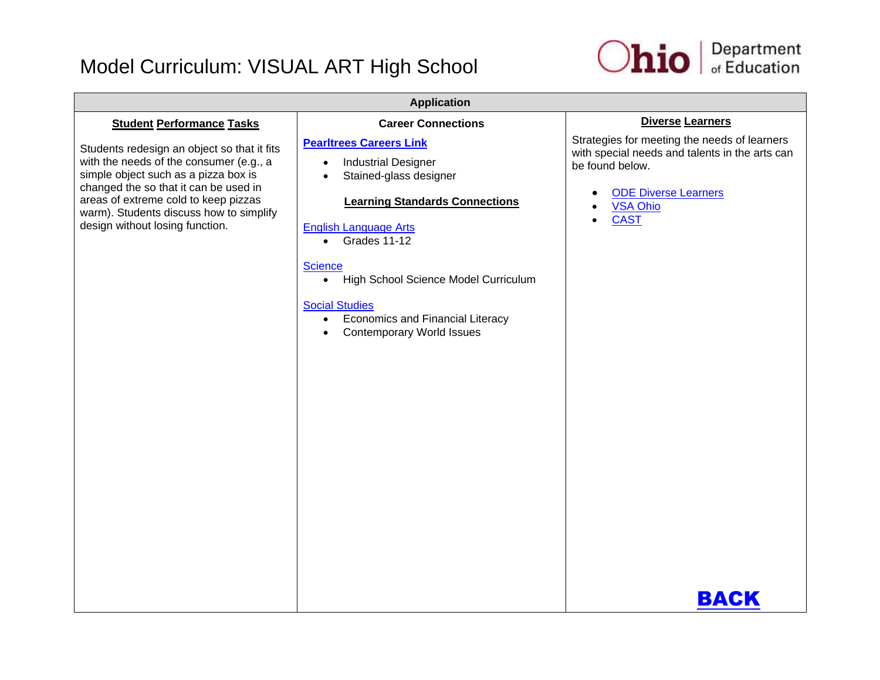

| <b>Application</b>                                                                                                                                                                                                                                                                            |                                                                                                                                                                                                                                                                                                                                                                                                                    |                                                                                                                                                                                                 |  |
|-----------------------------------------------------------------------------------------------------------------------------------------------------------------------------------------------------------------------------------------------------------------------------------------------|--------------------------------------------------------------------------------------------------------------------------------------------------------------------------------------------------------------------------------------------------------------------------------------------------------------------------------------------------------------------------------------------------------------------|-------------------------------------------------------------------------------------------------------------------------------------------------------------------------------------------------|--|
| <b>Student Performance Tasks</b>                                                                                                                                                                                                                                                              | <b>Career Connections</b>                                                                                                                                                                                                                                                                                                                                                                                          | Diverse Learners                                                                                                                                                                                |  |
| Students redesign an object so that it fits<br>with the needs of the consumer (e.g., a<br>simple object such as a pizza box is<br>changed the so that it can be used in<br>areas of extreme cold to keep pizzas<br>warm). Students discuss how to simplify<br>design without losing function. | <b>Pearltrees Careers Link</b><br><b>Industrial Designer</b><br>$\bullet$<br>Stained-glass designer<br><b>Learning Standards Connections</b><br><b>English Language Arts</b><br>Grades 11-12<br>$\bullet$<br><b>Science</b><br>High School Science Model Curriculum<br>$\bullet$<br><b>Social Studies</b><br><b>Economics and Financial Literacy</b><br>$\bullet$<br><b>Contemporary World Issues</b><br>$\bullet$ | Strategies for meeting the needs of learners<br>with special needs and talents in the arts can<br>be found below.<br><b>ODE Diverse Learners</b><br><b>VSA Ohio</b><br><b>CAST</b><br>$\bullet$ |  |
|                                                                                                                                                                                                                                                                                               |                                                                                                                                                                                                                                                                                                                                                                                                                    | BACK                                                                                                                                                                                            |  |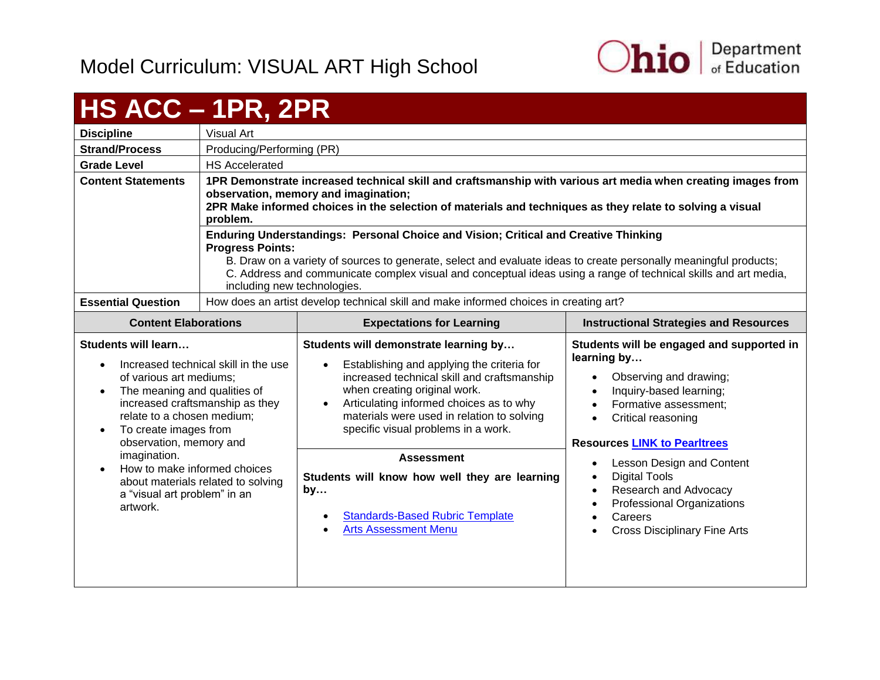

# <span id="page-46-0"></span>**HS ACC – 1PR, 2PR**

| <b>Discipline</b>           | Visual Art                                                                            |                                                                                                                                                                                                                                                                                                                                                           |                                               |  |
|-----------------------------|---------------------------------------------------------------------------------------|-----------------------------------------------------------------------------------------------------------------------------------------------------------------------------------------------------------------------------------------------------------------------------------------------------------------------------------------------------------|-----------------------------------------------|--|
| <b>Strand/Process</b>       | Producing/Performing (PR)                                                             |                                                                                                                                                                                                                                                                                                                                                           |                                               |  |
| <b>Grade Level</b>          | <b>HS Accelerated</b>                                                                 |                                                                                                                                                                                                                                                                                                                                                           |                                               |  |
| <b>Content Statements</b>   | problem.                                                                              | 1PR Demonstrate increased technical skill and craftsmanship with various art media when creating images from<br>observation, memory and imagination;<br>2PR Make informed choices in the selection of materials and techniques as they relate to solving a visual                                                                                         |                                               |  |
|                             | <b>Progress Points:</b>                                                               | Enduring Understandings: Personal Choice and Vision; Critical and Creative Thinking<br>B. Draw on a variety of sources to generate, select and evaluate ideas to create personally meaningful products;<br>C. Address and communicate complex visual and conceptual ideas using a range of technical skills and art media,<br>including new technologies. |                                               |  |
| <b>Essential Question</b>   | How does an artist develop technical skill and make informed choices in creating art? |                                                                                                                                                                                                                                                                                                                                                           |                                               |  |
| <b>Content Elaborations</b> |                                                                                       | <b>Expectations for Learning</b>                                                                                                                                                                                                                                                                                                                          | <b>Instructional Strategies and Resources</b> |  |

| <b>Content Elaborations</b>                                                                                                                                                                                                                                                        | <b>Expectations for Learning</b>                                                                                                                                                                                                                                                                                             | <b>Instructional Strategies and Resources</b>                                                                                                                                                                                                           |
|------------------------------------------------------------------------------------------------------------------------------------------------------------------------------------------------------------------------------------------------------------------------------------|------------------------------------------------------------------------------------------------------------------------------------------------------------------------------------------------------------------------------------------------------------------------------------------------------------------------------|---------------------------------------------------------------------------------------------------------------------------------------------------------------------------------------------------------------------------------------------------------|
| Students will learn<br>Increased technical skill in the use<br>$\bullet$<br>of various art mediums;<br>The meaning and qualities of<br>$\bullet$<br>increased craftsmanship as they<br>relate to a chosen medium;<br>To create images from<br>$\bullet$<br>observation, memory and | Students will demonstrate learning by<br>Establishing and applying the criteria for<br>$\bullet$<br>increased technical skill and craftsmanship<br>when creating original work.<br>Articulating informed choices as to why<br>$\bullet$<br>materials were used in relation to solving<br>specific visual problems in a work. | Students will be engaged and supported in<br>learning by<br>Observing and drawing;<br>$\bullet$<br>Inquiry-based learning;<br>$\bullet$<br>Formative assessment;<br>$\bullet$<br>Critical reasoning<br>$\bullet$<br><b>Resources LINK to Pearltrees</b> |
| imagination.<br>How to make informed choices<br>$\bullet$<br>about materials related to solving<br>a "visual art problem" in an<br>artwork.                                                                                                                                        | <b>Assessment</b><br>Students will know how well they are learning<br>by<br><b>Standards-Based Rubric Template</b><br>$\bullet$<br><b>Arts Assessment Menu</b><br>$\bullet$                                                                                                                                                  | Lesson Design and Content<br>$\bullet$<br>Digital Tools<br>$\bullet$<br>Research and Advocacy<br>$\bullet$<br>Professional Organizations<br>Careers<br>$\bullet$<br><b>Cross Disciplinary Fine Arts</b><br>$\bullet$                                    |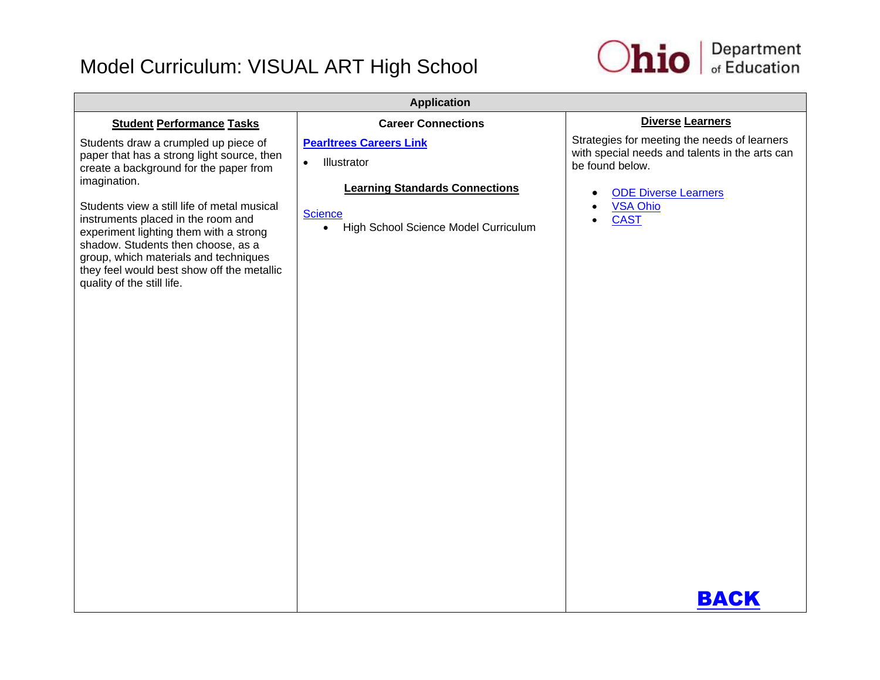

| <b>Application</b>                                                                                                                                                                                                                                                                                                                                                                                                                     |                                                                                                                                                                            |                                                                                                                                                                                                                                   |  |
|----------------------------------------------------------------------------------------------------------------------------------------------------------------------------------------------------------------------------------------------------------------------------------------------------------------------------------------------------------------------------------------------------------------------------------------|----------------------------------------------------------------------------------------------------------------------------------------------------------------------------|-----------------------------------------------------------------------------------------------------------------------------------------------------------------------------------------------------------------------------------|--|
| <b>Student Performance Tasks</b>                                                                                                                                                                                                                                                                                                                                                                                                       | <b>Career Connections</b>                                                                                                                                                  | <b>Diverse Learners</b>                                                                                                                                                                                                           |  |
| Students draw a crumpled up piece of<br>paper that has a strong light source, then<br>create a background for the paper from<br>imagination.<br>Students view a still life of metal musical<br>instruments placed in the room and<br>experiment lighting them with a strong<br>shadow. Students then choose, as a<br>group, which materials and techniques<br>they feel would best show off the metallic<br>quality of the still life. | <b>Pearltrees Careers Link</b><br>Illustrator<br>$\bullet$<br><b>Learning Standards Connections</b><br><b>Science</b><br>High School Science Model Curriculum<br>$\bullet$ | Strategies for meeting the needs of learners<br>with special needs and talents in the arts can<br>be found below.<br><b>ODE Diverse Learners</b><br>$\bullet$<br><b>VSA Ohio</b><br>$\bullet$<br><b>CAST</b><br>$\bullet$<br>BACK |  |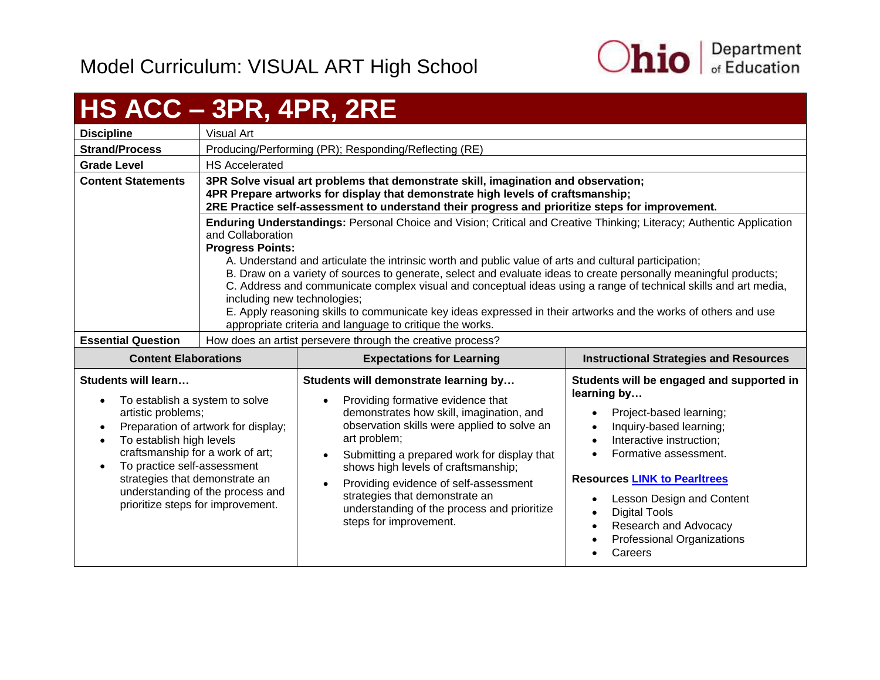

# <span id="page-48-0"></span>**HS ACC – 3PR, 4PR, 2RE**

|                             |                                                                             | _________________                                                                                                                                                                                                                                                                                                                                                                                                                                                                                                                                                                                                                                  |                                        |  |
|-----------------------------|-----------------------------------------------------------------------------|----------------------------------------------------------------------------------------------------------------------------------------------------------------------------------------------------------------------------------------------------------------------------------------------------------------------------------------------------------------------------------------------------------------------------------------------------------------------------------------------------------------------------------------------------------------------------------------------------------------------------------------------------|----------------------------------------|--|
| <b>Discipline</b>           | Visual Art                                                                  |                                                                                                                                                                                                                                                                                                                                                                                                                                                                                                                                                                                                                                                    |                                        |  |
| <b>Strand/Process</b>       | Producing/Performing (PR); Responding/Reflecting (RE)                       |                                                                                                                                                                                                                                                                                                                                                                                                                                                                                                                                                                                                                                                    |                                        |  |
| <b>Grade Level</b>          | <b>HS Accelerated</b>                                                       |                                                                                                                                                                                                                                                                                                                                                                                                                                                                                                                                                                                                                                                    |                                        |  |
| <b>Content Statements</b>   |                                                                             | 3PR Solve visual art problems that demonstrate skill, imagination and observation;<br>4PR Prepare artworks for display that demonstrate high levels of craftsmanship;<br>2RE Practice self-assessment to understand their progress and prioritize steps for improvement.                                                                                                                                                                                                                                                                                                                                                                           |                                        |  |
|                             | and Collaboration<br><b>Progress Points:</b><br>including new technologies; | Enduring Understandings: Personal Choice and Vision; Critical and Creative Thinking; Literacy; Authentic Application<br>A. Understand and articulate the intrinsic worth and public value of arts and cultural participation;<br>B. Draw on a variety of sources to generate, select and evaluate ideas to create personally meaningful products;<br>C. Address and communicate complex visual and conceptual ideas using a range of technical skills and art media,<br>E. Apply reasoning skills to communicate key ideas expressed in their artworks and the works of others and use<br>appropriate criteria and language to critique the works. |                                        |  |
| <b>Essential Question</b>   | How does an artist persevere through the creative process?                  |                                                                                                                                                                                                                                                                                                                                                                                                                                                                                                                                                                                                                                                    |                                        |  |
| <b>Content Flaborations</b> |                                                                             | <b>Expectations for Learning</b>                                                                                                                                                                                                                                                                                                                                                                                                                                                                                                                                                                                                                   | Instructional Strategies and Resources |  |

| <b>Content Elaborations</b>                                                                                                                                                                                                                                                                                                  | <b>Expectations for Learning</b>                                                                                                                                                                                                                                                                                                                                                                                                             | <b>Instructional Strategies and Resources</b>                                                                                                                                                                                                                                                                                                                                                                                                    |
|------------------------------------------------------------------------------------------------------------------------------------------------------------------------------------------------------------------------------------------------------------------------------------------------------------------------------|----------------------------------------------------------------------------------------------------------------------------------------------------------------------------------------------------------------------------------------------------------------------------------------------------------------------------------------------------------------------------------------------------------------------------------------------|--------------------------------------------------------------------------------------------------------------------------------------------------------------------------------------------------------------------------------------------------------------------------------------------------------------------------------------------------------------------------------------------------------------------------------------------------|
| Students will learn<br>To establish a system to solve<br>artistic problems;<br>Preparation of artwork for display;<br>To establish high levels<br>craftsmanship for a work of art;<br>To practice self-assessment<br>strategies that demonstrate an<br>understanding of the process and<br>prioritize steps for improvement. | Students will demonstrate learning by<br>Providing formative evidence that<br>demonstrates how skill, imagination, and<br>observation skills were applied to solve an<br>art problem;<br>Submitting a prepared work for display that<br>$\bullet$<br>shows high levels of craftsmanship;<br>Providing evidence of self-assessment<br>strategies that demonstrate an<br>understanding of the process and prioritize<br>steps for improvement. | Students will be engaged and supported in<br>learning by<br>Project-based learning;<br>$\bullet$<br>Inquiry-based learning;<br>$\bullet$<br>Interactive instruction;<br>$\bullet$<br>Formative assessment.<br><b>Resources LINK to Pearltrees</b><br>Lesson Design and Content<br>$\bullet$<br><b>Digital Tools</b><br>$\bullet$<br>Research and Advocacy<br>$\bullet$<br><b>Professional Organizations</b><br>$\bullet$<br>Careers<br>$\bullet$ |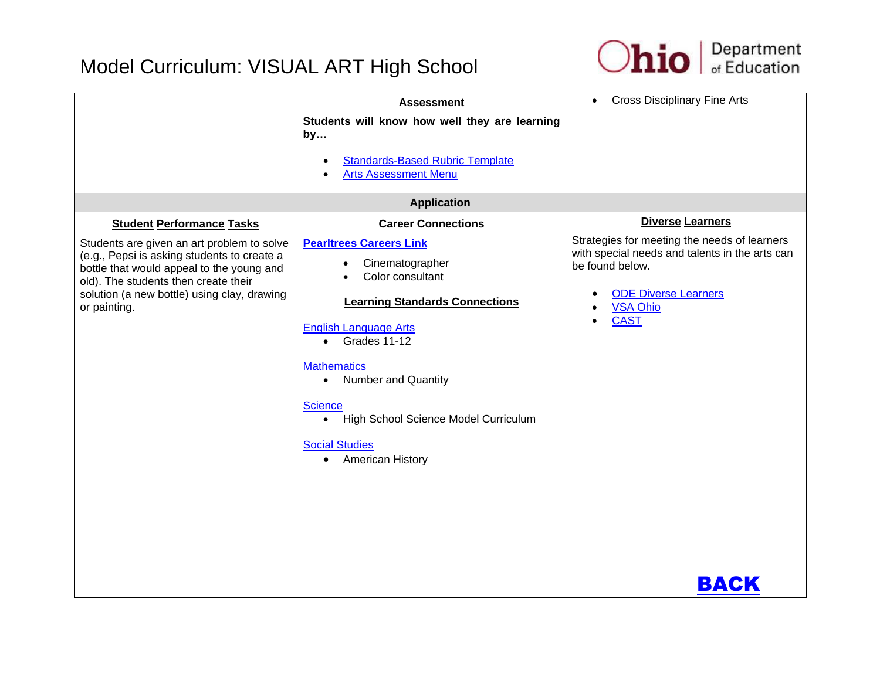

|                                                                                                                                                                                                                                               | <b>Assessment</b><br>Students will know how well they are learning<br>by<br><b>Standards-Based Rubric Template</b><br><b>Arts Assessment Menu</b>                                                                                                                                                                                                                          | <b>Cross Disciplinary Fine Arts</b><br>$\bullet$                                                                                                                                           |
|-----------------------------------------------------------------------------------------------------------------------------------------------------------------------------------------------------------------------------------------------|----------------------------------------------------------------------------------------------------------------------------------------------------------------------------------------------------------------------------------------------------------------------------------------------------------------------------------------------------------------------------|--------------------------------------------------------------------------------------------------------------------------------------------------------------------------------------------|
|                                                                                                                                                                                                                                               | <b>Application</b>                                                                                                                                                                                                                                                                                                                                                         |                                                                                                                                                                                            |
| <b>Student Performance Tasks</b>                                                                                                                                                                                                              | <b>Career Connections</b>                                                                                                                                                                                                                                                                                                                                                  | Diverse Learners                                                                                                                                                                           |
| Students are given an art problem to solve<br>(e.g., Pepsi is asking students to create a<br>bottle that would appeal to the young and<br>old). The students then create their<br>solution (a new bottle) using clay, drawing<br>or painting. | <b>Pearltrees Careers Link</b><br>Cinematographer<br>Color consultant<br><b>Learning Standards Connections</b><br><b>English Language Arts</b><br>$\bullet$ Grades 11-12<br><b>Mathematics</b><br><b>Number and Quantity</b><br>$\bullet$<br><b>Science</b><br>High School Science Model Curriculum<br>$\bullet$<br><b>Social Studies</b><br>American History<br>$\bullet$ | Strategies for meeting the needs of learners<br>with special needs and talents in the arts can<br>be found below.<br><b>ODE Diverse Learners</b><br><b>VSA Ohio</b><br><b>CAST</b><br>BACK |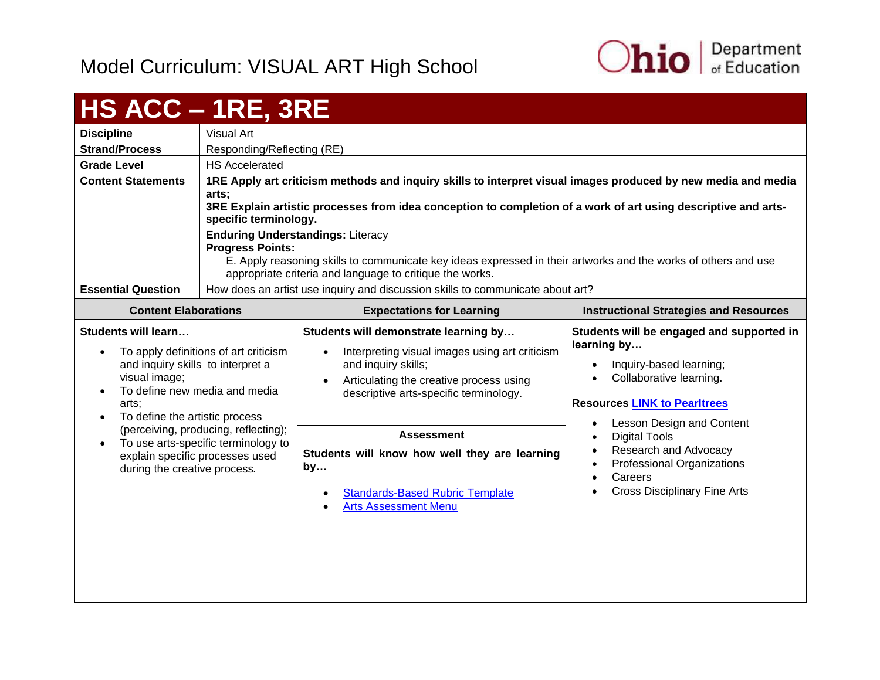

## <span id="page-50-0"></span>**HS ACC – 1RE, 3RE**

|                                                                                                                                                                                                                                 | - - - - - -                                                                                                          |                                                                                                                                                                                                                                                                                                                                                                                                                                                           |                                                                                                                                                                                                                                                                                                                                                                                                          |
|---------------------------------------------------------------------------------------------------------------------------------------------------------------------------------------------------------------------------------|----------------------------------------------------------------------------------------------------------------------|-----------------------------------------------------------------------------------------------------------------------------------------------------------------------------------------------------------------------------------------------------------------------------------------------------------------------------------------------------------------------------------------------------------------------------------------------------------|----------------------------------------------------------------------------------------------------------------------------------------------------------------------------------------------------------------------------------------------------------------------------------------------------------------------------------------------------------------------------------------------------------|
| <b>Discipline</b>                                                                                                                                                                                                               | Visual Art                                                                                                           |                                                                                                                                                                                                                                                                                                                                                                                                                                                           |                                                                                                                                                                                                                                                                                                                                                                                                          |
| <b>Strand/Process</b>                                                                                                                                                                                                           | Responding/Reflecting (RE)                                                                                           |                                                                                                                                                                                                                                                                                                                                                                                                                                                           |                                                                                                                                                                                                                                                                                                                                                                                                          |
| <b>Grade Level</b>                                                                                                                                                                                                              | <b>HS Accelerated</b>                                                                                                |                                                                                                                                                                                                                                                                                                                                                                                                                                                           |                                                                                                                                                                                                                                                                                                                                                                                                          |
| <b>Content Statements</b>                                                                                                                                                                                                       | arts;<br>specific terminology.<br><b>Progress Points:</b>                                                            | 1RE Apply art criticism methods and inquiry skills to interpret visual images produced by new media and media<br>3RE Explain artistic processes from idea conception to completion of a work of art using descriptive and arts-<br><b>Enduring Understandings: Literacy</b><br>E. Apply reasoning skills to communicate key ideas expressed in their artworks and the works of others and use<br>appropriate criteria and language to critique the works. |                                                                                                                                                                                                                                                                                                                                                                                                          |
| <b>Essential Question</b>                                                                                                                                                                                                       |                                                                                                                      | How does an artist use inquiry and discussion skills to communicate about art?                                                                                                                                                                                                                                                                                                                                                                            |                                                                                                                                                                                                                                                                                                                                                                                                          |
| <b>Content Elaborations</b>                                                                                                                                                                                                     |                                                                                                                      | <b>Expectations for Learning</b>                                                                                                                                                                                                                                                                                                                                                                                                                          | <b>Instructional Strategies and Resources</b>                                                                                                                                                                                                                                                                                                                                                            |
| <b>Students will learn</b><br>and inquiry skills to interpret a<br>visual image;<br>To define new media and media<br>arts;<br>To define the artistic process<br>explain specific processes used<br>during the creative process. | To apply definitions of art criticism<br>(perceiving, producing, reflecting);<br>To use arts-specific terminology to | Students will demonstrate learning by<br>Interpreting visual images using art criticism<br>and inquiry skills;<br>Articulating the creative process using<br>descriptive arts-specific terminology.<br><b>Assessment</b><br>Students will know how well they are learning<br>by<br><b>Standards-Based Rubric Template</b><br><b>Arts Assessment Menu</b>                                                                                                  | Students will be engaged and supported in<br>learning by<br>Inquiry-based learning;<br>$\bullet$<br>Collaborative learning.<br>$\bullet$<br><b>Resources LINK to Pearltrees</b><br>Lesson Design and Content<br>$\bullet$<br><b>Digital Tools</b><br>$\bullet$<br>Research and Advocacy<br><b>Professional Organizations</b><br>$\bullet$<br>Careers<br>$\bullet$<br><b>Cross Disciplinary Fine Arts</b> |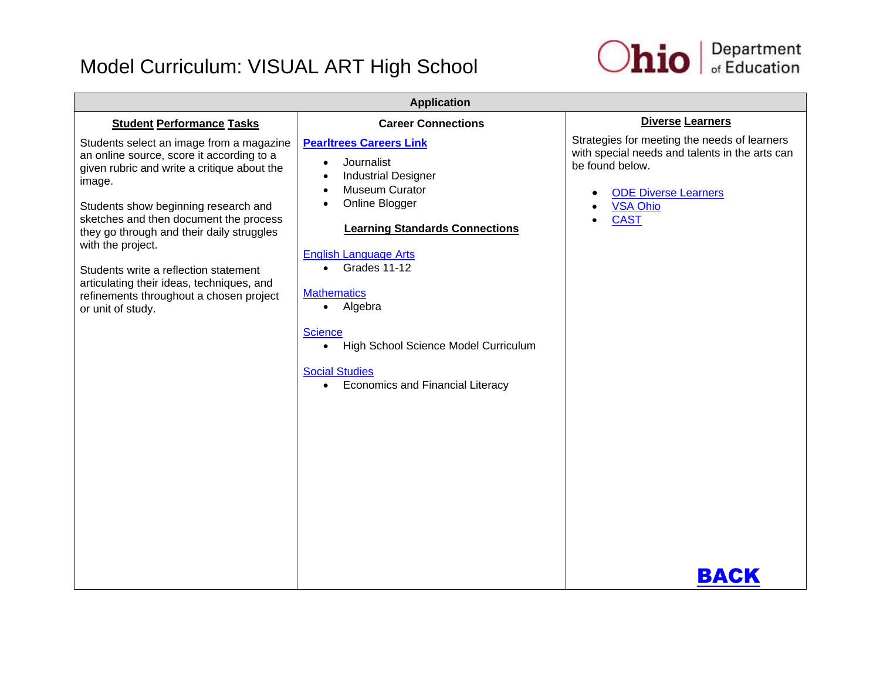

| <b>Application</b>                                                                                                                                                                                                                                                                                                                                                                                                                                       |                                                                                                                                                                                                                                                                                                                                                                                                                                         |                                                                                                                                                                                            |
|----------------------------------------------------------------------------------------------------------------------------------------------------------------------------------------------------------------------------------------------------------------------------------------------------------------------------------------------------------------------------------------------------------------------------------------------------------|-----------------------------------------------------------------------------------------------------------------------------------------------------------------------------------------------------------------------------------------------------------------------------------------------------------------------------------------------------------------------------------------------------------------------------------------|--------------------------------------------------------------------------------------------------------------------------------------------------------------------------------------------|
| <b>Student Performance Tasks</b>                                                                                                                                                                                                                                                                                                                                                                                                                         | <b>Career Connections</b>                                                                                                                                                                                                                                                                                                                                                                                                               | <b>Diverse Learners</b>                                                                                                                                                                    |
| Students select an image from a magazine<br>an online source, score it according to a<br>given rubric and write a critique about the<br>image.<br>Students show beginning research and<br>sketches and then document the process<br>they go through and their daily struggles<br>with the project.<br>Students write a reflection statement<br>articulating their ideas, techniques, and<br>refinements throughout a chosen project<br>or unit of study. | <b>Pearltrees Careers Link</b><br>Journalist<br>$\bullet$<br><b>Industrial Designer</b><br>Museum Curator<br>Online Blogger<br><b>Learning Standards Connections</b><br><b>English Language Arts</b><br>Grades 11-12<br>$\bullet$<br><b>Mathematics</b><br>Algebra<br>$\bullet$<br><b>Science</b><br>High School Science Model Curriculum<br>$\bullet$<br><b>Social Studies</b><br><b>Economics and Financial Literacy</b><br>$\bullet$ | Strategies for meeting the needs of learners<br>with special needs and talents in the arts can<br>be found below.<br><b>ODE Diverse Learners</b><br><b>VSA Ohio</b><br><b>CAST</b><br>BACK |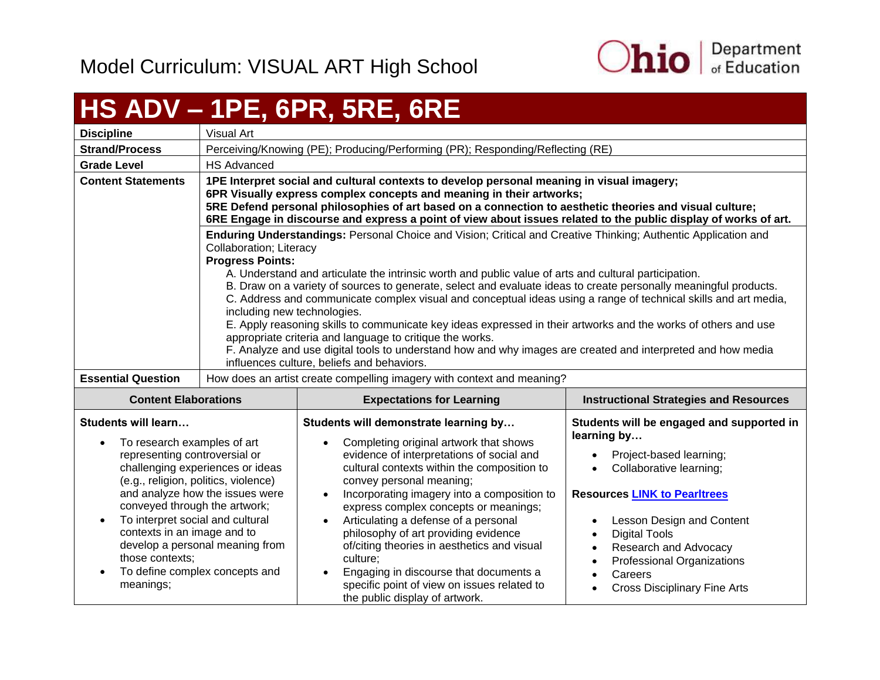

## <span id="page-52-0"></span>**HS ADV – 1PE, 6PR, 5RE, 6RE**

| <b>Discipline</b>                                                                                                                                                                                                                                                      | Visual Art                                                                                                                                                                                                                                                                                                                                                                                      |                                                                                                                                                                                                                                                                                                                                                                                                                                                                                                                                                                                                                                                                                                                                                                                                           |                                                                                                                                                                                                                                                                                                                                  |
|------------------------------------------------------------------------------------------------------------------------------------------------------------------------------------------------------------------------------------------------------------------------|-------------------------------------------------------------------------------------------------------------------------------------------------------------------------------------------------------------------------------------------------------------------------------------------------------------------------------------------------------------------------------------------------|-----------------------------------------------------------------------------------------------------------------------------------------------------------------------------------------------------------------------------------------------------------------------------------------------------------------------------------------------------------------------------------------------------------------------------------------------------------------------------------------------------------------------------------------------------------------------------------------------------------------------------------------------------------------------------------------------------------------------------------------------------------------------------------------------------------|----------------------------------------------------------------------------------------------------------------------------------------------------------------------------------------------------------------------------------------------------------------------------------------------------------------------------------|
| <b>Strand/Process</b>                                                                                                                                                                                                                                                  | Perceiving/Knowing (PE); Producing/Performing (PR); Responding/Reflecting (RE)                                                                                                                                                                                                                                                                                                                  |                                                                                                                                                                                                                                                                                                                                                                                                                                                                                                                                                                                                                                                                                                                                                                                                           |                                                                                                                                                                                                                                                                                                                                  |
| <b>Grade Level</b>                                                                                                                                                                                                                                                     | <b>HS Advanced</b>                                                                                                                                                                                                                                                                                                                                                                              |                                                                                                                                                                                                                                                                                                                                                                                                                                                                                                                                                                                                                                                                                                                                                                                                           |                                                                                                                                                                                                                                                                                                                                  |
| <b>Content Statements</b>                                                                                                                                                                                                                                              | 1PE Interpret social and cultural contexts to develop personal meaning in visual imagery;<br>6PR Visually express complex concepts and meaning in their artworks;<br>5RE Defend personal philosophies of art based on a connection to aesthetic theories and visual culture;<br>6RE Engage in discourse and express a point of view about issues related to the public display of works of art. |                                                                                                                                                                                                                                                                                                                                                                                                                                                                                                                                                                                                                                                                                                                                                                                                           |                                                                                                                                                                                                                                                                                                                                  |
|                                                                                                                                                                                                                                                                        | Collaboration; Literacy<br><b>Progress Points:</b><br>including new technologies.                                                                                                                                                                                                                                                                                                               | Enduring Understandings: Personal Choice and Vision; Critical and Creative Thinking; Authentic Application and<br>A. Understand and articulate the intrinsic worth and public value of arts and cultural participation.<br>B. Draw on a variety of sources to generate, select and evaluate ideas to create personally meaningful products.<br>C. Address and communicate complex visual and conceptual ideas using a range of technical skills and art media,<br>E. Apply reasoning skills to communicate key ideas expressed in their artworks and the works of others and use<br>appropriate criteria and language to critique the works.<br>F. Analyze and use digital tools to understand how and why images are created and interpreted and how media<br>influences culture, beliefs and behaviors. |                                                                                                                                                                                                                                                                                                                                  |
| <b>Essential Question</b>                                                                                                                                                                                                                                              | How does an artist create compelling imagery with context and meaning?                                                                                                                                                                                                                                                                                                                          |                                                                                                                                                                                                                                                                                                                                                                                                                                                                                                                                                                                                                                                                                                                                                                                                           |                                                                                                                                                                                                                                                                                                                                  |
| <b>Content Elaborations</b>                                                                                                                                                                                                                                            | <b>Expectations for Learning</b>                                                                                                                                                                                                                                                                                                                                                                |                                                                                                                                                                                                                                                                                                                                                                                                                                                                                                                                                                                                                                                                                                                                                                                                           | <b>Instructional Strategies and Resources</b>                                                                                                                                                                                                                                                                                    |
| <b>Students will learn</b><br>To research examples of art<br>representing controversial or<br>(e.g., religion, politics, violence)<br>conveyed through the artwork;<br>To interpret social and cultural<br>contexts in an image and to<br>those contexts;<br>meanings; | challenging experiences or ideas<br>and analyze how the issues were<br>develop a personal meaning from<br>To define complex concepts and                                                                                                                                                                                                                                                        | Students will demonstrate learning by<br>Completing original artwork that shows<br>$\bullet$<br>evidence of interpretations of social and<br>cultural contexts within the composition to<br>convey personal meaning;<br>Incorporating imagery into a composition to<br>$\bullet$<br>express complex concepts or meanings;<br>Articulating a defense of a personal<br>$\bullet$<br>philosophy of art providing evidence<br>of/citing theories in aesthetics and visual<br>culture;<br>Engaging in discourse that documents a<br>specific point of view on issues related to<br>the public display of artwork.                                                                                                                                                                                              | Students will be engaged and supported in<br>learning by<br>Project-based learning;<br>Collaborative learning;<br>$\bullet$<br><b>Resources LINK to Pearltrees</b><br>Lesson Design and Content<br><b>Digital Tools</b><br>Research and Advocacy<br>Professional Organizations<br>Careers<br><b>Cross Disciplinary Fine Arts</b> |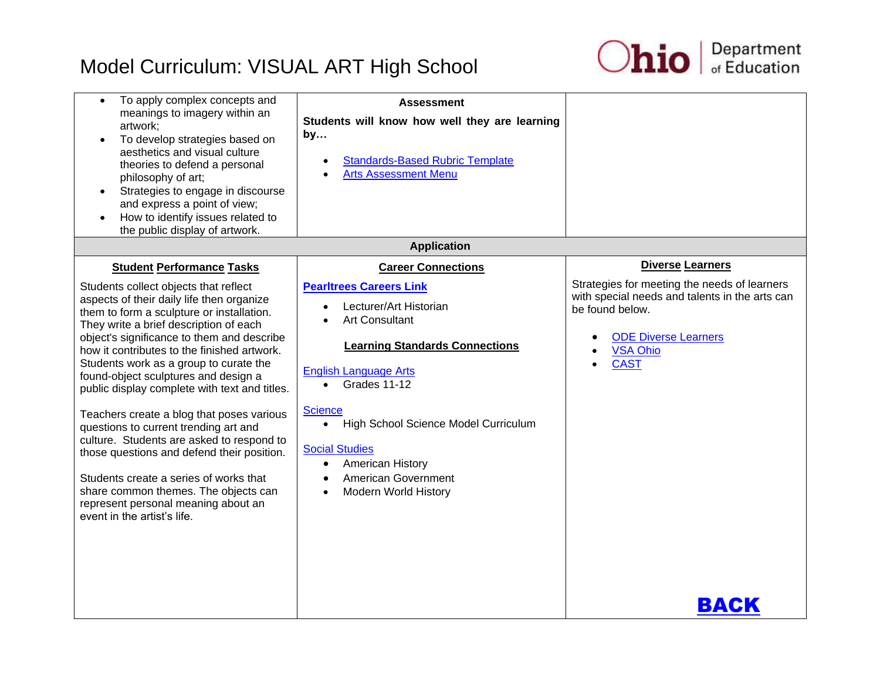

| To apply complex concepts and<br>$\bullet$<br>meanings to imagery within an<br>artwork;<br>To develop strategies based on<br>aesthetics and visual culture<br>theories to defend a personal<br>philosophy of art;<br>Strategies to engage in discourse<br>$\bullet$<br>and express a point of view;<br>How to identify issues related to<br>the public display of artwork.                                                                                                                                                                                                                                                                                                                                                                                                             | <b>Assessment</b><br>Students will know how well they are learning<br>by<br><b>Standards-Based Rubric Template</b><br>$\bullet$<br><b>Arts Assessment Menu</b><br>$\bullet$                                                                                                                                                                                                                                                                                            |                                                                                                                                                                                                               |
|----------------------------------------------------------------------------------------------------------------------------------------------------------------------------------------------------------------------------------------------------------------------------------------------------------------------------------------------------------------------------------------------------------------------------------------------------------------------------------------------------------------------------------------------------------------------------------------------------------------------------------------------------------------------------------------------------------------------------------------------------------------------------------------|------------------------------------------------------------------------------------------------------------------------------------------------------------------------------------------------------------------------------------------------------------------------------------------------------------------------------------------------------------------------------------------------------------------------------------------------------------------------|---------------------------------------------------------------------------------------------------------------------------------------------------------------------------------------------------------------|
|                                                                                                                                                                                                                                                                                                                                                                                                                                                                                                                                                                                                                                                                                                                                                                                        | <b>Application</b>                                                                                                                                                                                                                                                                                                                                                                                                                                                     |                                                                                                                                                                                                               |
| <b>Student Performance Tasks</b><br>Students collect objects that reflect<br>aspects of their daily life then organize<br>them to form a sculpture or installation.<br>They write a brief description of each<br>object's significance to them and describe<br>how it contributes to the finished artwork.<br>Students work as a group to curate the<br>found-object sculptures and design a<br>public display complete with text and titles.<br>Teachers create a blog that poses various<br>questions to current trending art and<br>culture. Students are asked to respond to<br>those questions and defend their position.<br>Students create a series of works that<br>share common themes. The objects can<br>represent personal meaning about an<br>event in the artist's life. | <b>Career Connections</b><br><b>Pearltrees Careers Link</b><br>Lecturer/Art Historian<br>$\bullet$<br><b>Art Consultant</b><br>$\bullet$<br><b>Learning Standards Connections</b><br><b>English Language Arts</b><br>Grades 11-12<br>$\bullet$<br><b>Science</b><br>High School Science Model Curriculum<br>$\bullet$<br><b>Social Studies</b><br>American History<br>$\bullet$<br><b>American Government</b><br>$\bullet$<br><b>Modern World History</b><br>$\bullet$ | <b>Diverse Learners</b><br>Strategies for meeting the needs of learners<br>with special needs and talents in the arts can<br>be found below.<br><b>ODE Diverse Learners</b><br><b>VSA Ohio</b><br><b>CAST</b> |
|                                                                                                                                                                                                                                                                                                                                                                                                                                                                                                                                                                                                                                                                                                                                                                                        |                                                                                                                                                                                                                                                                                                                                                                                                                                                                        | <b>BACK</b>                                                                                                                                                                                                   |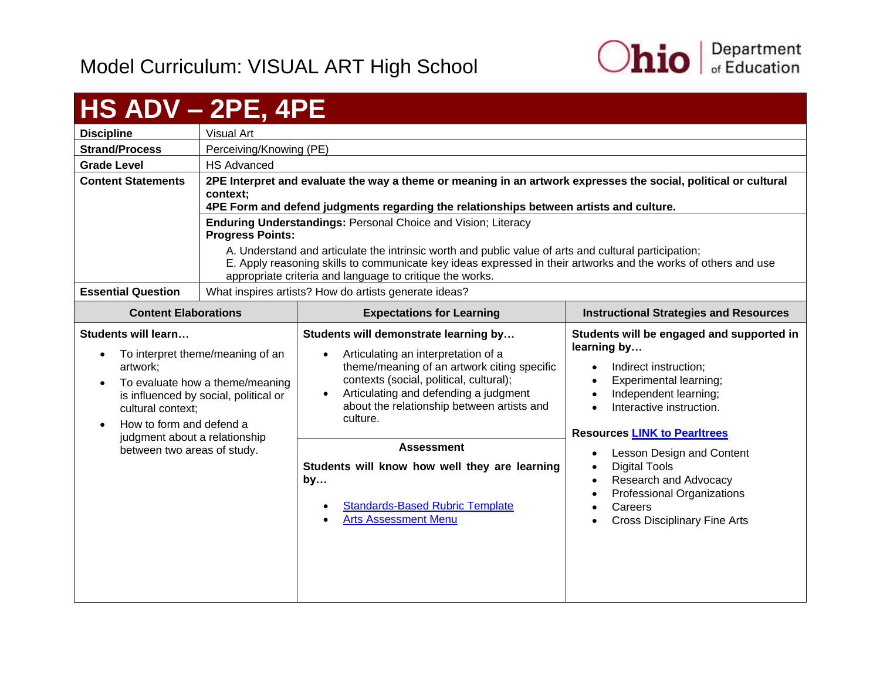

#### <span id="page-54-0"></span>**HS ADV – 2PE, 4PE Discipline** Visual Art **Strand/Process** | Perceiving/Knowing (PE) **Grade Level HS Advanced Content Statements 2PE Interpret and evaluate the way a theme or meaning in an artwork expresses the social, political or cultural context; 4PE Form and defend judgments regarding the relationships between artists and culture. Enduring Understandings:** Personal Choice and Vision; Literacy **Progress Points:**  A. Understand and articulate the intrinsic worth and public value of arts and cultural participation; E. Apply reasoning skills to communicate key ideas expressed in their artworks and the works of others and use appropriate criteria and language to critique the works. **Essential Question** | What inspires artists? How do artists generate ideas? **Content Elaborations Expectations for Learning Instructional Strategies and Resources Students will learn…** • To interpret theme/meaning of an artwork; • To evaluate how a theme/meaning is influenced by social, political or cultural context; • How to form and defend a judgment about a relationship between two areas of study. **Students will demonstrate learning by…** • Articulating an interpretation of a theme/meaning of an artwork citing specific contexts (social, political, cultural); Articulating and defending a judgment about the relationship between artists and culture. **Students will be engaged and supported in learning by…** • Indirect instruction: • Experimental learning; • Independent learning; • Interactive instruction. **Resources [LINK to Pearltrees](http://www.pearltrees.com/ohioartsed)** • Lesson Design and Content • Digital Tools Research and Advocacy Professional Organizations **Careers**  Cross Disciplinary Fine Arts **Assessment Students will know how well they are learning by…** [Standards-Based Rubric Template](https://education.ohio.gov/getattachment/Topics/Ohio-s-New-Learning-Standards/Fine-Arts/Standards_based_Rubric.pdf.aspx) [Arts Assessment Menu](https://education.ohio.gov/getattachment/Topics/Ohio-s-New-Learning-Standards/Fine-Arts/Arts-Assess-Chart.pdf.aspx)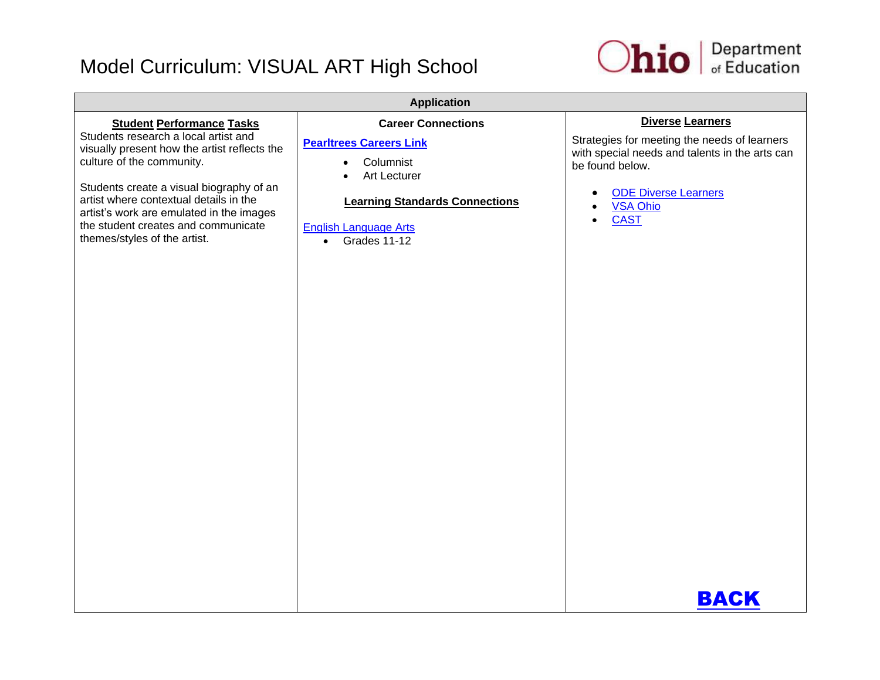

| <b>Application</b>                                                                                                                                                                                                                                                                                                                                             |                                                                                                                                                                                                             |                                                                                                                                                                                                                            |
|----------------------------------------------------------------------------------------------------------------------------------------------------------------------------------------------------------------------------------------------------------------------------------------------------------------------------------------------------------------|-------------------------------------------------------------------------------------------------------------------------------------------------------------------------------------------------------------|----------------------------------------------------------------------------------------------------------------------------------------------------------------------------------------------------------------------------|
| <b>Student Performance Tasks</b><br>Students research a local artist and<br>visually present how the artist reflects the<br>culture of the community.<br>Students create a visual biography of an<br>artist where contextual details in the<br>artist's work are emulated in the images<br>the student creates and communicate<br>themes/styles of the artist. | <b>Career Connections</b><br><b>Pearltrees Careers Link</b><br>Columnist<br>$\bullet$<br>Art Lecturer<br><b>Learning Standards Connections</b><br><b>English Language Arts</b><br>Grades 11-12<br>$\bullet$ | <b>Diverse Learners</b><br>Strategies for meeting the needs of learners<br>with special needs and talents in the arts can<br>be found below.<br><b>ODE Diverse Learners</b><br><b>VSA Ohio</b><br><b>CAST</b><br>$\bullet$ |
|                                                                                                                                                                                                                                                                                                                                                                |                                                                                                                                                                                                             | <b>BACK</b>                                                                                                                                                                                                                |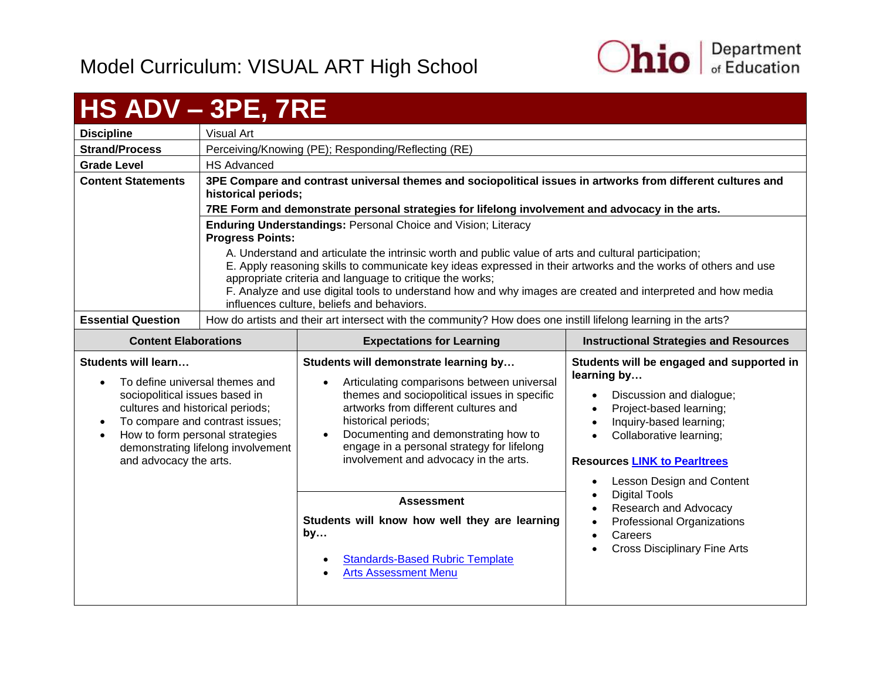

# <span id="page-56-0"></span>**HS ADV – 3PE, 7RE**

|                           | _ _ _ _ _ _ _                                                                                                                                                                                                                                                                       |  |  |
|---------------------------|-------------------------------------------------------------------------------------------------------------------------------------------------------------------------------------------------------------------------------------------------------------------------------------|--|--|
| <b>Discipline</b>         | Visual Art                                                                                                                                                                                                                                                                          |  |  |
| <b>Strand/Process</b>     | Perceiving/Knowing (PE); Responding/Reflecting (RE)                                                                                                                                                                                                                                 |  |  |
| <b>Grade Level</b>        | <b>HS Advanced</b>                                                                                                                                                                                                                                                                  |  |  |
| <b>Content Statements</b> | 3PE Compare and contrast universal themes and sociopolitical issues in artworks from different cultures and<br>historical periods;                                                                                                                                                  |  |  |
|                           | 7RE Form and demonstrate personal strategies for lifelong involvement and advocacy in the arts.                                                                                                                                                                                     |  |  |
|                           | <b>Enduring Understandings: Personal Choice and Vision; Literacy</b><br><b>Progress Points:</b>                                                                                                                                                                                     |  |  |
|                           | A. Understand and articulate the intrinsic worth and public value of arts and cultural participation;<br>E. Apply reasoning skills to communicate key ideas expressed in their artworks and the works of others and use<br>appropriate criteria and language to critique the works; |  |  |
|                           | F. Analyze and use digital tools to understand how and why images are created and interpreted and how media<br>influences culture, beliefs and behaviors.                                                                                                                           |  |  |
| <b>Essential Question</b> | How do artists and their art intersect with the community? How does one instill lifelong learning in the arts?                                                                                                                                                                      |  |  |

| <b>Content Elaborations</b>                                                                                                                                                                                                                                       | <b>Expectations for Learning</b>                                                                                                                                                                                                                                                                                                  | <b>Instructional Strategies and Resources</b>                                                                                                                                                                                                                                                 |
|-------------------------------------------------------------------------------------------------------------------------------------------------------------------------------------------------------------------------------------------------------------------|-----------------------------------------------------------------------------------------------------------------------------------------------------------------------------------------------------------------------------------------------------------------------------------------------------------------------------------|-----------------------------------------------------------------------------------------------------------------------------------------------------------------------------------------------------------------------------------------------------------------------------------------------|
| Students will learn<br>To define universal themes and<br>sociopolitical issues based in<br>cultures and historical periods;<br>To compare and contrast issues;<br>How to form personal strategies<br>demonstrating lifelong involvement<br>and advocacy the arts. | Students will demonstrate learning by<br>Articulating comparisons between universal<br>themes and sociopolitical issues in specific<br>artworks from different cultures and<br>historical periods;<br>Documenting and demonstrating how to<br>engage in a personal strategy for lifelong<br>involvement and advocacy in the arts. | Students will be engaged and supported in<br>learning by<br>Discussion and dialogue;<br>Project-based learning;<br>$\bullet$<br>Inquiry-based learning;<br>$\bullet$<br>Collaborative learning;<br>$\bullet$<br><b>Resources LINK to Pearltrees</b><br>Lesson Design and Content<br>$\bullet$ |
|                                                                                                                                                                                                                                                                   | <b>Assessment</b><br>Students will know how well they are learning<br>by<br><b>Standards-Based Rubric Template</b><br><b>Arts Assessment Menu</b>                                                                                                                                                                                 | <b>Digital Tools</b><br>$\bullet$<br>Research and Advocacy<br>$\bullet$<br>Professional Organizations<br>$\bullet$<br>Careers<br>$\bullet$<br><b>Cross Disciplinary Fine Arts</b>                                                                                                             |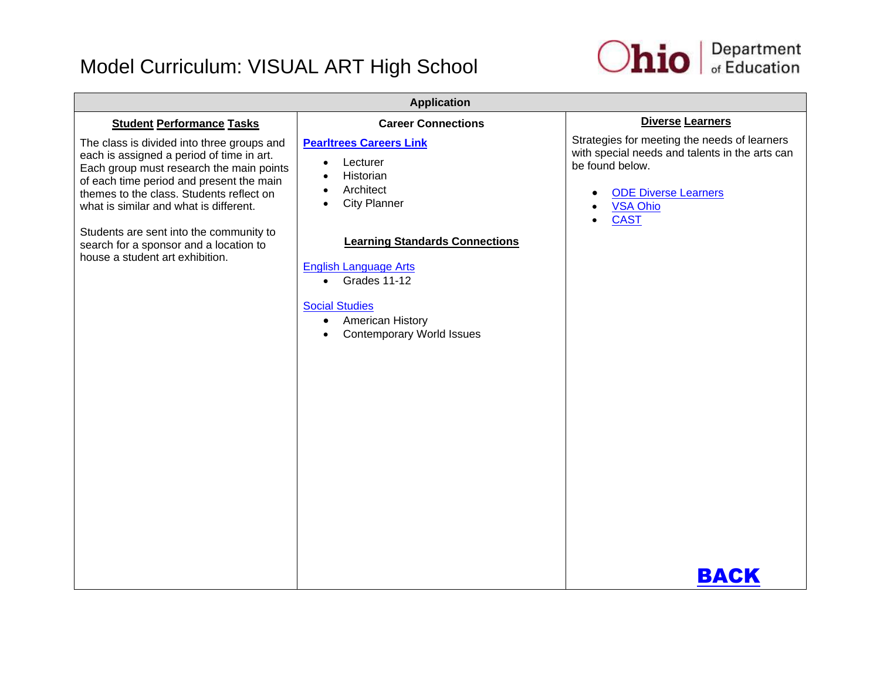

| <b>Diverse Learners</b>                                                                                                                                                                                 |
|---------------------------------------------------------------------------------------------------------------------------------------------------------------------------------------------------------|
|                                                                                                                                                                                                         |
| Strategies for meeting the needs of learners<br>with special needs and talents in the arts can<br>be found below.<br><b>ODE Diverse Learners</b><br>$\bullet$<br><b>VSA Ohio</b><br><b>CAST</b><br>BACK |
|                                                                                                                                                                                                         |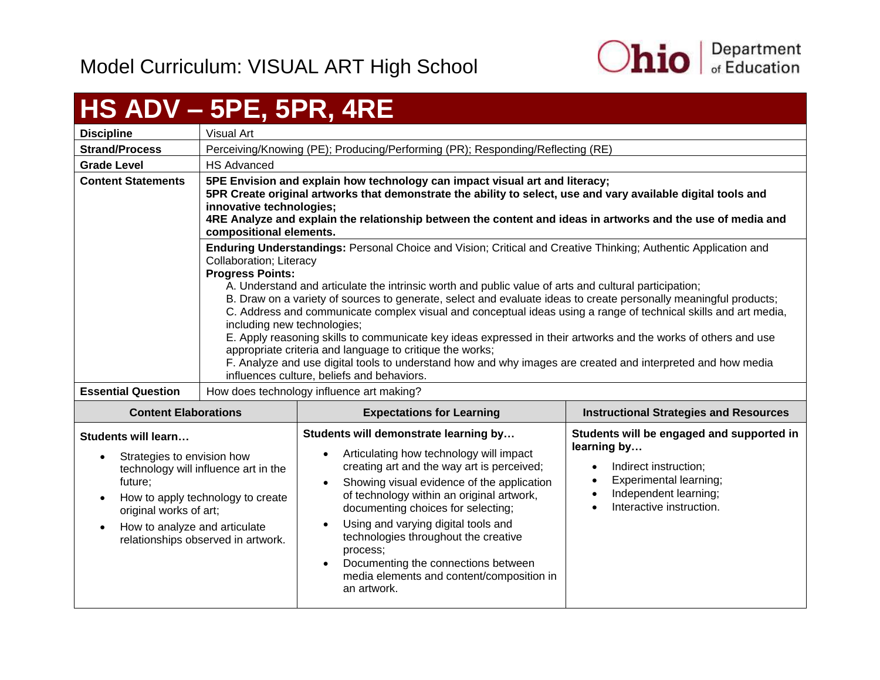

# <span id="page-58-0"></span>**HS ADV – 5PE, 5PR, 4RE**

| <b>Discipline</b>                                                                                                                           | Visual Art                                                                                                                                                                                                                                                                                                                                                         |                                                                                                                                                                                                                                                                                                                                                                                                                                                                                                                                                                                                                                                                                                                                                                                                           |                                                                                                                                                                                                         |
|---------------------------------------------------------------------------------------------------------------------------------------------|--------------------------------------------------------------------------------------------------------------------------------------------------------------------------------------------------------------------------------------------------------------------------------------------------------------------------------------------------------------------|-----------------------------------------------------------------------------------------------------------------------------------------------------------------------------------------------------------------------------------------------------------------------------------------------------------------------------------------------------------------------------------------------------------------------------------------------------------------------------------------------------------------------------------------------------------------------------------------------------------------------------------------------------------------------------------------------------------------------------------------------------------------------------------------------------------|---------------------------------------------------------------------------------------------------------------------------------------------------------------------------------------------------------|
| <b>Strand/Process</b>                                                                                                                       |                                                                                                                                                                                                                                                                                                                                                                    | Perceiving/Knowing (PE); Producing/Performing (PR); Responding/Reflecting (RE)                                                                                                                                                                                                                                                                                                                                                                                                                                                                                                                                                                                                                                                                                                                            |                                                                                                                                                                                                         |
| <b>Grade Level</b>                                                                                                                          | <b>HS Advanced</b>                                                                                                                                                                                                                                                                                                                                                 |                                                                                                                                                                                                                                                                                                                                                                                                                                                                                                                                                                                                                                                                                                                                                                                                           |                                                                                                                                                                                                         |
| <b>Content Statements</b>                                                                                                                   | 5PE Envision and explain how technology can impact visual art and literacy;<br>5PR Create original artworks that demonstrate the ability to select, use and vary available digital tools and<br>innovative technologies;<br>4RE Analyze and explain the relationship between the content and ideas in artworks and the use of media and<br>compositional elements. |                                                                                                                                                                                                                                                                                                                                                                                                                                                                                                                                                                                                                                                                                                                                                                                                           |                                                                                                                                                                                                         |
|                                                                                                                                             | <b>Collaboration</b> ; Literacy<br><b>Progress Points:</b><br>including new technologies;                                                                                                                                                                                                                                                                          | Enduring Understandings: Personal Choice and Vision; Critical and Creative Thinking; Authentic Application and<br>A. Understand and articulate the intrinsic worth and public value of arts and cultural participation;<br>B. Draw on a variety of sources to generate, select and evaluate ideas to create personally meaningful products;<br>C. Address and communicate complex visual and conceptual ideas using a range of technical skills and art media,<br>E. Apply reasoning skills to communicate key ideas expressed in their artworks and the works of others and use<br>appropriate criteria and language to critique the works;<br>F. Analyze and use digital tools to understand how and why images are created and interpreted and how media<br>influences culture, beliefs and behaviors. |                                                                                                                                                                                                         |
| <b>Essential Question</b>                                                                                                                   | How does technology influence art making?                                                                                                                                                                                                                                                                                                                          |                                                                                                                                                                                                                                                                                                                                                                                                                                                                                                                                                                                                                                                                                                                                                                                                           |                                                                                                                                                                                                         |
| <b>Content Elaborations</b>                                                                                                                 |                                                                                                                                                                                                                                                                                                                                                                    | <b>Expectations for Learning</b>                                                                                                                                                                                                                                                                                                                                                                                                                                                                                                                                                                                                                                                                                                                                                                          | <b>Instructional Strategies and Resources</b>                                                                                                                                                           |
| <b>Students will learn</b><br>Strategies to envision how<br>future;<br>original works of art;<br>How to analyze and articulate<br>$\bullet$ | technology will influence art in the<br>How to apply technology to create<br>relationships observed in artwork.                                                                                                                                                                                                                                                    | Students will demonstrate learning by<br>Articulating how technology will impact<br>creating art and the way art is perceived;<br>Showing visual evidence of the application<br>of technology within an original artwork,<br>documenting choices for selecting;<br>Using and varying digital tools and<br>$\bullet$<br>technologies throughout the creative<br>process;<br>Documenting the connections between<br>$\bullet$<br>media elements and content/composition in<br>an artwork.                                                                                                                                                                                                                                                                                                                   | Students will be engaged and supported in<br>learning by<br>Indirect instruction;<br>$\bullet$<br>Experimental learning;<br>$\bullet$<br>Independent learning;<br>$\bullet$<br>Interactive instruction. |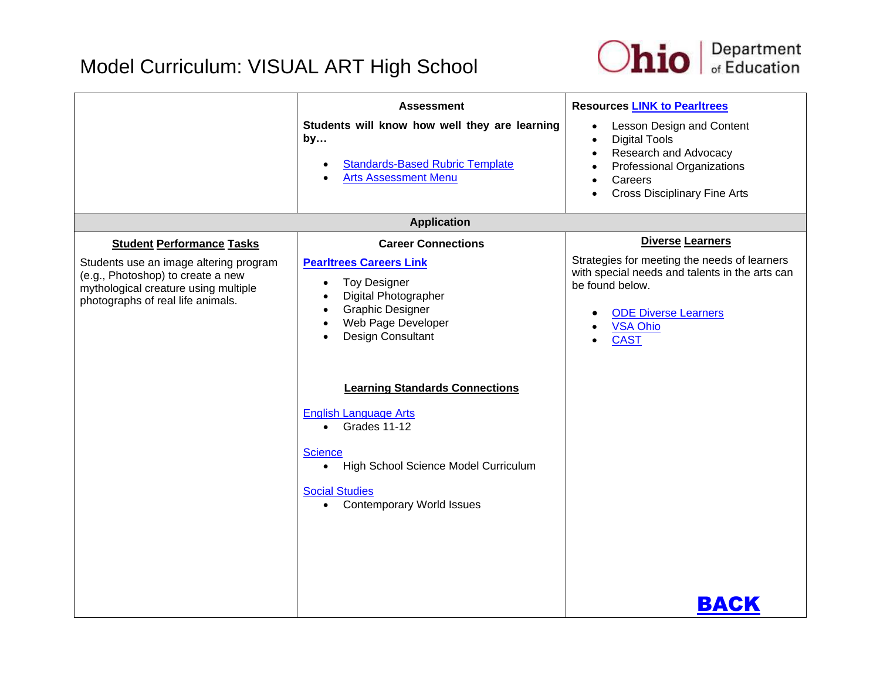

|                                                                                                                                                                                              | <b>Assessment</b><br>Students will know how well they are learning<br>by<br><b>Standards-Based Rubric Template</b><br><b>Arts Assessment Menu</b>                                                                                                   | <b>Resources LINK to Pearltrees</b><br>Lesson Design and Content<br>$\bullet$<br><b>Digital Tools</b><br>$\bullet$<br>Research and Advocacy<br>$\bullet$<br>Professional Organizations<br>$\bullet$<br>Careers<br>$\bullet$<br><b>Cross Disciplinary Fine Arts</b><br>$\bullet$ |
|----------------------------------------------------------------------------------------------------------------------------------------------------------------------------------------------|-----------------------------------------------------------------------------------------------------------------------------------------------------------------------------------------------------------------------------------------------------|---------------------------------------------------------------------------------------------------------------------------------------------------------------------------------------------------------------------------------------------------------------------------------|
|                                                                                                                                                                                              | <b>Application</b>                                                                                                                                                                                                                                  |                                                                                                                                                                                                                                                                                 |
| <b>Student Performance Tasks</b><br>Students use an image altering program<br>(e.g., Photoshop) to create a new<br>mythological creature using multiple<br>photographs of real life animals. | <b>Career Connections</b><br><b>Pearltrees Careers Link</b><br><b>Toy Designer</b><br>$\bullet$<br>Digital Photographer<br><b>Graphic Designer</b><br>Web Page Developer<br>Design Consultant                                                       | <b>Diverse Learners</b><br>Strategies for meeting the needs of learners<br>with special needs and talents in the arts can<br>be found below.<br><b>ODE Diverse Learners</b><br>$\bullet$<br><b>VSA Ohio</b><br>$\bullet$<br><b>CAST</b><br>$\bullet$                            |
|                                                                                                                                                                                              | <b>Learning Standards Connections</b><br><b>English Language Arts</b><br>Grades 11-12<br>$\bullet$<br><b>Science</b><br>High School Science Model Curriculum<br>$\bullet$<br><b>Social Studies</b><br><b>Contemporary World Issues</b><br>$\bullet$ |                                                                                                                                                                                                                                                                                 |
|                                                                                                                                                                                              |                                                                                                                                                                                                                                                     | BACK                                                                                                                                                                                                                                                                            |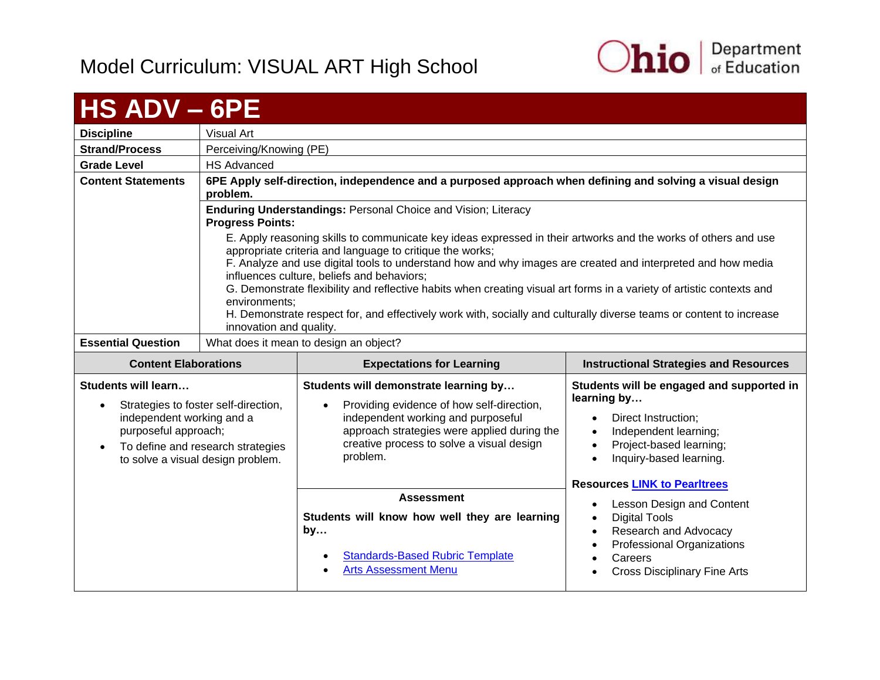

<span id="page-60-0"></span>

| <b>HS ADV - 6PE</b>                                                                                |                                                                                                                |                                                                                                                                                                                                                                                                                                                                                                                                                                                                  |                                                                                                                                                                                                                    |
|----------------------------------------------------------------------------------------------------|----------------------------------------------------------------------------------------------------------------|------------------------------------------------------------------------------------------------------------------------------------------------------------------------------------------------------------------------------------------------------------------------------------------------------------------------------------------------------------------------------------------------------------------------------------------------------------------|--------------------------------------------------------------------------------------------------------------------------------------------------------------------------------------------------------------------|
| <b>Discipline</b>                                                                                  | Visual Art                                                                                                     |                                                                                                                                                                                                                                                                                                                                                                                                                                                                  |                                                                                                                                                                                                                    |
| <b>Strand/Process</b>                                                                              | Perceiving/Knowing (PE)                                                                                        |                                                                                                                                                                                                                                                                                                                                                                                                                                                                  |                                                                                                                                                                                                                    |
| <b>Grade Level</b>                                                                                 | <b>HS Advanced</b>                                                                                             |                                                                                                                                                                                                                                                                                                                                                                                                                                                                  |                                                                                                                                                                                                                    |
| <b>Content Statements</b>                                                                          | problem.                                                                                                       | 6PE Apply self-direction, independence and a purposed approach when defining and solving a visual design                                                                                                                                                                                                                                                                                                                                                         |                                                                                                                                                                                                                    |
|                                                                                                    | <b>Progress Points:</b>                                                                                        | Enduring Understandings: Personal Choice and Vision; Literacy                                                                                                                                                                                                                                                                                                                                                                                                    |                                                                                                                                                                                                                    |
|                                                                                                    |                                                                                                                | E. Apply reasoning skills to communicate key ideas expressed in their artworks and the works of others and use<br>appropriate criteria and language to critique the works;<br>F. Analyze and use digital tools to understand how and why images are created and interpreted and how media<br>influences culture, beliefs and behaviors;<br>G. Demonstrate flexibility and reflective habits when creating visual art forms in a variety of artistic contexts and |                                                                                                                                                                                                                    |
|                                                                                                    | environments;<br>innovation and quality.                                                                       | H. Demonstrate respect for, and effectively work with, socially and culturally diverse teams or content to increase                                                                                                                                                                                                                                                                                                                                              |                                                                                                                                                                                                                    |
| <b>Essential Question</b>                                                                          |                                                                                                                | What does it mean to design an object?                                                                                                                                                                                                                                                                                                                                                                                                                           |                                                                                                                                                                                                                    |
|                                                                                                    | <b>Expectations for Learning</b><br><b>Instructional Strategies and Resources</b>                              |                                                                                                                                                                                                                                                                                                                                                                                                                                                                  |                                                                                                                                                                                                                    |
| <b>Content Elaborations</b>                                                                        |                                                                                                                |                                                                                                                                                                                                                                                                                                                                                                                                                                                                  |                                                                                                                                                                                                                    |
| Students will learn<br>$\bullet$<br>independent working and a<br>purposeful approach;<br>$\bullet$ | Strategies to foster self-direction,<br>To define and research strategies<br>to solve a visual design problem. | Students will demonstrate learning by<br>Providing evidence of how self-direction,<br>independent working and purposeful<br>approach strategies were applied during the<br>creative process to solve a visual design<br>problem.                                                                                                                                                                                                                                 | Students will be engaged and supported in<br>learning by<br>Direct Instruction;<br>$\bullet$<br>Independent learning;<br>$\bullet$<br>Project-based learning;<br>$\bullet$<br>Inquiry-based learning.<br>$\bullet$ |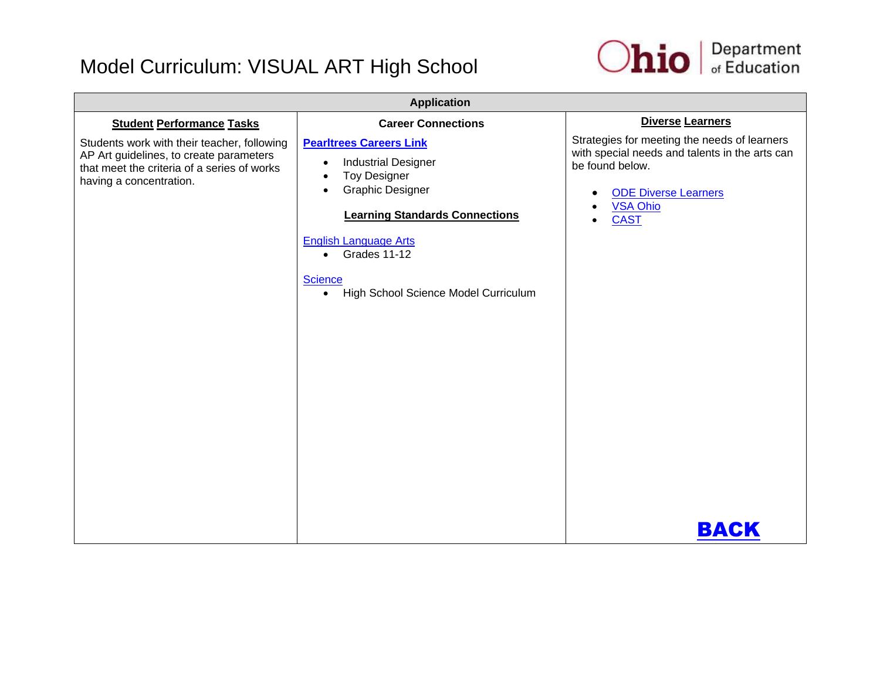

| <b>Application</b>                                                                                                                                                                                   |                                                                                                                                                                                                   |                                                                                                                                                                                                                                       |
|------------------------------------------------------------------------------------------------------------------------------------------------------------------------------------------------------|---------------------------------------------------------------------------------------------------------------------------------------------------------------------------------------------------|---------------------------------------------------------------------------------------------------------------------------------------------------------------------------------------------------------------------------------------|
| <b>Student Performance Tasks</b><br>Students work with their teacher, following<br>AP Art guidelines, to create parameters<br>that meet the criteria of a series of works<br>having a concentration. | <b>Career Connections</b><br><b>Pearltrees Careers Link</b><br><b>Industrial Designer</b><br>$\bullet$<br><b>Toy Designer</b><br><b>Graphic Designer</b><br><b>Learning Standards Connections</b> | Diverse Learners<br>Strategies for meeting the needs of learners<br>with special needs and talents in the arts can<br>be found below.<br><b>ODE Diverse Learners</b><br>٠<br><b>VSA Ohio</b><br>$\bullet$<br><b>CAST</b><br>$\bullet$ |
|                                                                                                                                                                                                      | <b>English Language Arts</b><br>$\bullet$ Grades 11-12<br><b>Science</b><br>High School Science Model Curriculum<br>$\bullet$                                                                     |                                                                                                                                                                                                                                       |
|                                                                                                                                                                                                      |                                                                                                                                                                                                   |                                                                                                                                                                                                                                       |
|                                                                                                                                                                                                      |                                                                                                                                                                                                   | BACK                                                                                                                                                                                                                                  |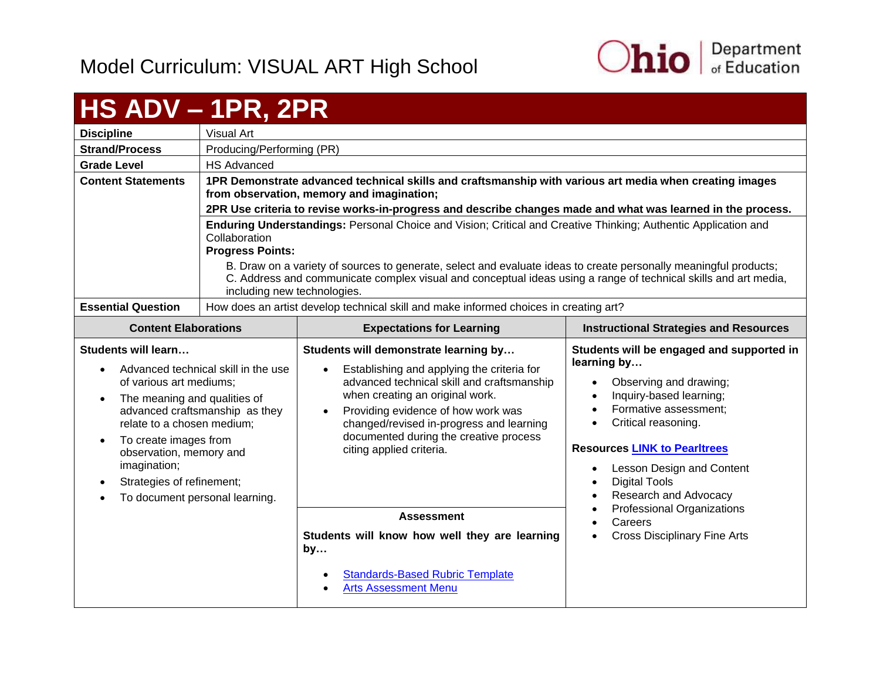

#### <span id="page-62-0"></span>**HS ADV – 1PR, 2PR Discipline** Visual Art **Strand/Process** | Producing/Performing (PR) **Grade Level HS Advanced Content Statements 1PR Demonstrate advanced technical skills and craftsmanship with various art media when creating images from observation, memory and imagination; 2PR Use criteria to revise works-in-progress and describe changes made and what was learned in the process. Enduring Understandings:** Personal Choice and Vision; Critical and Creative Thinking; Authentic Application and Collaboration **Progress Points:** B. Draw on a variety of sources to generate, select and evaluate ideas to create personally meaningful products; C. Address and communicate complex visual and conceptual ideas using a range of technical skills and art media, including new technologies. **Essential Question** | How does an artist develop technical skill and make informed choices in creating art? **Content Elaborations Expectations for Learning Instructional Strategies and Resources Students will learn…** • Advanced technical skill in the use of various art mediums; • The meaning and qualities of advanced craftsmanship as they relate to a chosen medium; To create images from observation, memory and imagination; • Strategies of refinement; To document personal learning. **Students will demonstrate learning by…** Establishing and applying the criteria for advanced technical skill and craftsmanship when creating an original work. • Providing evidence of how work was changed/revised in-progress and learning documented during the creative process citing applied criteria. **Students will be engaged and supported in learning by…** Observing and drawing; • Inquiry-based learning: • Formative assessment: • Critical reasoning. **Resources [LINK to Pearltrees](http://www.pearltrees.com/ohioartsed)** Lesson Design and Content Digital Tools Research and Advocacy Professional Organizations • Careers Cross Disciplinary Fine Arts **Assessment Students will know how well they are learning by…** [Standards-Based Rubric Template](https://education.ohio.gov/getattachment/Topics/Ohio-s-New-Learning-Standards/Fine-Arts/Standards_based_Rubric.pdf.aspx) [Arts Assessment Menu](https://education.ohio.gov/getattachment/Topics/Ohio-s-New-Learning-Standards/Fine-Arts/Arts-Assess-Chart.pdf.aspx)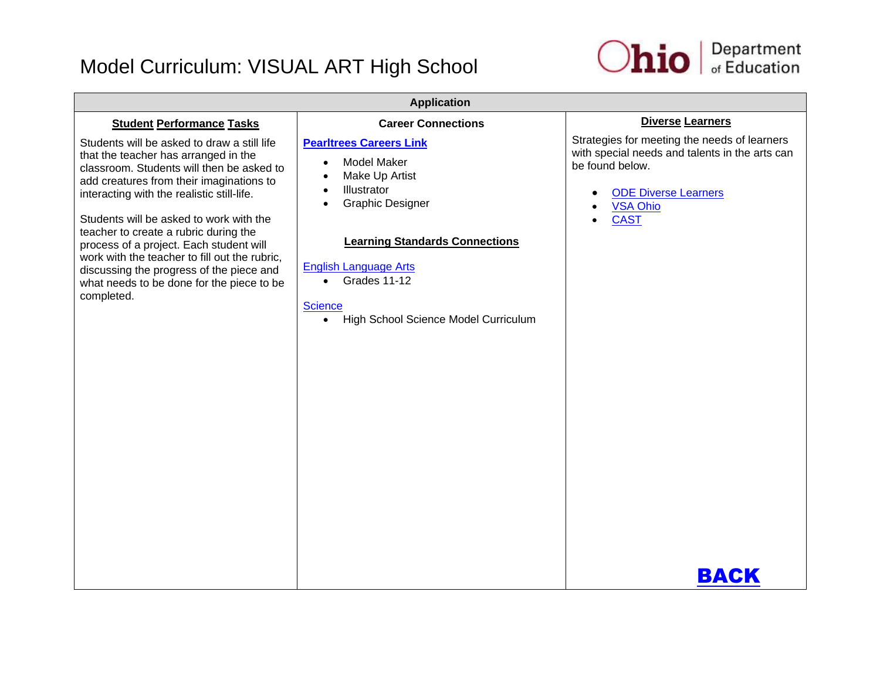

| <b>Application</b>                                                                                                                                                                                                                                                                                                                                                                                                                                                                                                |                                                                                                                                                                                                                                                                                                                                                   |                                                                                                                                                                                                         |
|-------------------------------------------------------------------------------------------------------------------------------------------------------------------------------------------------------------------------------------------------------------------------------------------------------------------------------------------------------------------------------------------------------------------------------------------------------------------------------------------------------------------|---------------------------------------------------------------------------------------------------------------------------------------------------------------------------------------------------------------------------------------------------------------------------------------------------------------------------------------------------|---------------------------------------------------------------------------------------------------------------------------------------------------------------------------------------------------------|
| <b>Student Performance Tasks</b>                                                                                                                                                                                                                                                                                                                                                                                                                                                                                  | <b>Career Connections</b>                                                                                                                                                                                                                                                                                                                         | <b>Diverse Learners</b>                                                                                                                                                                                 |
| Students will be asked to draw a still life<br>that the teacher has arranged in the<br>classroom. Students will then be asked to<br>add creatures from their imaginations to<br>interacting with the realistic still-life.<br>Students will be asked to work with the<br>teacher to create a rubric during the<br>process of a project. Each student will<br>work with the teacher to fill out the rubric,<br>discussing the progress of the piece and<br>what needs to be done for the piece to be<br>completed. | <b>Pearltrees Careers Link</b><br><b>Model Maker</b><br>$\bullet$<br>Make Up Artist<br>$\bullet$<br>Illustrator<br>$\bullet$<br><b>Graphic Designer</b><br>$\bullet$<br><b>Learning Standards Connections</b><br><b>English Language Arts</b><br>Grades 11-12<br>$\bullet$<br><b>Science</b><br>High School Science Model Curriculum<br>$\bullet$ | Strategies for meeting the needs of learners<br>with special needs and talents in the arts can<br>be found below.<br><b>ODE Diverse Learners</b><br>$\bullet$<br><b>VSA Ohio</b><br><b>CAST</b><br>BACK |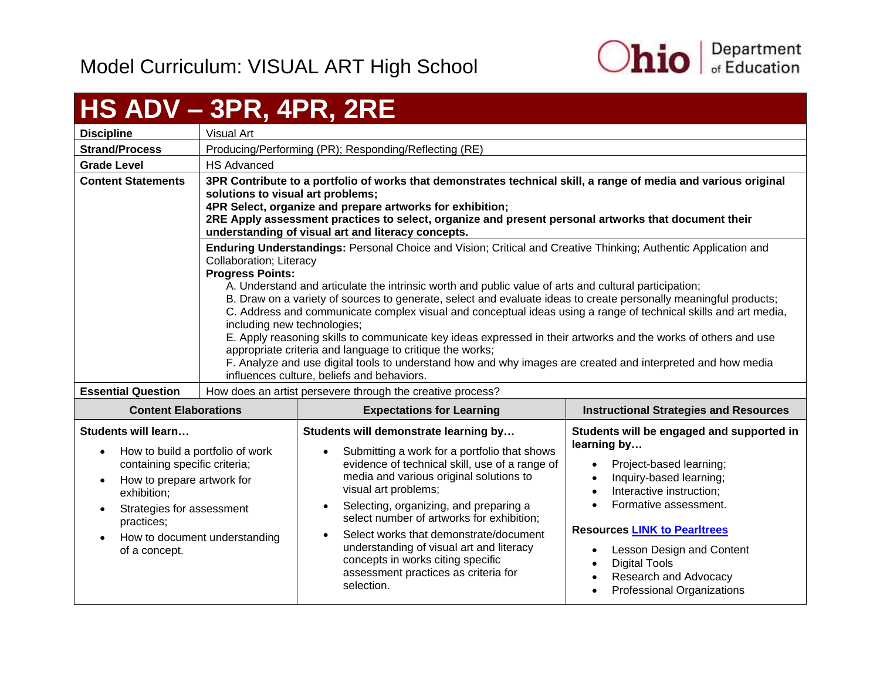

## <span id="page-64-0"></span>**HS ADV – 3PR, 4PR, 2RE**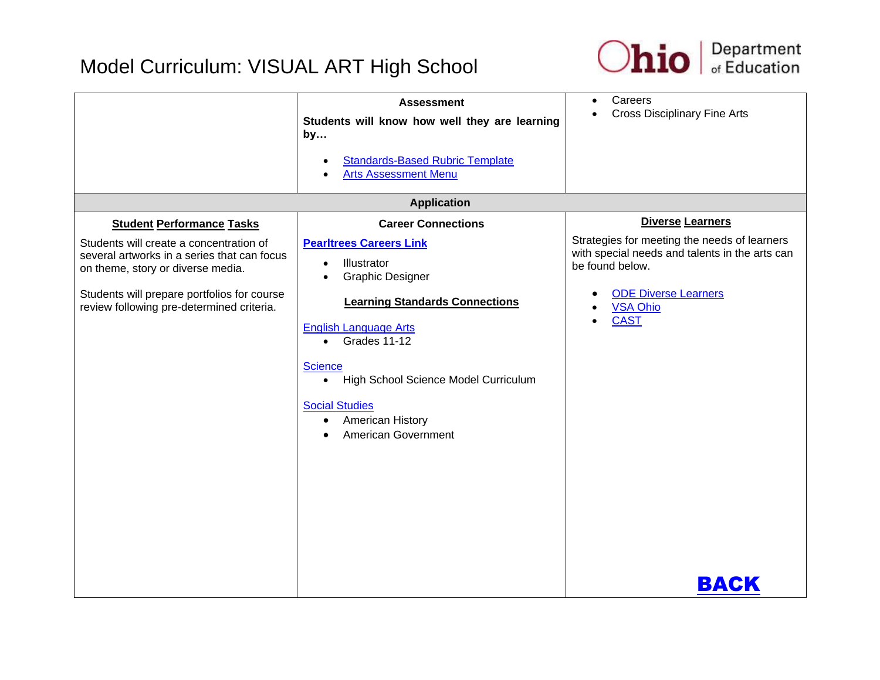

|                                                                                                                                                                                                                                                             | <b>Assessment</b><br>Students will know how well they are learning<br>by<br><b>Standards-Based Rubric Template</b><br><b>Arts Assessment Menu</b>                                                                                                                                                                                                                            | Careers<br>$\bullet$<br><b>Cross Disciplinary Fine Arts</b>                                                                                                                                                   |
|-------------------------------------------------------------------------------------------------------------------------------------------------------------------------------------------------------------------------------------------------------------|------------------------------------------------------------------------------------------------------------------------------------------------------------------------------------------------------------------------------------------------------------------------------------------------------------------------------------------------------------------------------|---------------------------------------------------------------------------------------------------------------------------------------------------------------------------------------------------------------|
|                                                                                                                                                                                                                                                             | <b>Application</b>                                                                                                                                                                                                                                                                                                                                                           |                                                                                                                                                                                                               |
| <b>Student Performance Tasks</b><br>Students will create a concentration of<br>several artworks in a series that can focus<br>on theme, story or diverse media.<br>Students will prepare portfolios for course<br>review following pre-determined criteria. | <b>Career Connections</b><br><b>Pearltrees Careers Link</b><br>Illustrator<br>$\bullet$<br><b>Graphic Designer</b><br><b>Learning Standards Connections</b><br><b>English Language Arts</b><br>Grades 11-12<br>$\bullet$<br><b>Science</b><br>• High School Science Model Curriculum<br><b>Social Studies</b><br><b>American History</b><br>$\bullet$<br>American Government | <b>Diverse Learners</b><br>Strategies for meeting the needs of learners<br>with special needs and talents in the arts can<br>be found below.<br><b>ODE Diverse Learners</b><br><b>VSA Ohio</b><br><b>CAST</b> |
|                                                                                                                                                                                                                                                             |                                                                                                                                                                                                                                                                                                                                                                              | BACK                                                                                                                                                                                                          |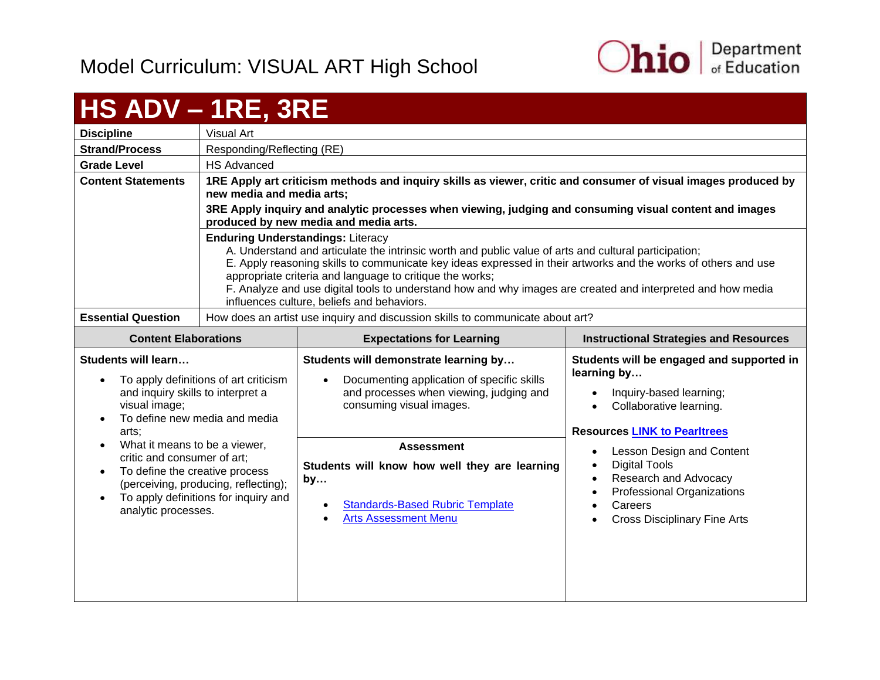

# <span id="page-66-0"></span>**HS ADV – 1RE, 3RE**

| <b>Discipline</b>         | Visual Art                                                                                                                                                                                                                                                                                                                      |
|---------------------------|---------------------------------------------------------------------------------------------------------------------------------------------------------------------------------------------------------------------------------------------------------------------------------------------------------------------------------|
| <b>Strand/Process</b>     | Responding/Reflecting (RE)                                                                                                                                                                                                                                                                                                      |
| <b>Grade Level</b>        | <b>HS Advanced</b>                                                                                                                                                                                                                                                                                                              |
| <b>Content Statements</b> | 1RE Apply art criticism methods and inquiry skills as viewer, critic and consumer of visual images produced by<br>new media and media arts;                                                                                                                                                                                     |
|                           | 3RE Apply inquiry and analytic processes when viewing, judging and consuming visual content and images<br>produced by new media and media arts.                                                                                                                                                                                 |
|                           | <b>Enduring Understandings: Literacy</b><br>A. Understand and articulate the intrinsic worth and public value of arts and cultural participation;<br>E. Apply reasoning skills to communicate key ideas expressed in their artworks and the works of others and use<br>appropriate criteria and language to critique the works; |
|                           | F. Analyze and use digital tools to understand how and why images are created and interpreted and how media<br>influences culture, beliefs and behaviors.                                                                                                                                                                       |
| <b>Essential Question</b> | How does an artist use inquiry and discussion skills to communicate about art?                                                                                                                                                                                                                                                  |

| <b>Content Elaborations</b>                                                                                                                                                                           | <b>Expectations for Learning</b>                                                                                                                           | <b>Instructional Strategies and Resources</b>                                                                                                                                                                                     |
|-------------------------------------------------------------------------------------------------------------------------------------------------------------------------------------------------------|------------------------------------------------------------------------------------------------------------------------------------------------------------|-----------------------------------------------------------------------------------------------------------------------------------------------------------------------------------------------------------------------------------|
| Students will learn<br>To apply definitions of art criticism<br>and inquiry skills to interpret a<br>visual image;<br>To define new media and media<br>arts:                                          | Students will demonstrate learning by<br>Documenting application of specific skills<br>and processes when viewing, judging and<br>consuming visual images. | Students will be engaged and supported in<br>learning by<br>Inquiry-based learning;<br>$\bullet$<br>Collaborative learning.<br>$\bullet$<br><b>Resources LINK to Pearltrees</b>                                                   |
| What it means to be a viewer,<br>critic and consumer of art;<br>To define the creative process<br>(perceiving, producing, reflecting);<br>To apply definitions for inquiry and<br>analytic processes. | <b>Assessment</b><br>Students will know how well they are learning<br>by<br><b>Standards-Based Rubric Template</b><br><b>Arts Assessment Menu</b>          | Lesson Design and Content<br>$\bullet$<br>Digital Tools<br>$\bullet$<br>Research and Advocacy<br>$\bullet$<br>Professional Organizations<br>$\bullet$<br>Careers<br>$\bullet$<br><b>Cross Disciplinary Fine Arts</b><br>$\bullet$ |